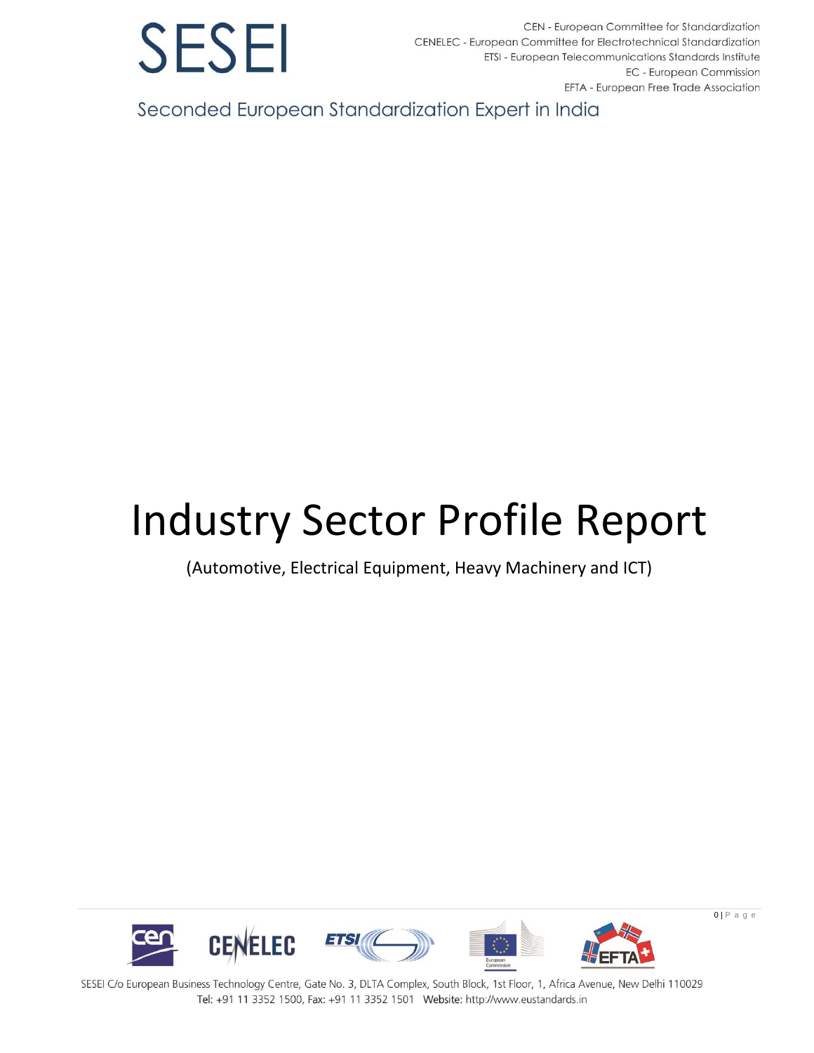

CEN - European Committee for Standardization CENELEC - European Committee for Electrotechnical Standardization ETSI - European Telecommunications Standards Institute EC - European Commission EFTA - European Free Trade Association

Seconded European Standardization Expert in India

## Industry Sector Profile Report

(Automotive, Electrical Equipment, Heavy Machinery and ICT)

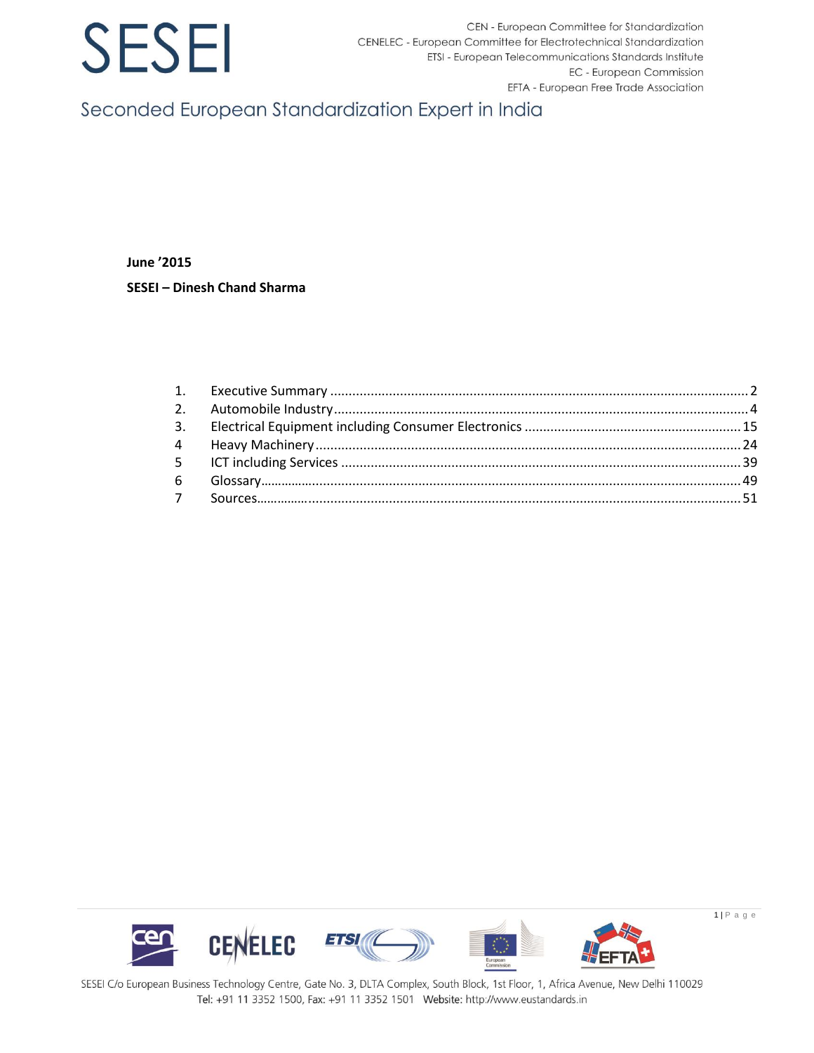CEN - European Committee for Standardization CENELEC - European Committee for Electrotechnical Standardization ETSI - European Telecommunications Standards Institute EC - European Commission EFTA - European Free Trade Association

Seconded European Standardization Expert in India

**June '2015** SESEI - Dinesh Chand Sharma

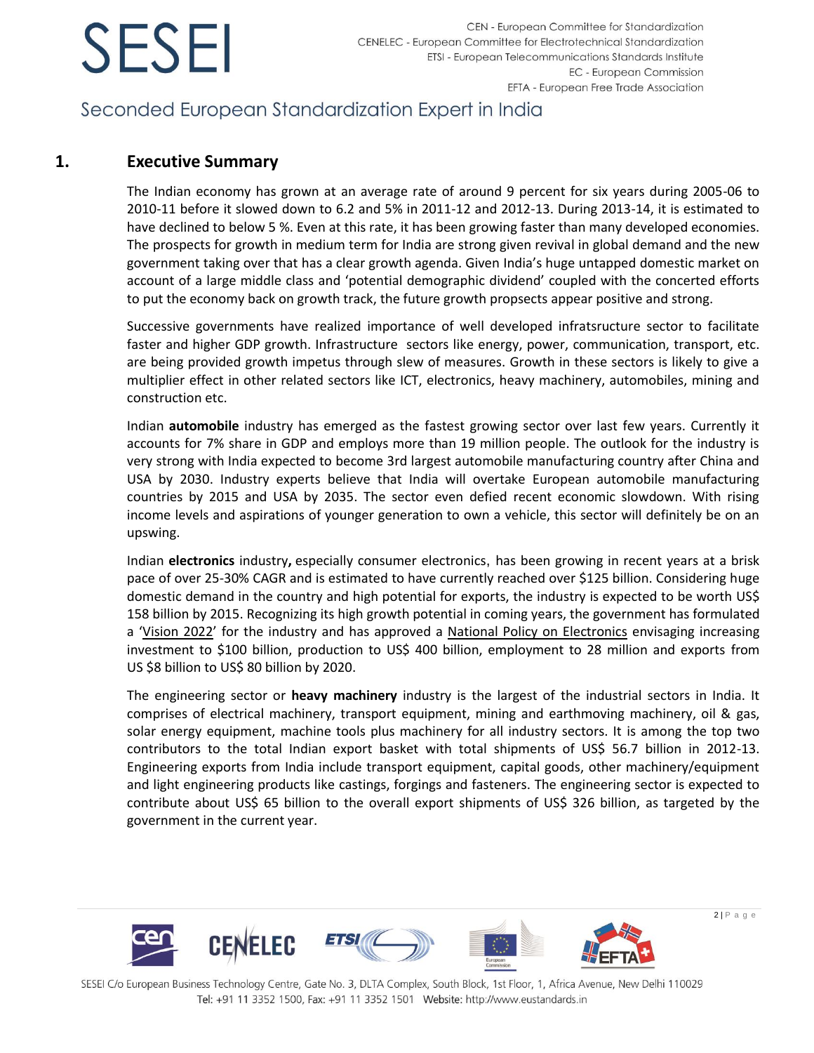## Seconded European Standardization Expert in India

### <span id="page-2-0"></span>**1. Executive Summary**

The Indian economy has grown at an average rate of around 9 percent for six years during 2005-06 to 2010-11 before it slowed down to 6.2 and 5% in 2011-12 and 2012-13. During 2013-14, it is estimated to have declined to below 5 %. Even at this rate, it has been growing faster than many developed economies. The prospects for growth in medium term for India are strong given revival in global demand and the new government taking over that has a clear growth agenda. Given India's huge untapped domestic market on account of a large middle class and 'potential demographic dividend' coupled with the concerted efforts to put the economy back on growth track, the future growth propsects appear positive and strong.

Successive governments have realized importance of well developed infratsructure sector to facilitate faster and higher GDP growth. Infrastructure sectors like energy, power, communication, transport, etc. are being provided growth impetus through slew of measures. Growth in these sectors is likely to give a multiplier effect in other related sectors like ICT, electronics, heavy machinery, automobiles, mining and construction etc.

Indian **automobile** industry has emerged as the fastest growing sector over last few years. Currently it accounts for 7% share in GDP and employs more than 19 million people. The outlook for the industry is very strong with India expected to become 3rd largest automobile manufacturing country after China and USA by 2030. Industry experts believe that India will overtake European automobile manufacturing countries by 2015 and USA by 2035. The sector even defied recent economic slowdown. With rising income levels and aspirations of younger generation to own a vehicle, this sector will definitely be on an upswing.

Indian **electronics** industry**,** especially [consumer electronics](http://en.wikipedia.org/wiki/Consumer_electronics), has been growing in recent years at a brisk pace of over 25-30% CAGR and is estimated to have currently reached over \$125 billion. Considering huge domestic demand in the country and high potential for exports, the industry is expected to be worth US\$ 158 billion by 2015. Recognizing its high growth potential in coming years, the government has formulated a '[Vision 2022](http://dhi.nic.in/indian_electrical_equipment_industry_mission_plan_2012-2022.pdf)' for the industry and has approved a [National Policy on Electronics](http://deity.gov.in/sites/upload_files/dit/files/NPE_Notification.pdf) envisaging increasing investment to \$100 billion, production to US\$ 400 billion, employment to 28 million and exports from US \$8 billion to US\$ 80 billion by 2020.

The engineering sector or **heavy machinery** industry is the largest of the industrial sectors in India. It comprises of electrical machinery, transport equipment, mining and earthmoving machinery, oil & gas, solar energy equipment, machine tools plus machinery for all industry sectors. It is among the top two contributors to the total Indian export basket with total shipments of US\$ 56.7 billion in 2012-13. Engineering exports from India include transport equipment, capital goods, other machinery/equipment and light engineering products like castings, forgings and fasteners. The engineering sector is expected to contribute about US\$ 65 billion to the overall export shipments of US\$ 326 billion, as targeted by the government in the current year.

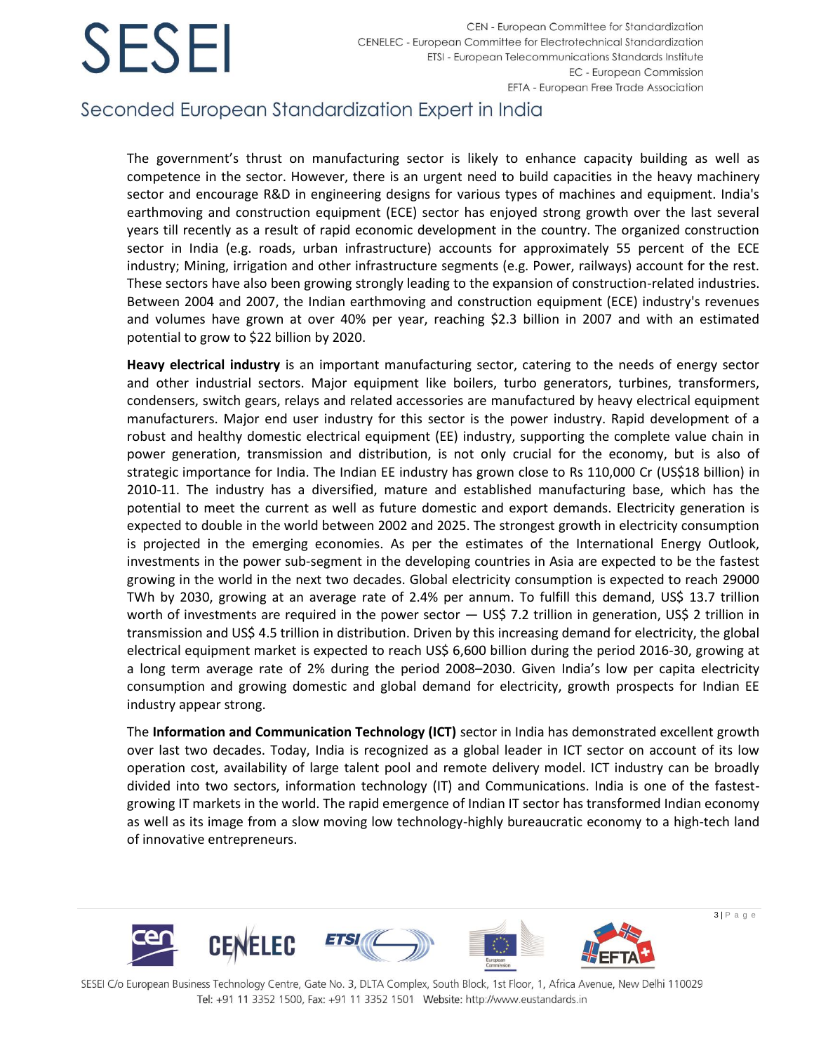CEN - European Committee for Standardization CENELEC - European Committee for Electrotechnical Standardization ETSI - European Telecommunications Standards Institute EC - European Commission EFTA - European Free Trade Association

## Seconded European Standardization Expert in India

The government's thrust on manufacturing sector is likely to enhance capacity building as well as competence in the sector. However, there is an urgent need to build capacities in the heavy machinery sector and encourage R&D in engineering designs for various types of machines and equipment. India's earthmoving and construction equipment (ECE) sector has enjoyed strong growth over the last several years till recently as a result of rapid economic development in the country. The organized construction sector in India (e.g. roads, urban infrastructure) accounts for approximately 55 percent of the ECE industry; Mining, irrigation and other infrastructure segments (e.g. Power, railways) account for the rest. These sectors have also been growing strongly leading to the expansion of construction-related industries. Between 2004 and 2007, the Indian earthmoving and construction equipment (ECE) industry's revenues and volumes have grown at over 40% per year, reaching \$2.3 billion in 2007 and with an estimated potential to grow to \$22 billion by 2020.

**Heavy electrical industry** is an important manufacturing sector, catering to the needs of energy sector and other industrial sectors. Major equipment like boilers, turbo generators, turbines, transformers, condensers, switch gears, relays and related accessories are manufactured by heavy electrical equipment manufacturers. Major end user industry for this sector is the power industry. Rapid development of a robust and healthy domestic electrical equipment (EE) industry, supporting the complete value chain in power generation, transmission and distribution, is not only crucial for the economy, but is also of strategic importance for India. The Indian EE industry has grown close to Rs 110,000 Cr (US\$18 billion) in 2010-11. The industry has a diversified, mature and established manufacturing base, which has the potential to meet the current as well as future domestic and export demands. Electricity generation is expected to double in the world between 2002 and 2025. The strongest growth in electricity consumption is projected in the emerging economies. As per the estimates of the International Energy Outlook, investments in the power sub-segment in the developing countries in Asia are expected to be the fastest growing in the world in the next two decades. Global electricity consumption is expected to reach 29000 TWh by 2030, growing at an average rate of 2.4% per annum. To fulfill this demand, US\$ 13.7 trillion worth of investments are required in the power sector  $-$  US\$ 7.2 trillion in generation, US\$ 2 trillion in transmission and US\$ 4.5 trillion in distribution. Driven by this increasing demand for electricity, the global electrical equipment market is expected to reach US\$ 6,600 billion during the period 2016-30, growing at a long term average rate of 2% during the period 2008–2030. Given India's low per capita electricity consumption and growing domestic and global demand for electricity, growth prospects for Indian EE industry appear strong.

The **Information and Communication Technology (ICT)** sector in India has demonstrated excellent growth over last two decades. Today, India is recognized as a global leader in ICT sector on account of its low operation cost, availability of large talent pool and remote delivery model. ICT industry can be broadly divided into two sectors, information technology (IT) and Communications. India is one of the fastestgrowing IT markets in the world. The rapid emergence of Indian IT sector has transformed Indian economy as well as its image from a slow moving low technology-highly bureaucratic economy to a high-tech land of innovative entrepreneurs.

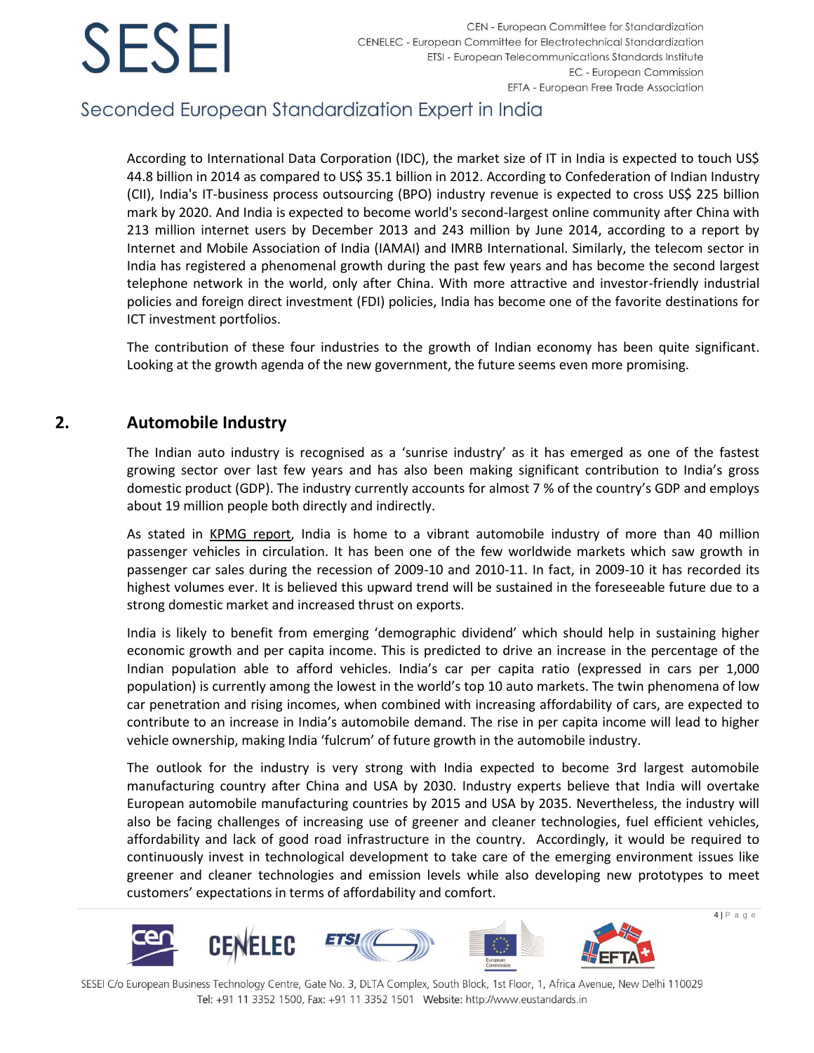## Seconded European Standardization Expert in India

According to International Data Corporation (IDC), the market size of IT in India is expected to touch US\$ 44.8 billion in 2014 as compared to US\$ 35.1 billion in 2012. According to Confederation of Indian Industry (CII), India's IT-business process outsourcing (BPO) industry revenue is expected to cross US\$ 225 billion mark by 2020. And India is expected to become world's second-largest online community after China with 213 million internet users by December 2013 and 243 million by June 2014, according to a report by Internet and Mobile Association of India (IAMAI) and IMRB International. Similarly, the telecom sector in India has registered a phenomenal growth during the past few years and has become the second largest telephone network in the world, only after China. With more attractive and investor-friendly industrial policies and foreign direct investment (FDI) policies, India has become one of the favorite destinations for ICT investment portfolios.

The contribution of these four industries to the growth of Indian economy has been quite significant. Looking at the growth agenda of the new government, the future seems even more promising.

### <span id="page-4-0"></span>**2. Automobile Industry**

The Indian auto industry is recognised as a 'sunrise industry' as it has emerged as one of the fastest growing sector over last few years and has also been making significant contribution to India's gross domestic product (GDP). The industry currently accounts for almost 7 % of the country's GDP and employs about 19 million people both directly and indirectly.

As stated in [KPMG report,](https://www.kpmg.de/docs/Auto_survey.pdf) India is home to a vibrant automobile industry of more than 40 million passenger vehicles in circulation. It has been one of the few worldwide markets which saw growth in passenger car sales during the recession of 2009-10 and 2010-11. In fact, in 2009-10 it has recorded its highest volumes ever. It is believed this upward trend will be sustained in the foreseeable future due to a strong domestic market and increased thrust on exports.

India is likely to benefit from emerging 'demographic dividend' which should help in sustaining higher economic growth and per capita income. This is predicted to drive an increase in the percentage of the Indian population able to afford vehicles. India's car per capita ratio (expressed in cars per 1,000 population) is currently among the lowest in the world's top 10 auto markets. The twin phenomena of low car penetration and rising incomes, when combined with increasing affordability of cars, are expected to contribute to an increase in India's automobile demand. The rise in per capita income will lead to higher vehicle ownership, making India 'fulcrum' of future growth in the automobile industry.

The outlook for the industry is very strong with India expected to become 3rd largest automobile manufacturing country after China and USA by 2030. Industry experts believe that India will overtake European automobile manufacturing countries by 2015 and USA by 2035. Nevertheless, the industry will also be facing challenges of increasing use of greener and cleaner technologies, fuel efficient vehicles, affordability and lack of good road infrastructure in the country. Accordingly, it would be required to continuously invest in technological development to take care of the emerging environment issues like greener and cleaner technologies and emission levels while also developing new prototypes to meet customers' expectations in terms of affordability and comfort.



SESEI C/o European Business Technology Centre, Gate No. 3, DLTA Complex, South Block, 1st Floor, 1, Africa Avenue, New Delhi 110029 Tel: +91 11 3352 1500, Fax: +91 11 3352 1501 Website: http://www.eustandards.in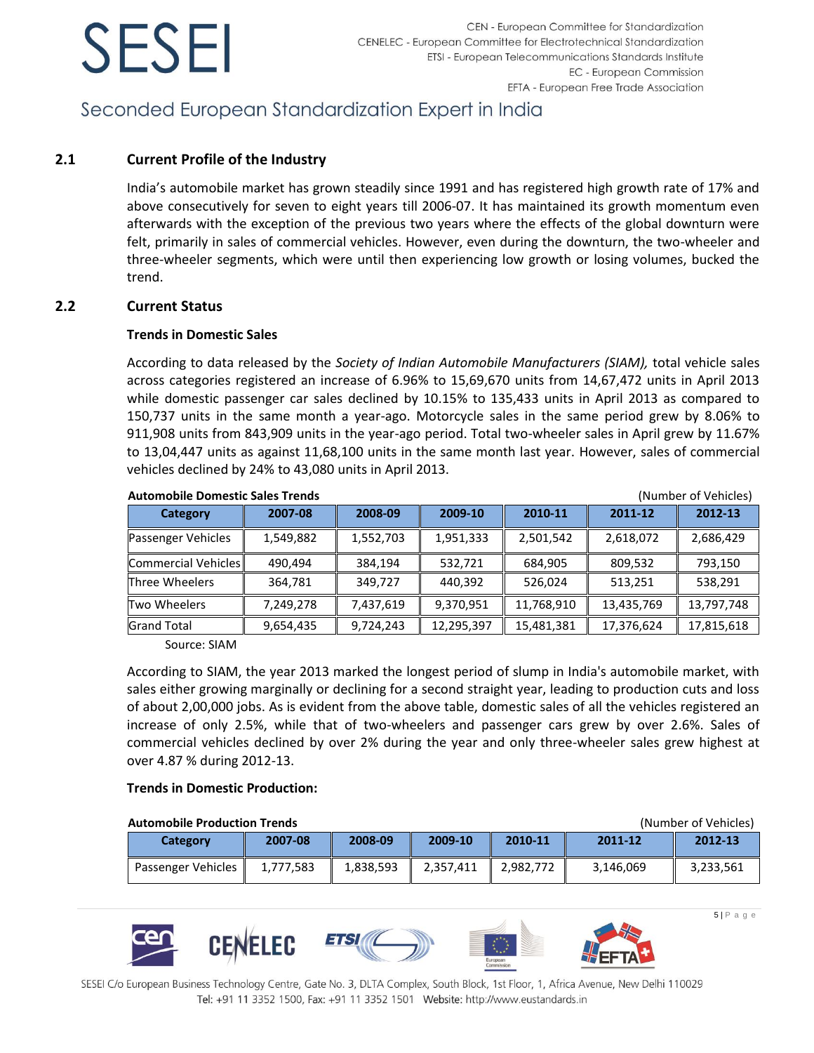## Seconded European Standardization Expert in India

### **2.1 Current Profile of the Industry**

India's automobile market has grown steadily since 1991 and has registered high growth rate of 17% and above consecutively for seven to eight years till 2006-07. It has maintained its growth momentum even afterwards with the exception of the previous two years where the effects of the global downturn were felt, primarily in sales of commercial vehicles. However, even during the downturn, the two-wheeler and three-wheeler segments, which were until then experiencing low growth or losing volumes, bucked the trend.

### **2.2 Current Status**

### **Trends in Domestic Sales**

According to data released by the *Society of Indian Automobile Manufacturers (SIAM),* total vehicle sales across categories registered an increase of 6.96% to 15,69,670 units from 14,67,472 units in April 2013 while domestic passenger car sales declined by 10.15% to 135,433 units in April 2013 as compared to 150,737 units in the same month a year-ago. Motorcycle sales in the same period grew by 8.06% to 911,908 units from 843,909 units in the year-ago period. Total two-wheeler sales in April grew by 11.67% to 13,04,447 units as against 11,68,100 units in the same month last year. However, sales of commercial vehicles declined by 24% to 43,080 units in April 2013.

| <b>Automobile Domestic Sales Trends</b><br>(Number of Vehicles) |           |           |            |            |            |            |
|-----------------------------------------------------------------|-----------|-----------|------------|------------|------------|------------|
| Category                                                        | 2007-08   | 2008-09   | 2009-10    | 2010-11    | 2011-12    | 2012-13    |
| Passenger Vehicles                                              | 1,549,882 | 1,552,703 | 1,951,333  | 2,501,542  | 2,618,072  | 2,686,429  |
| Commercial Vehicles                                             | 490.494   | 384,194   | 532,721    | 684,905    | 809,532    | 793,150    |
| Three Wheelers                                                  | 364,781   | 349,727   | 440.392    | 526,024    | 513,251    | 538,291    |
| Two Wheelers                                                    | 7,249,278 | 7,437,619 | 9,370,951  | 11,768,910 | 13,435,769 | 13,797,748 |
| <b>Grand Total</b>                                              | 9,654,435 | 9,724,243 | 12,295,397 | 15,481,381 | 17,376,624 | 17,815,618 |

Source: SIAM

According to SIAM, the year 2013 marked the longest period of slump in India's automobile market, with sales either growing marginally or declining for a second straight year, leading to production cuts and loss of about 2,00,000 jobs. As is evident from the above table, domestic sales of all the vehicles registered an increase of only 2.5%, while that of two-wheelers and passenger cars grew by over 2.6%. Sales of commercial vehicles declined by over 2% during the year and only three-wheeler sales grew highest at over 4.87 % during 2012-13.

### **Trends in Domestic Production:**

| <b>Automobile Production Trends</b><br>(Number of Vehicles) |           |           |           |           |           |           |
|-------------------------------------------------------------|-----------|-----------|-----------|-----------|-----------|-----------|
| Category                                                    | 2007-08   | 2008-09   | 2009-10   | 2010-11   | 2011-12   | 2012-13   |
| Passenger Vehicles                                          | 1.777.583 | 1,838,593 | 2,357,411 | 2.982.772 | 3,146,069 | 3,233,561 |



SESEI C/o European Business Technology Centre, Gate No. 3, DLTA Complex, South Block, 1st Floor, 1, Africa Avenue, New Delhi 110029 Tel: +91 11 3352 1500, Fax: +91 11 3352 1501 Website: http://www.eustandards.in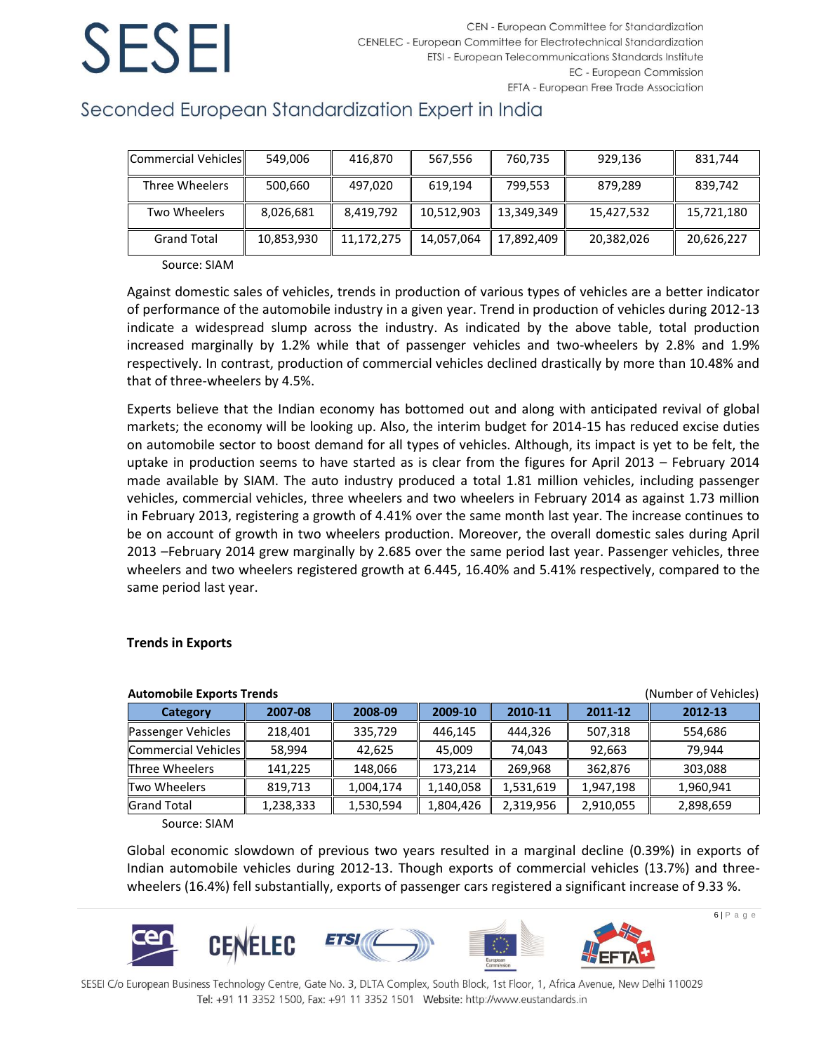## Seconded European Standardization Expert in India

| Commercial Vehicles | 549.006    | 416,870    | 567,556    | 760,735    | 929,136    | 831,744    |
|---------------------|------------|------------|------------|------------|------------|------------|
| Three Wheelers      | 500,660    | 497.020    | 619.194    | 799,553    | 879,289    | 839,742    |
| Two Wheelers        | 8,026,681  | 8,419,792  | 10,512,903 | 13,349,349 | 15,427,532 | 15,721,180 |
| <b>Grand Total</b>  | 10,853,930 | 11,172,275 | 14,057,064 | 17,892,409 | 20,382,026 | 20,626,227 |

Source: SIAM

Against domestic sales of vehicles, trends in production of various types of vehicles are a better indicator of performance of the automobile industry in a given year. Trend in production of vehicles during 2012-13 indicate a widespread slump across the industry. As indicated by the above table, total production increased marginally by 1.2% while that of passenger vehicles and two-wheelers by 2.8% and 1.9% respectively. In contrast, production of commercial vehicles declined drastically by more than 10.48% and that of three-wheelers by 4.5%.

Experts believe that the Indian economy has bottomed out and along with anticipated revival of global markets; the economy will be looking up. Also, the interim budget for 2014-15 has reduced excise duties on automobile sector to boost demand for all types of vehicles. Although, its impact is yet to be felt, the uptake in production seems to have started as is clear from the figures for April 2013 – February 2014 made available by SIAM. The auto industry produced a total 1.81 million vehicles, including passenger vehicles, commercial vehicles, three wheelers and two wheelers in February 2014 as against 1.73 million in February 2013, registering a growth of 4.41% over the same month last year. The increase continues to be on account of growth in two wheelers production. Moreover, the overall domestic sales during April 2013 –February 2014 grew marginally by 2.685 over the same period last year. Passenger vehicles, three wheelers and two wheelers registered growth at 6.445, 16.40% and 5.41% respectively, compared to the same period last year.

| (Number of Vehicles)<br><b>Automobile Exports Trends</b> |           |           |           |           |           |           |
|----------------------------------------------------------|-----------|-----------|-----------|-----------|-----------|-----------|
| Category                                                 | 2007-08   | 2008-09   | 2009-10   | 2010-11   | 2011-12   | 2012-13   |
| Passenger Vehicles                                       | 218,401   | 335,729   | 446,145   | 444,326   | 507,318   | 554,686   |
| Commercial Vehicles                                      | 58.994    | 42,625    | 45.009    | 74.043    | 92,663    | 79.944    |
| Three Wheelers                                           | 141,225   | 148,066   | 173,214   | 269,968   | 362,876   | 303,088   |
| Two Wheelers                                             | 819,713   | 1,004,174 | 1,140,058 | 1,531,619 | 1,947,198 | 1,960,941 |
| <b>Grand Total</b>                                       | 1,238,333 | 1,530,594 | 1,804,426 | 2,319,956 | 2,910,055 | 2,898,659 |

### **Trends in Exports**

Source: SIAM

Global economic slowdown of previous two years resulted in a marginal decline (0.39%) in exports of Indian automobile vehicles during 2012-13. Though exports of commercial vehicles (13.7%) and threewheelers (16.4%) fell substantially, exports of passenger cars registered a significant increase of 9.33 %.



SESEI C/o European Business Technology Centre, Gate No. 3, DLTA Complex, South Block, 1st Floor, 1, Africa Avenue, New Delhi 110029 Tel: +91 11 3352 1500, Fax: +91 11 3352 1501 Website: http://www.eustandards.in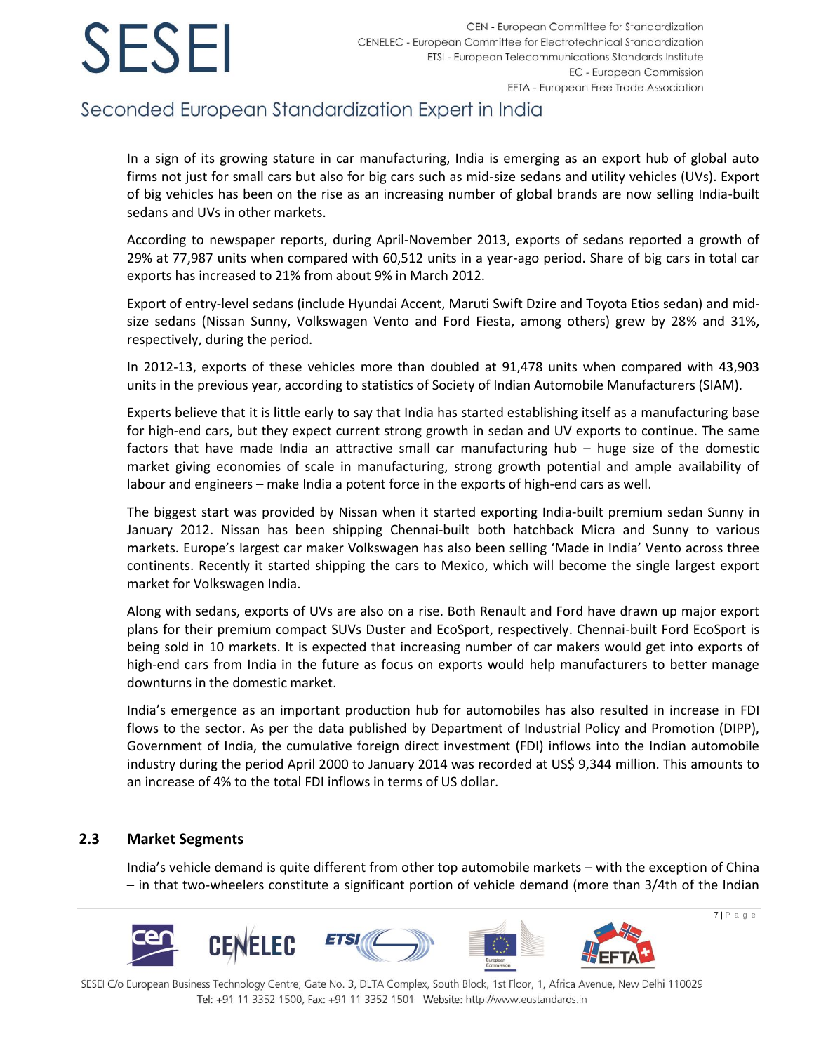## Seconded European Standardization Expert in India

In a sign of its growing stature in car manufacturing, India is emerging as an export hub of global auto firms not just for small cars but also for big cars such as mid-size sedans and utility vehicles (UVs). Export of big vehicles has been on the rise as an increasing number of global brands are now selling India-built sedans and UVs in other markets.

According to newspaper reports, during April-November 2013, exports of sedans reported a growth of 29% at 77,987 units when compared with 60,512 units in a year-ago period. Share of big cars in total car exports has increased to 21% from about 9% in March 2012.

Export of entry-level sedans (include Hyundai Accent, Maruti Swift Dzire and Toyota Etios sedan) and midsize sedans (Nissan Sunny, Volkswagen Vento and Ford Fiesta, among others) grew by 28% and 31%, respectively, during the period.

In 2012-13, exports of these vehicles more than doubled at 91,478 units when compared with 43,903 units in the previous year, according to statistics of Society of Indian Automobile Manufacturers (SIAM).

Experts believe that it is little early to say that India has started establishing itself as a manufacturing base for high-end cars, but they expect current strong growth in sedan and UV exports to continue. The same factors that have made India an attractive small car manufacturing hub – huge size of the domestic market giving economies of scale in manufacturing, strong growth potential and ample availability of labour and engineers – make India a potent force in the exports of high-end cars as well.

The biggest start was provided by Nissan when it started exporting India-built premium sedan Sunny in January 2012. Nissan has been shipping Chennai-built both hatchback Micra and Sunny to various markets. Europe's largest car maker Volkswagen has also been selling 'Made in India' Vento across three continents. Recently it started shipping the cars to Mexico, which will become the single largest export market for Volkswagen India.

Along with sedans, exports of UVs are also on a rise. Both Renault and Ford have drawn up major export plans for their premium compact SUVs Duster and EcoSport, respectively. Chennai-built Ford EcoSport is being sold in 10 markets. It is expected that increasing number of car makers would get into exports of high-end cars from India in the future as focus on exports would help manufacturers to better manage downturns in the domestic market.

India's emergence as an important production hub for automobiles has also resulted in increase in FDI flows to the sector. As per the data published by Department of Industrial Policy and Promotion (DIPP), Government of India, the cumulative foreign direct investment (FDI) inflows into the Indian automobile industry during the period April 2000 to January 2014 was recorded at US\$ 9,344 million. This amounts to an increase of 4% to the total FDI inflows in terms of US dollar.

### **2.3 Market Segments**

India's vehicle demand is quite different from other top automobile markets – with the exception of China – in that two-wheelers constitute a significant portion of vehicle demand (more than 3/4th of the Indian

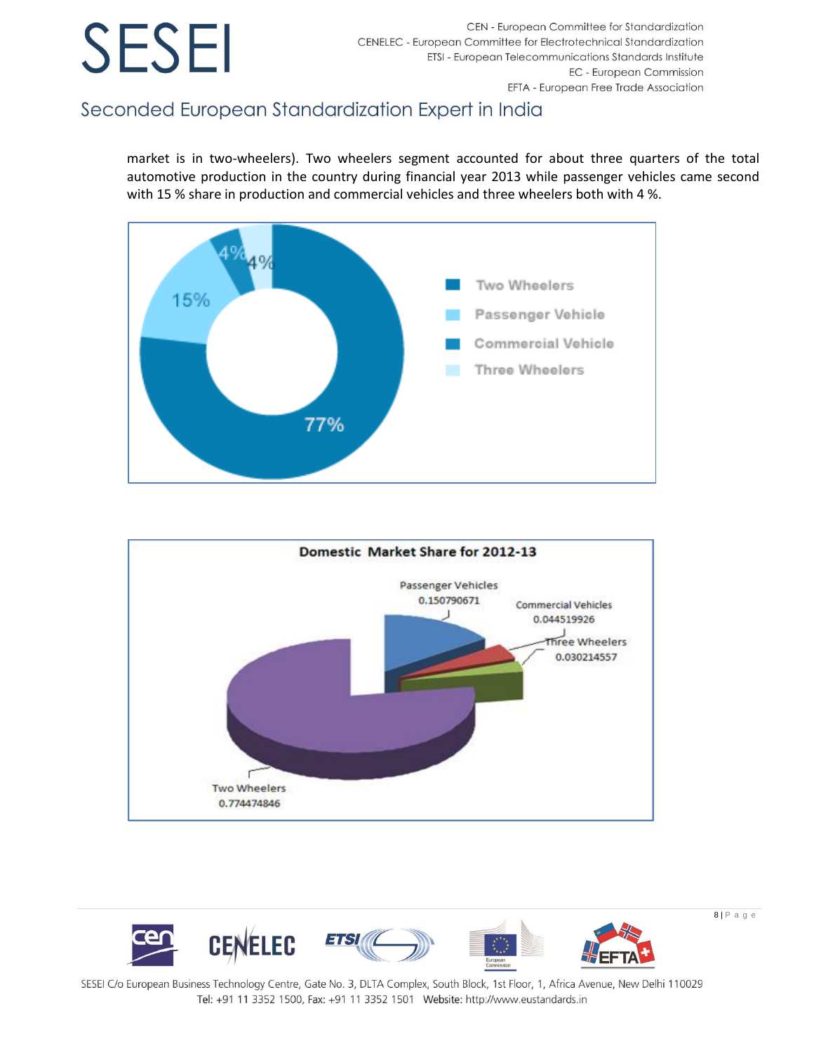## Seconded European Standardization Expert in India

market is in two-wheelers). Two wheelers segment accounted for about three quarters of the total automotive production in the country during financial year 2013 while passenger vehicles came second with 15 % share in production and commercial vehicles and three wheelers both with 4 %.





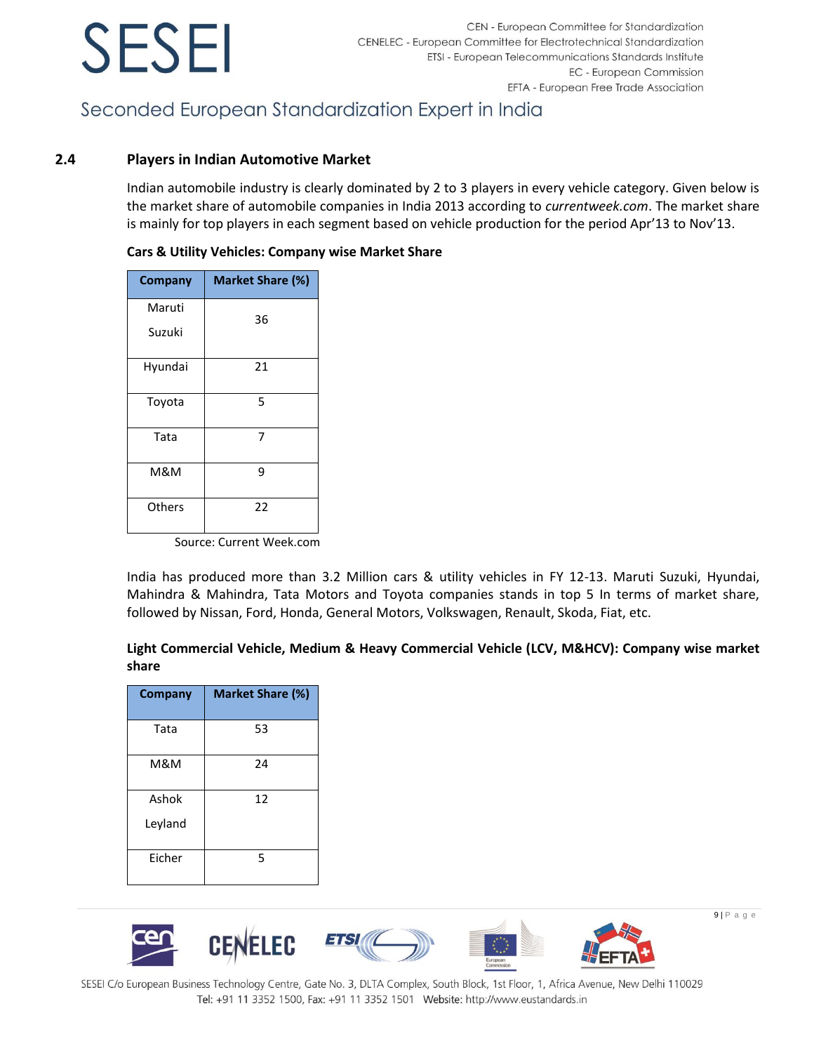## Seconded European Standardization Expert in India

### **2.4 Players in Indian Automotive Market**

Indian automobile industry is clearly dominated by 2 to 3 players in every vehicle category. Given below is the market share of automobile companies in India 2013 according to *currentweek.com*. The market share is mainly for top players in each segment based on vehicle production for the period Apr'13 to Nov'13.

| <b>Company</b> | Market Share (%) |
|----------------|------------------|
| Maruti         | 36               |
| Suzuki         |                  |
| Hyundai        | 21               |
| Toyota         | 5                |
| Tata           | 7                |
| M&M            | 9                |
| Others         | 22               |

### **Cars & Utility Vehicles: Company wise Market Share**

Source: Current Week.com

India has produced more than 3.2 Million cars & utility vehicles in FY 12-13. Maruti Suzuki, Hyundai, Mahindra & Mahindra, Tata Motors and Toyota companies stands in top 5 In terms of market share, followed by Nissan, Ford, Honda, General Motors, Volkswagen, Renault, Skoda, Fiat, etc.

### **Light Commercial Vehicle, Medium & Heavy Commercial Vehicle (LCV, M&HCV): Company wise market share**

| <b>Company</b> | <b>Market Share (%)</b> |
|----------------|-------------------------|
| Tata           | 53                      |
| M&M            | 24                      |
| Ashok          | 12                      |
| Leyland        |                         |
| Eicher         | 5                       |

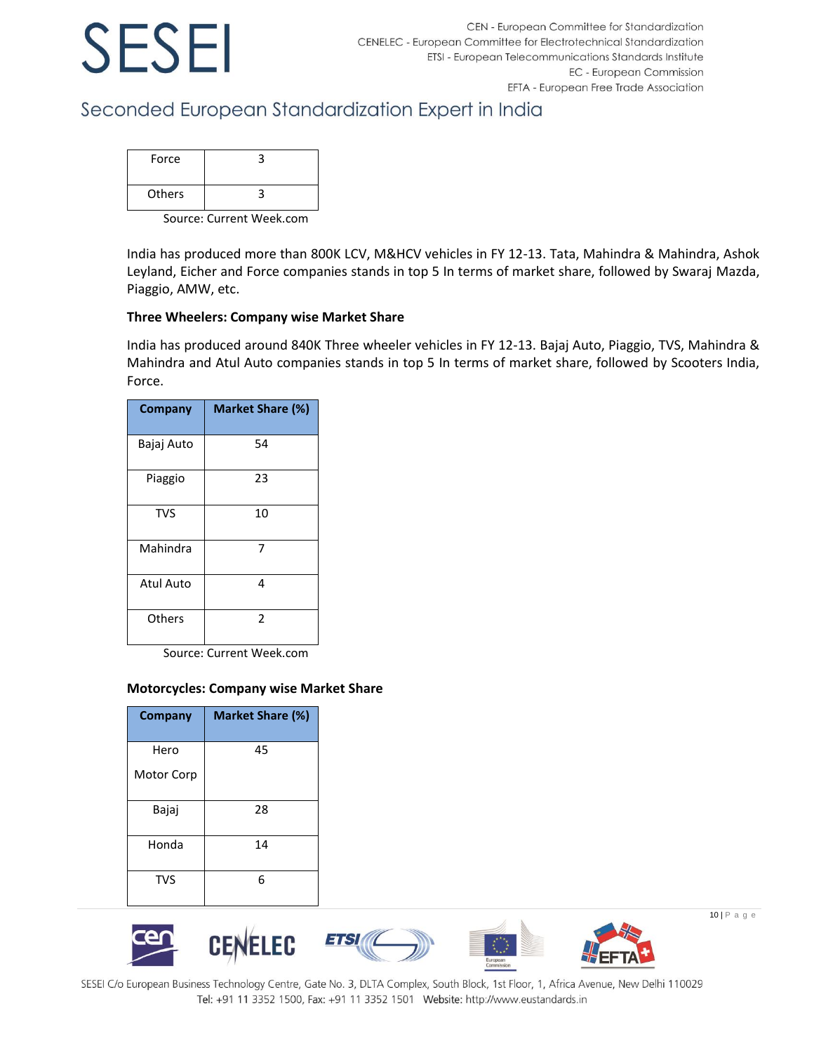## Seconded European Standardization Expert in India

| Force  |  |
|--------|--|
| Others |  |

Source: Current Week.com

India has produced more than 800K LCV, M&HCV vehicles in FY 12-13. Tata, Mahindra & Mahindra, Ashok Leyland, Eicher and Force companies stands in top 5 In terms of market share, followed by Swaraj Mazda, Piaggio, AMW, etc.

### **Three Wheelers: Company wise Market Share**

India has produced around 840K Three wheeler vehicles in FY 12-13. Bajaj Auto, Piaggio, TVS, Mahindra & Mahindra and Atul Auto companies stands in top 5 In terms of market share, followed by Scooters India, Force.

| Company          | <b>Market Share (%)</b> |
|------------------|-------------------------|
| Bajaj Auto       | 54                      |
| Piaggio          | 23                      |
| <b>TVS</b>       | 10                      |
| Mahindra         | 7                       |
| <b>Atul Auto</b> | 4                       |
| Others           | $\mathfrak z$           |

Source: Current Week.com

### **Motorcycles: Company wise Market Share**

| <b>Company</b> | <b>Market Share (%)</b> |
|----------------|-------------------------|
| Hero           | 45                      |
| Motor Corp     |                         |
| Bajaj          | 28                      |
| Honda          | 14                      |
| <b>TVS</b>     | 6                       |

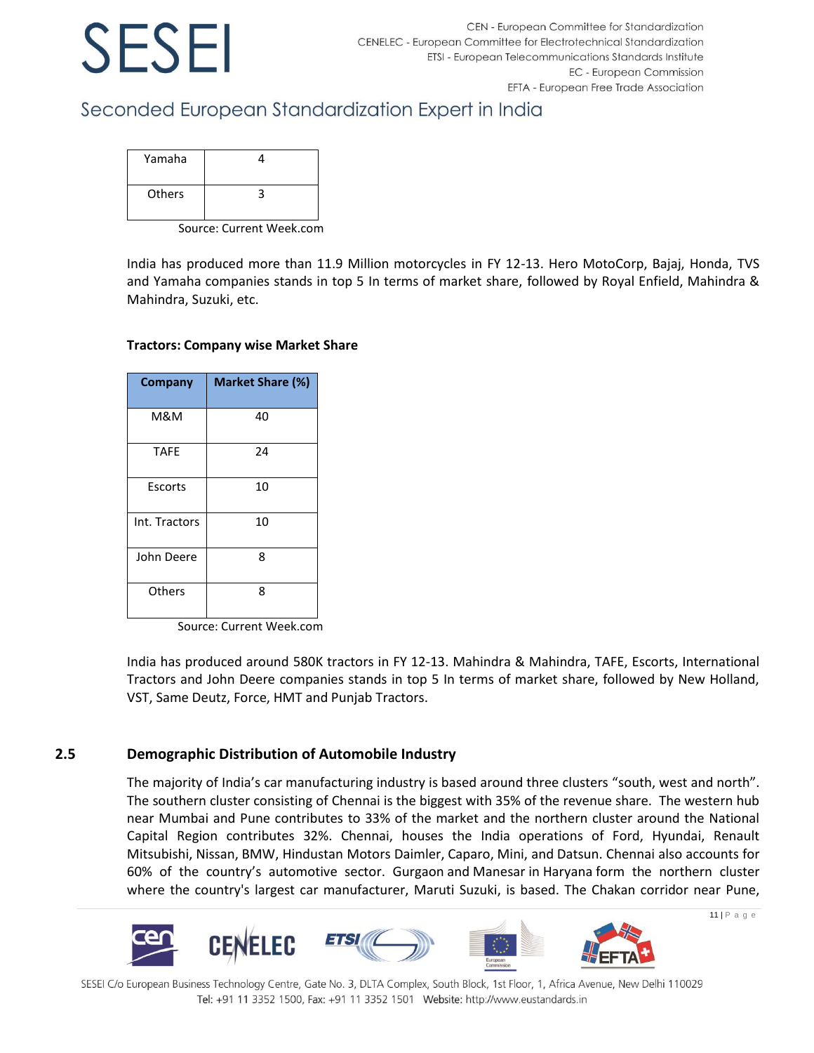## Seconded European Standardization Expert in India

| Yamaha |  |
|--------|--|
| Others |  |

Source: Current Week.com

India has produced more than 11.9 Million motorcycles in FY 12-13. Hero MotoCorp, Bajaj, Honda, TVS and Yamaha companies stands in top 5 In terms of market share, followed by Royal Enfield, Mahindra & Mahindra, Suzuki, etc.

## **Company Market Share (%)** M&M 40 TAFE 24 Escorts | 10 Int. Tractors | 10 John Deere 8 Others | 8

### **Tractors: Company wise Market Share**

Source: Current Week.com

India has produced around 580K tractors in FY 12-13. Mahindra & Mahindra, TAFE, Escorts, International Tractors and John Deere companies stands in top 5 In terms of market share, followed by New Holland, VST, Same Deutz, Force, HMT and Punjab Tractors.

### **2.5 Demographic Distribution of Automobile Industry**

The majority of India's car manufacturing industry is based around three clusters "south, west and north". The southern cluster consisting of Chennai is the biggest with 35% of the revenue share. The western hub near Mumbai and Pune contributes to 33% of the market and the northern cluster around the National Capital Region contributes 32%. Chennai, houses the India operations of Ford, Hyundai, Renault [Mitsubishi,](http://en.wikipedia.org/wiki/Mitsubishi) [Nissan,](http://en.wikipedia.org/wiki/Nissan_Motor_India_Private_Limited) [BMW,](http://en.wikipedia.org/wiki/BMW_India) Hindustan Motor[s Daimler,](http://en.wikipedia.org/wiki/Daimler_AG) [Caparo,](http://en.wikipedia.org/wiki/Caparo) [Mini,](http://en.wikipedia.org/wiki/Mini_(marque)) and [Datsun.](http://en.wikipedia.org/wiki/Datsun) Chennai also accounts for 60% of the country's automotive sector. [Gurgaon](http://en.wikipedia.org/wiki/Gurgaon) and [Manesar](http://en.wikipedia.org/wiki/Manesar) in [Haryana](http://en.wikipedia.org/wiki/Haryana) form the northern cluster where the country's largest car manufacturer, [Maruti Suzuki,](http://en.wikipedia.org/wiki/Maruti_Suzuki) is based. The Chakan corridor near Pune,



SESEI C/o European Business Technology Centre, Gate No. 3, DLTA Complex, South Block, 1st Floor, 1, Africa Avenue, New Delhi 110029 Tel: +91 11 3352 1500, Fax: +91 11 3352 1501 Website: http://www.eustandards.in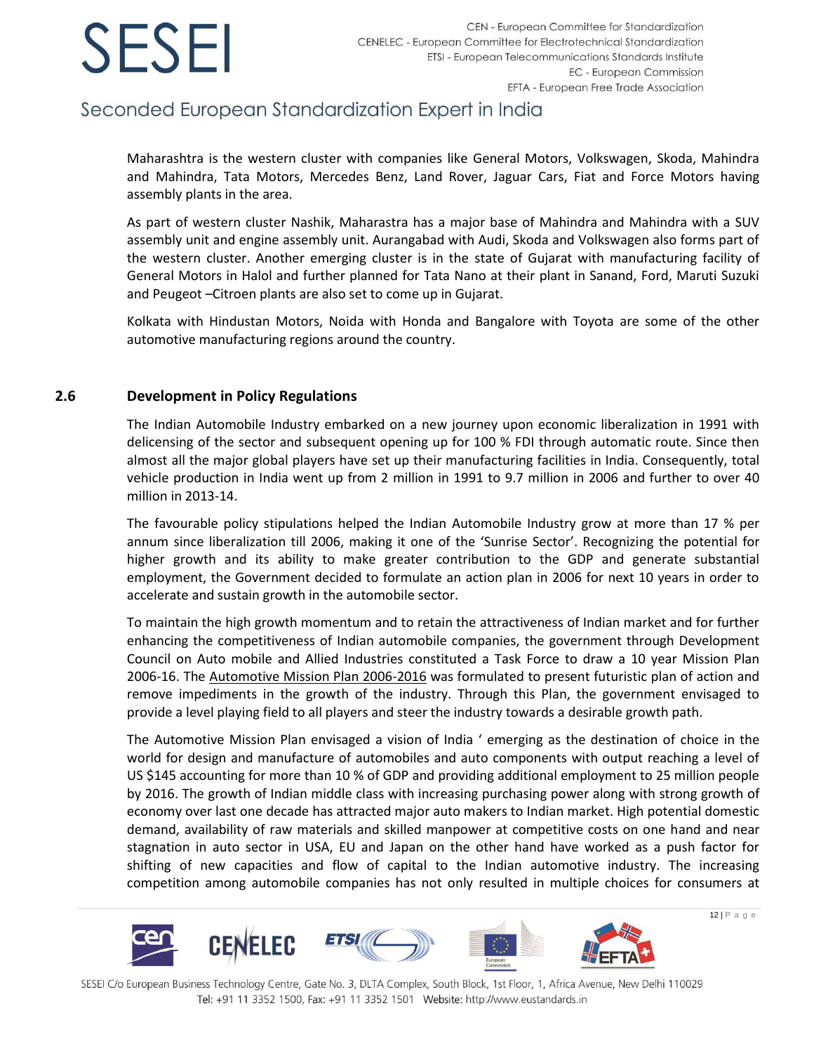## Seconded European Standardization Expert in India

Maharashtra is the western cluster with companies like General Motors, Volkswagen, Skoda, Mahindra and Mahindra, Tata Motors, Mercedes Benz, Land Rover, Jaguar Cars, Fiat and Force Motors having assembly plants in the area.

As part of western cluster Nashik, Maharastra has a major base of Mahindra and Mahindra with a SUV assembly unit and engine assembly unit. Aurangabad with Audi, Skoda and Volkswagen also forms part of the western cluster. Another emerging cluster is in the state of Gujarat with manufacturing facility of General Motors in Halol and further planned for Tata Nano at their plant in Sanand, Ford, Maruti Suzuki and Peugeot –Citroen plants are also set to come up in Gujarat.

Kolkata with Hindustan Motors, Noida with Honda and Bangalore with Toyota are some of the other automotive manufacturing regions around the country.

### **2.6 Development in Policy Regulations**

The Indian Automobile Industry embarked on a new journey upon economic liberalization in 1991 with delicensing of the sector and subsequent opening up for 100 % FDI through automatic route. Since then almost all the major global players have set up their manufacturing facilities in India. Consequently, total vehicle production in India went up from 2 million in 1991 to 9.7 million in 2006 and further to over 40 million in 2013-14.

The favourable policy stipulations helped the Indian Automobile Industry grow at more than 17 % per annum since liberalization till 2006, making it one of the 'Sunrise Sector'. Recognizing the potential for higher growth and its ability to make greater contribution to the GDP and generate substantial employment, the Government decided to formulate an action plan in 2006 for next 10 years in order to accelerate and sustain growth in the automobile sector.

To maintain the high growth momentum and to retain the attractiveness of Indian market and for further enhancing the competitiveness of Indian automobile companies, the government through Development Council on Auto mobile and Allied Industries constituted a Task Force to draw a 10 year Mission Plan 2006-16. The [Automotive Mission Plan 2006-2016](http://www.dhi.nic.in/Final_AMP_Report.pdf) was formulated to present futuristic plan of action and remove impediments in the growth of the industry. Through this Plan, the government envisaged to provide a level playing field to all players and steer the industry towards a desirable growth path.

The Automotive Mission Plan envisaged a vision of India ' emerging as the destination of choice in the world for design and manufacture of automobiles and auto components with output reaching a level of US \$145 accounting for more than 10 % of GDP and providing additional employment to 25 million people by 2016. The growth of Indian middle class with increasing purchasing power along with strong growth of economy over last one decade has attracted major auto makers to Indian market. High potential domestic demand, availability of raw materials and skilled manpower at competitive costs on one hand and near stagnation in auto sector in USA, EU and Japan on the other hand have worked as a push factor for shifting of new capacities and flow of capital to the Indian automotive industry. The increasing competition among automobile companies has not only resulted in multiple choices for consumers at

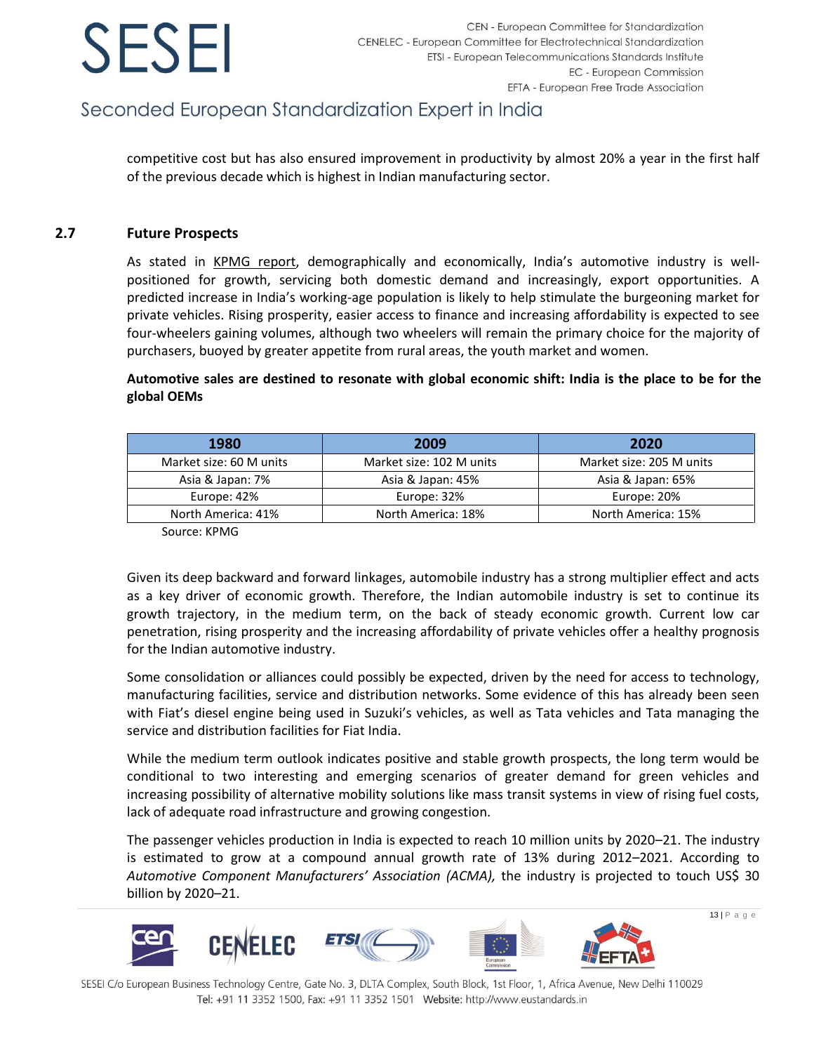## Seconded European Standardization Expert in India

competitive cost but has also ensured improvement in productivity by almost 20% a year in the first half of the previous decade which is highest in Indian manufacturing sector.

### **2.7 Future Prospects**

As stated in [KPMG report,](https://www.kpmg.de/docs/Auto_survey.pdf) demographically and economically, India's automotive industry is wellpositioned for growth, servicing both domestic demand and increasingly, export opportunities. A predicted increase in India's working-age population is likely to help stimulate the burgeoning market for private vehicles. Rising prosperity, easier access to finance and increasing affordability is expected to see four-wheelers gaining volumes, although two wheelers will remain the primary choice for the majority of purchasers, buoyed by greater appetite from rural areas, the youth market and women.

**Automotive sales are destined to resonate with global economic shift: India is the place to be for the global OEMs**

| 1980                    | 2009                     | 2020                     |
|-------------------------|--------------------------|--------------------------|
| Market size: 60 M units | Market size: 102 M units | Market size: 205 M units |
| Asia & Japan: 7%        | Asia & Japan: 45%        | Asia & Japan: 65%        |
| Europe: 42%             | Europe: 32%              | Europe: 20%              |
| North America: 41%      | North America: 18%       | North America: 15%       |

Source: KPMG

Given its deep backward and forward linkages, automobile industry has a strong multiplier effect and acts as a key driver of economic growth. Therefore, the Indian automobile industry is set to continue its growth trajectory, in the medium term, on the back of steady economic growth. Current low car penetration, rising prosperity and the increasing affordability of private vehicles offer a healthy prognosis for the Indian automotive industry.

Some consolidation or alliances could possibly be expected, driven by the need for access to technology, manufacturing facilities, service and distribution networks. Some evidence of this has already been seen with Fiat's diesel engine being used in Suzuki's vehicles, as well as Tata vehicles and Tata managing the service and distribution facilities for Fiat India.

While the medium term outlook indicates positive and stable growth prospects, the long term would be conditional to two interesting and emerging scenarios of greater demand for green vehicles and increasing possibility of alternative mobility solutions like mass transit systems in view of rising fuel costs, lack of adequate road infrastructure and growing congestion.

The passenger vehicles production in India is expected to reach 10 million units by 2020–21. The industry is estimated to grow at a compound annual growth rate of 13% during 2012–2021. According to Automotive Component Manufacturers' Association (ACMA), the industry is projected to touch US\$ 30 billion by 2020–21.

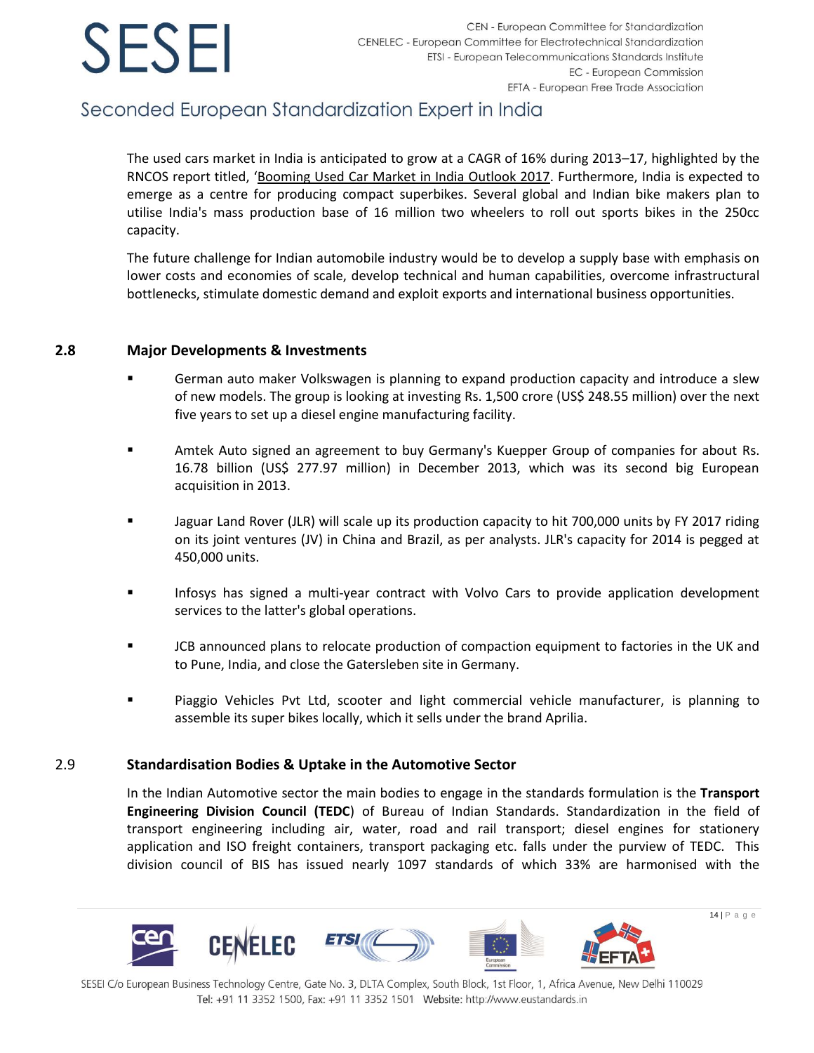## Seconded European Standardization Expert in India

The used cars market in India is anticipated to grow at a CAGR of 16% during 2013–17, highlighted by the RNCOS report titled, '[Booming Used Car Market in India Outlook 2017.](http://www.rncos.com/Press_Releases/Booming-Used-Car-Market-in-India-Outlook-2017.htm) Furthermore, India is expected to emerge as a centre for producing compact superbikes. Several global and Indian bike makers plan to utilise India's mass production base of 16 million two wheelers to roll out sports bikes in the 250cc capacity.

The future challenge for Indian automobile industry would be to develop a supply base with emphasis on lower costs and economies of scale, develop technical and human capabilities, overcome infrastructural bottlenecks, stimulate domestic demand and exploit exports and international business opportunities.

### **2.8 Major Developments & Investments**

- German auto maker Volkswagen is planning to expand production capacity and introduce a slew of new models. The group is looking at investing Rs. 1,500 crore (US\$ 248.55 million) over the next five years to set up a diesel engine manufacturing facility.
- Amtek Auto signed an agreement to buy Germany's Kuepper Group of companies for about Rs. 16.78 billion (US\$ 277.97 million) in December 2013, which was its second big European acquisition in 2013.
- Jaguar Land Rover (JLR) will scale up its production capacity to hit 700,000 units by FY 2017 riding on its joint ventures (JV) in China and Brazil, as per analysts. JLR's capacity for 2014 is pegged at 450,000 units.
- Infosys has signed a multi-year contract with Volvo Cars to provide application development services to the latter's global operations.
- JCB announced plans to relocate production of compaction equipment to factories in the UK and to Pune, India, and close the Gatersleben site in Germany.
- Piaggio Vehicles Pvt Ltd, scooter and light commercial vehicle manufacturer, is planning to assemble its super bikes locally, which it sells under the brand Aprilia.

### 2.9 **Standardisation Bodies & Uptake in the Automotive Sector**

In the Indian Automotive sector the main bodies to engage in the standards formulation is the **Transport Engineering Division Council (TEDC**) of Bureau of Indian Standards. Standardization in the field of transport engineering including air, water, road and rail transport; diesel engines for stationery application and ISO freight containers, transport packaging etc. falls under the purview of TEDC. This division council of BIS has issued nearly 1097 standards of which 33% are harmonised with the

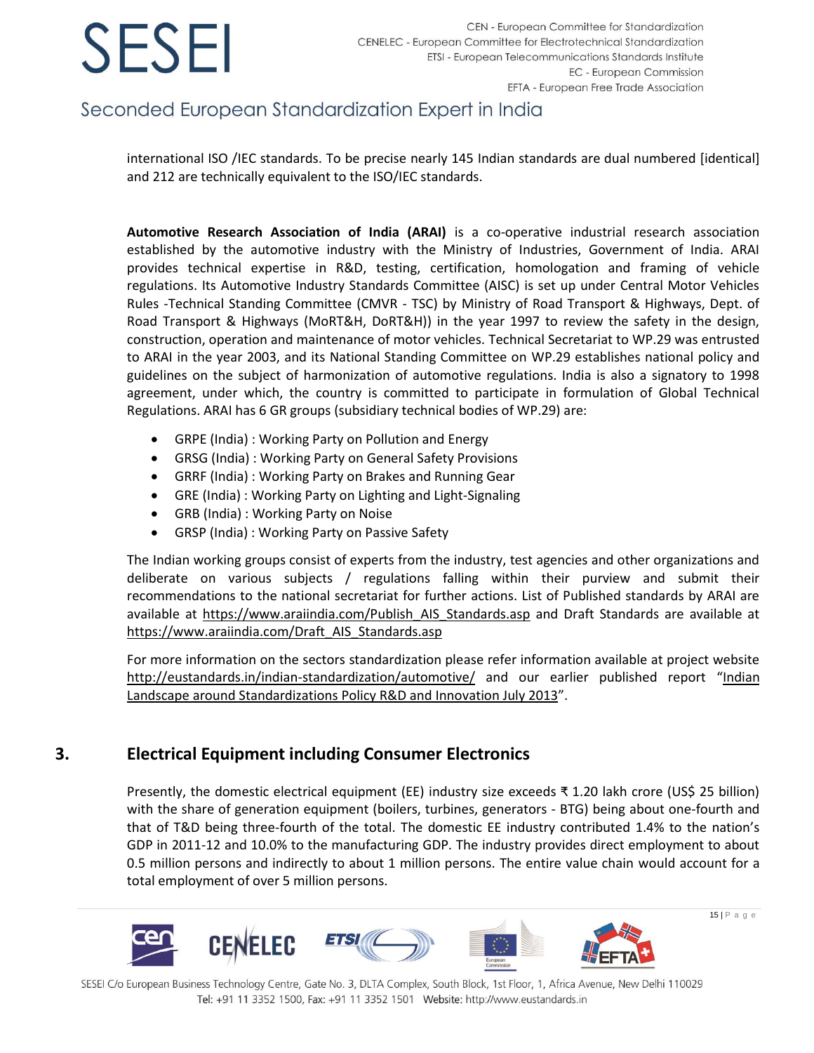## Seconded European Standardization Expert in India

international ISO /IEC standards. To be precise nearly 145 Indian standards are dual numbered [identical] and 212 are technically equivalent to the ISO/IEC standards.

**Automotive Research Association of India (ARAI)** is a co-operative industrial research association established by the automotive industry with the Ministry of Industries, Government of India. ARAI provides technical expertise in R&D, testing, certification, homologation and framing of vehicle regulations. Its Automotive Industry Standards Committee (AISC) is set up under Central Motor Vehicles Rules -Technical Standing Committee (CMVR - TSC) by Ministry of Road Transport & Highways, Dept. of Road Transport & Highways (MoRT&H, DoRT&H)) in the year 1997 to review the safety in the design, construction, operation and maintenance of motor vehicles. Technical Secretariat to WP.29 was entrusted to ARAI in the year 2003, and its National Standing Committee on WP.29 establishes national policy and guidelines on the subject of harmonization of automotive regulations. India is also a signatory to 1998 agreement, under which, the country is committed to participate in formulation of Global Technical Regulations. ARAI has 6 GR groups (subsidiary technical bodies of WP.29) are:

- GRPE (India) : Working Party on Pollution and Energy
- GRSG (India) : Working Party on General Safety Provisions
- GRRF (India) : Working Party on Brakes and Running Gear
- GRE (India) : Working Party on Lighting and Light-Signaling
- GRB (India) : Working Party on Noise
- GRSP (India) : Working Party on Passive Safety

The Indian working groups consist of experts from the industry, test agencies and other organizations and deliberate on various subjects / regulations falling within their purview and submit their recommendations to the national secretariat for further actions. List of Published standards by ARAI are available at [https://www.araiindia.com/Publish\\_AIS\\_Standards.asp](https://www.araiindia.com/Publish_AIS_Standards.asp) and Draft Standards are available at [https://www.araiindia.com/Draft\\_AIS\\_Standards.asp](https://www.araiindia.com/Draft_AIS_Standards.asp)

For more information on the sectors standardization please refer information available at project website <http://eustandards.in/indian-standardization/automotive/> and our earlier published report "[Indian](http://eustandards.in/wp-content/uploads/2013/05/Indian-Landscape-around-Standardizations-Policy-RD-and-Innovation_July-2013.pdf)  [Landscape around Standardizations Policy R&D and Innovation July](http://eustandards.in/wp-content/uploads/2013/05/Indian-Landscape-around-Standardizations-Policy-RD-and-Innovation_July-2013.pdf) 2013".

### <span id="page-15-0"></span>**3. Electrical Equipment including Consumer Electronics**

Presently, the domestic electrical equipment (EE) industry size exceeds ₹ 1.20 lakh crore (US\$ 25 billion) with the share of generation equipment (boilers, turbines, generators - BTG) being about one-fourth and that of T&D being three-fourth of the total. The domestic EE industry contributed 1.4% to the nation's GDP in 2011-12 and 10.0% to the manufacturing GDP. The industry provides direct employment to about 0.5 million persons and indirectly to about 1 million persons. The entire value chain would account for a total employment of over 5 million persons.

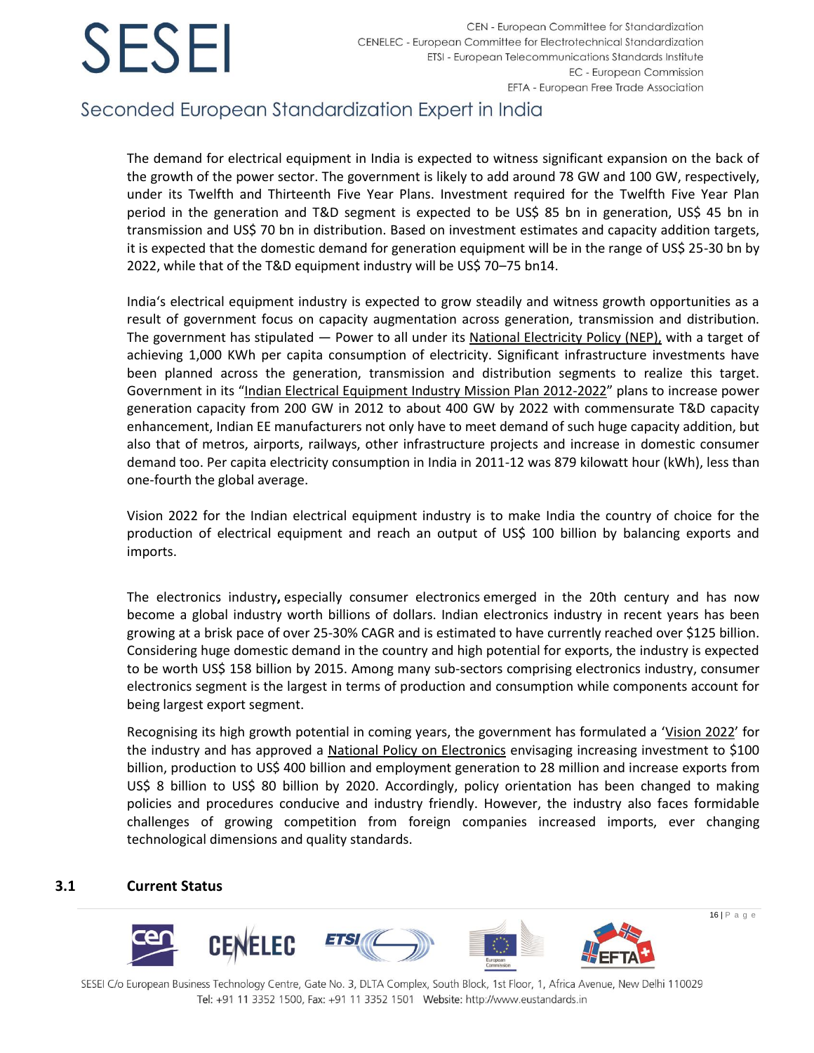## Seconded European Standardization Expert in India

The demand for electrical equipment in India is expected to witness significant expansion on the back of the growth of the power sector. The government is likely to add around 78 GW and 100 GW, respectively, under its Twelfth and Thirteenth Five Year Plans. Investment required for the Twelfth Five Year Plan period in the generation and T&D segment is expected to be US\$ 85 bn in generation, US\$ 45 bn in transmission and US\$ 70 bn in distribution. Based on investment estimates and capacity addition targets, it is expected that the domestic demand for generation equipment will be in the range of US\$ 25-30 bn by 2022, while that of the T&D equipment industry will be US\$ 70–75 bn14.

India's electrical equipment industry is expected to grow steadily and witness growth opportunities as a result of government focus on capacity augmentation across generation, transmission and distribution. The government has stipulated — Power to all under its [National Electricity Policy \(NEP\),](http://www.cea.nic.in/reports/powersystems/nep2012/generation_12.pdf) with a target of achieving 1,000 KWh per capita consumption of electricity. Significant infrastructure investments have been planned across the generation, transmission and distribution segments to realize this target. Government in its "[Indian Electrical Equipment Industry Mission Plan 2012-2022](http://dhi.nic.in/indian_electrical_equipment_industry_mission_plan_2012-2022.pdf)" plans to increase power generation capacity from 200 GW in 2012 to about 400 GW by 2022 with commensurate T&D capacity enhancement, Indian EE manufacturers not only have to meet demand of such huge capacity addition, but also that of metros, airports, railways, other infrastructure projects and increase in domestic consumer demand too. Per capita electricity consumption in India in 2011-12 was 879 kilowatt hour (kWh), less than one-fourth the global average.

Vision 2022 for the Indian electrical equipment industry is to make India the country of choice for the production of electrical equipment and reach an output of US\$ 100 billion by balancing exports and imports.

The electronics industry**,** especially [consumer electronics](http://en.wikipedia.org/wiki/Consumer_electronics) emerged in the 20th century and has now become a global industry worth billions of dollars. Indian electronics industry in recent years has been growing at a brisk pace of over 25-30% CAGR and is estimated to have currently reached over \$125 billion. Considering huge domestic demand in the country and high potential for exports, the industry is expected to be worth US\$ 158 billion by 2015. Among many sub-sectors comprising electronics industry, consumer electronics segment is the largest in terms of production and consumption while components account for being largest export segment.

Recognising its high growth potential in coming years, the government has formulated a '[Vision 2022](http://dhi.nic.in/indian_electrical_equipment_industry_mission_plan_2012-2022.pdf)' for the industry and has approved a [National Policy on Electronics](http://deity.gov.in/sites/upload_files/dit/files/NPE_Notification.pdf) envisaging increasing investment to \$100 billion, production to US\$ 400 billion and employment generation to 28 million and increase exports from US\$ 8 billion to US\$ 80 billion by 2020. Accordingly, policy orientation has been changed to making policies and procedures conducive and industry friendly. However, the industry also faces formidable challenges of growing competition from foreign companies increased imports, ever changing technological dimensions and quality standards.

### **3.1 Current Status**

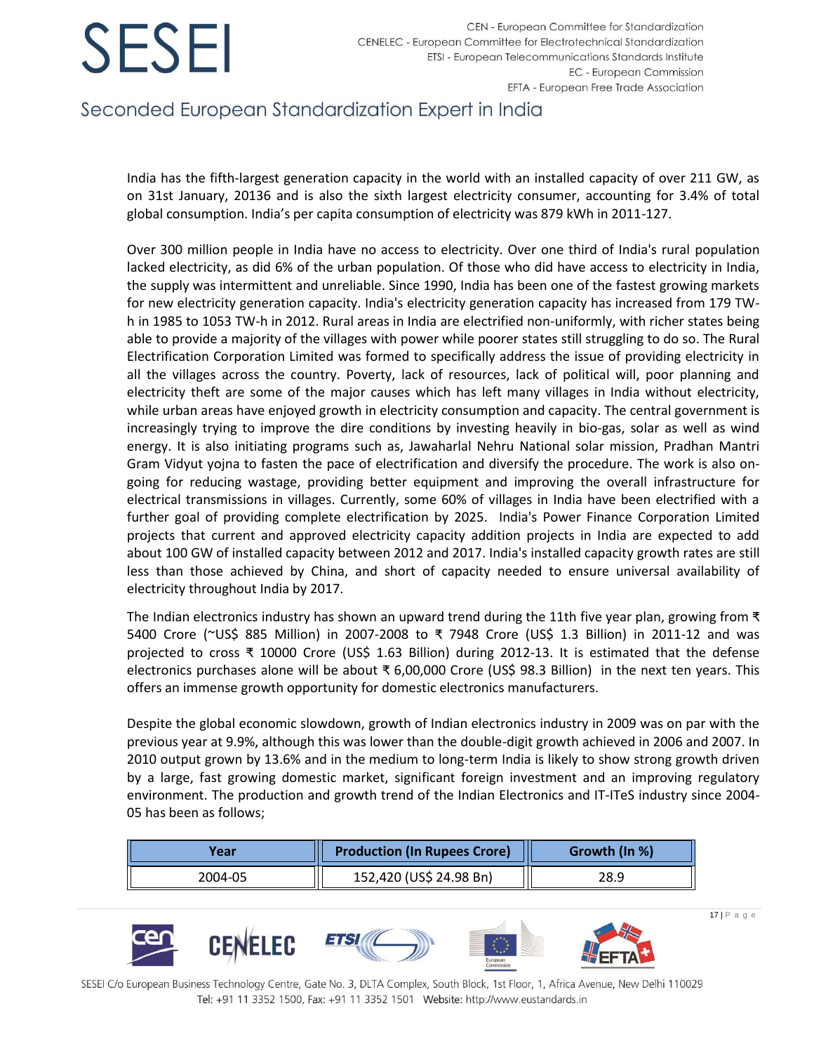## Seconded European Standardization Expert in India

India has the fifth-largest generation capacity in the world with an installed capacity of over 211 GW, as on 31st January, 20136 and is also the sixth largest electricity consumer, accounting for 3.4% of total global consumption. India's per capita consumption of electricity was 879 kWh in 2011-127.

Over 300 million people in India have no access to electricity. Over one third of India's rural population lacked electricity, as did 6% of the urban population. Of those who did have access to electricity in India, the supply was intermittent and unreliable. Since 1990, India has been one of the fastest growing markets for new electricity generation capacity. India's electricity generation capacity has increased from 179 TWh in 1985 to 1053 TW-h in 2012. Rural areas in India are electrified non-uniformly, with richer states being able to provide a majority of the villages with power while poorer states still struggling to do so. The Rural Electrification Corporation Limited was formed to specifically address the issue of providing electricity in all the villages across the country. Poverty, lack of resources, lack of political will, poor planning and electricity theft are some of the major causes which has left many villages in India without electricity, while urban areas have enjoyed growth in electricity consumption and capacity. The central government is increasingly trying to improve the dire conditions by investing heavily in bio-gas, solar as well as wind energy. It is also initiating programs such as, Jawaharlal Nehru National solar mission, Pradhan Mantri Gram Vidyut yojna to fasten the pace of electrification and diversify the procedure. The work is also ongoing for reducing wastage, providing better equipment and improving the overall infrastructure for electrical transmissions in villages. Currently, some 60% of villages in India have been electrified with a further goal of providing complete electrification by 2025. India's Power Finance Corporation Limited projects that current and approved electricity capacity addition projects in India are expected to add about 100 GW of installed capacity between 2012 and 2017. India's installed capacity growth rates are still less than those achieved by China, and short of capacity needed to ensure universal availability of electricity throughout India by 2017.

The Indian electronics industry has shown an upward trend during the 11th five year plan, growing from ₹ 5400 Crore (~US\$ 885 Million) in 2007-2008 to ₹ 7948 Crore (US\$ 1.3 Billion) in 2011-12 and was projected to cross ₹ 10000 Crore (US\$ 1.63 Billion) during 2012-13. It is estimated that the defense electronics purchases alone will be about ₹ 6,00,000 Crore (US\$ 98.3 Billion) in the next ten years. This offers an immense growth opportunity for domestic electronics manufacturers.

Despite the global economic slowdown, growth of Indian electronics industry in 2009 was on par with the previous year at 9.9%, although this was lower than the double-digit growth achieved in 2006 and 2007. In 2010 output grown by 13.6% and in the medium to long-term India is likely to show strong growth driven by a large, fast growing domestic market, significant foreign investment and an improving regulatory environment. The production and growth trend of the Indian Electronics and IT-ITeS industry since 2004- 05 has been as follows;

| Year    | <b>Production (In Rupees Crore)</b> | Growth (In %) |
|---------|-------------------------------------|---------------|
| 2004-05 | 152,420 (US\$ 24.98 Bn)             | 28.9          |

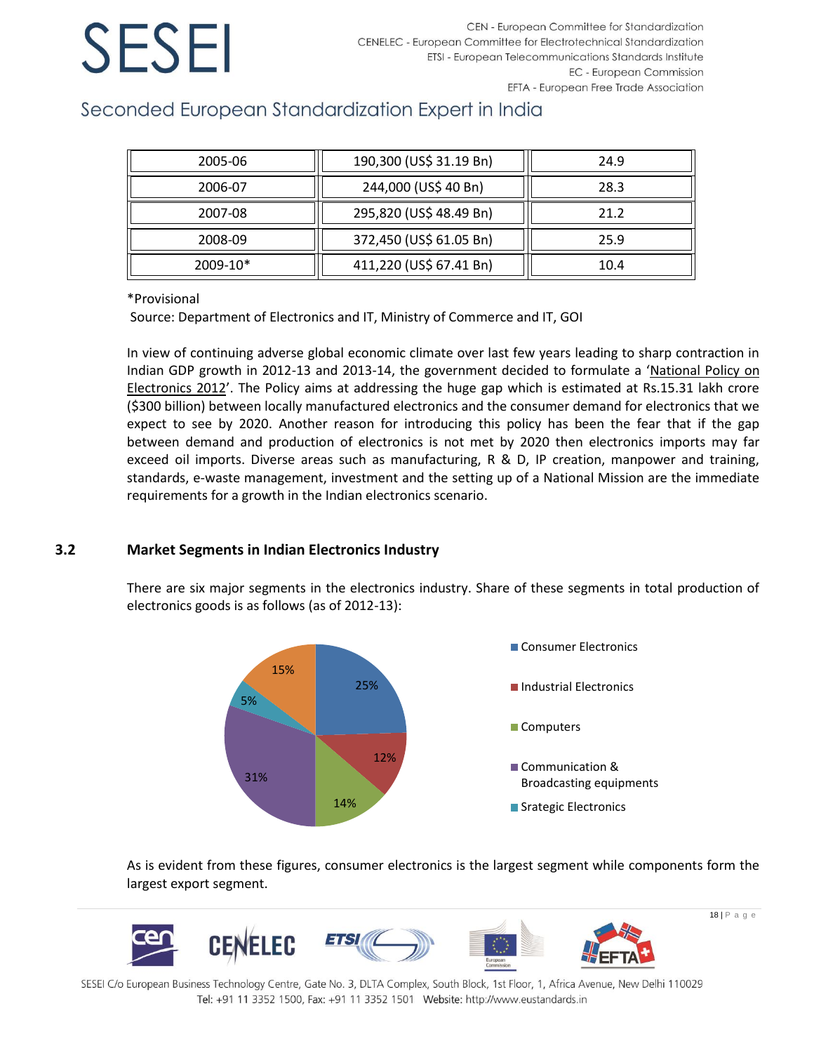## Seconded European Standardization Expert in India

| 2005-06  | 190,300 (US\$ 31.19 Bn) | 24.9 |
|----------|-------------------------|------|
| 2006-07  | 244,000 (US\$ 40 Bn)    | 28.3 |
| 2007-08  | 295,820 (US\$ 48.49 Bn) | 21.2 |
| 2008-09  | 372,450 (US\$ 61.05 Bn) | 25.9 |
| 2009-10* | 411,220 (US\$ 67.41 Bn) | 10.4 |

### \*Provisional

Source: Department of Electronics and IT, Ministry of Commerce and IT, GOI

In view of continuing adverse global economic climate over last few years leading to sharp contraction in Indian GDP growth in 2012-13 and 2013-14, the government decided to formulate a '[National Policy on](http://deity.gov.in/sites/upload_files/dit/files/NPE_Notification.pdf)  [Electronics 2012](http://deity.gov.in/sites/upload_files/dit/files/NPE_Notification.pdf)'. The Policy aims at addressing the huge gap which is estimated at Rs.15.31 lakh crore (\$300 billion) between locally manufactured electronics and the consumer demand for electronics that we expect to see by 2020. Another reason for introducing this policy has been the fear that if the gap between demand and production of electronics is not met by 2020 then electronics imports may far exceed oil imports. Diverse areas such as manufacturing, R & D, IP creation, manpower and training, standards, e-waste management, investment and the setting up of a National Mission are the immediate requirements for a growth in the Indian electronics scenario.

### **3.2 Market Segments in Indian Electronics Industry**

There are six major segments in the electronics industry. Share of these segments in total production of electronics goods is as follows (as of 2012-13):



As is evident from these figures, consumer electronics is the largest segment while components form the largest export segment.

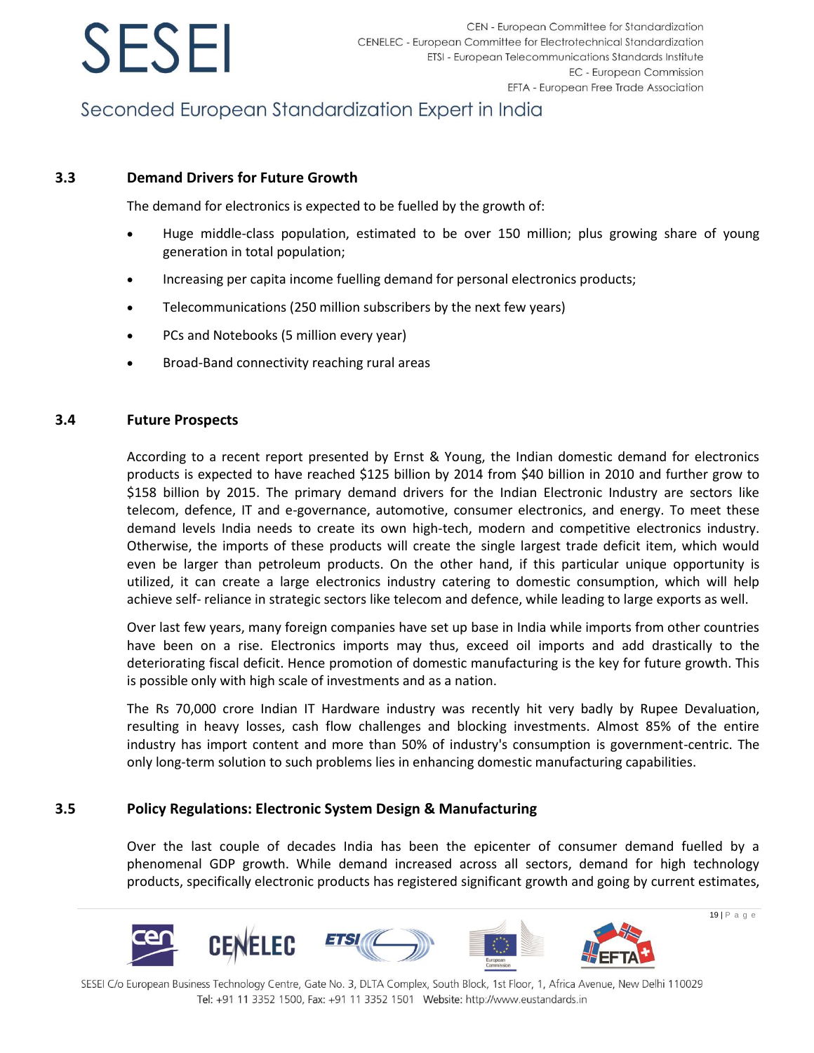

## Seconded European Standardization Expert in India

### **3.3 Demand Drivers for Future Growth**

The demand for electronics is expected to be fuelled by the growth of:

- Huge middle-class population, estimated to be over 150 million; plus growing share of young generation in total population;
- Increasing per capita income fuelling demand for personal electronics products;
- Telecommunications (250 million subscribers by the next few years)
- PCs and Notebooks (5 million every year)
- Broad-Band connectivity reaching rural areas

### **3.4 Future Prospects**

According to a recent report presented by Ernst & Young, the Indian domestic demand for electronics products is expected to have reached \$125 billion by 2014 from \$40 billion in 2010 and further grow to \$158 billion by 2015. The primary demand drivers for the Indian Electronic Industry are sectors like telecom, defence, IT and e-governance, automotive, consumer electronics, and energy. To meet these demand levels India needs to create its own high-tech, modern and competitive electronics industry. Otherwise, the imports of these products will create the single largest trade deficit item, which would even be larger than petroleum products. On the other hand, if this particular unique opportunity is utilized, it can create a large electronics industry catering to domestic consumption, which will help achieve self- reliance in strategic sectors like telecom and defence, while leading to large exports as well.

Over last few years, many foreign companies have set up base in India while imports from other countries have been on a rise. Electronics imports may thus, exceed oil imports and add drastically to the deteriorating fiscal deficit. Hence promotion of domestic manufacturing is the key for future growth. This is possible only with high scale of investments and as a nation.

The Rs 70,000 crore Indian IT Hardware industry was recently hit very badly by Rupee Devaluation, resulting in heavy losses, cash flow challenges and blocking investments. Almost 85% of the entire industry has import content and more than 50% of industry's consumption is government-centric. The only long-term solution to such problems lies in enhancing domestic manufacturing capabilities.

### **3.5 Policy Regulations: Electronic System Design & Manufacturing**

Over the last couple of decades India has been the epicenter of consumer demand fuelled by a phenomenal GDP growth. While demand increased across all sectors, demand for high technology products, specifically electronic products has registered significant growth and going by current estimates,

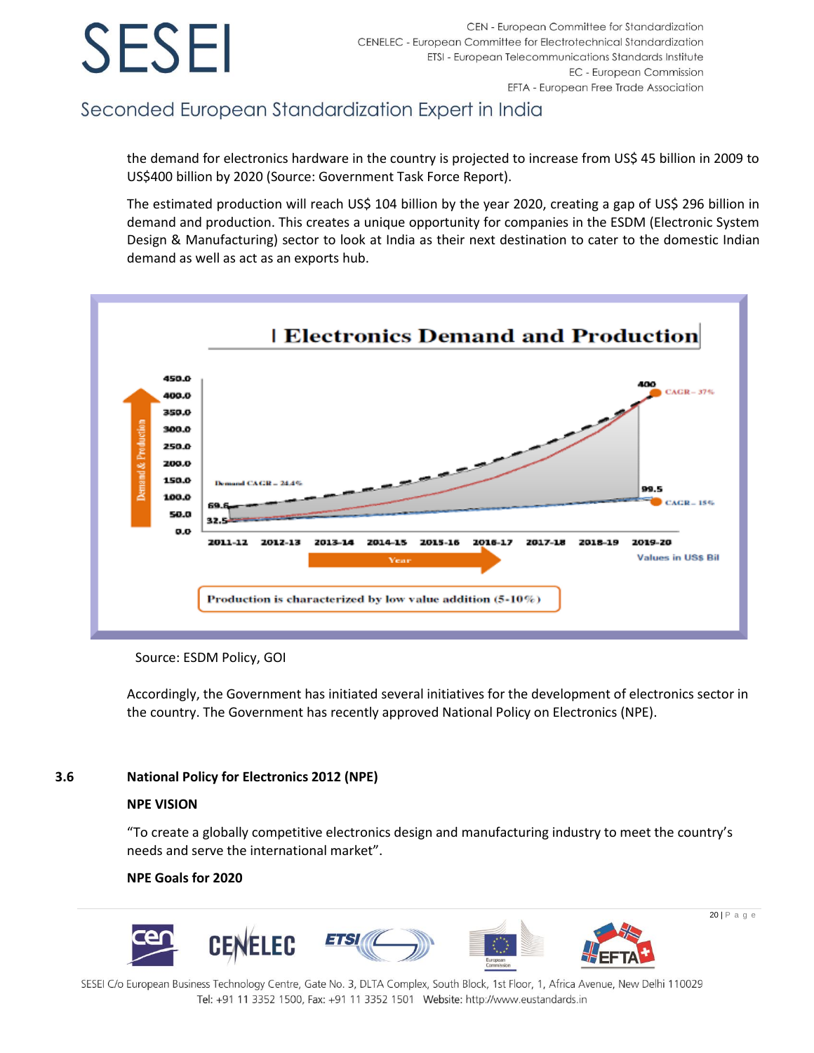## Seconded European Standardization Expert in India

the demand for electronics hardware in the country is projected to increase from US\$ 45 billion in 2009 to US\$400 billion by 2020 (Source: Government Task Force Report).

The estimated production will reach US\$ 104 billion by the year 2020, creating a gap of US\$ 296 billion in demand and production. This creates a unique opportunity for companies in the ESDM (Electronic System Design & Manufacturing) sector to look at India as their next destination to cater to the domestic Indian demand as well as act as an exports hub.



Source: ESDM Policy, GOI

Accordingly, the Government has initiated several initiatives for the development of electronics sector in the country. The Government has recently approved National Policy on Electronics (NPE).

### **3.6 National Policy for Electronics 2012 (NPE)**

### **NPE VISION**

"To create a globally competitive electronics design and manufacturing industry to meet the country's needs and serve the international market".

### **NPE Goals for 2020**

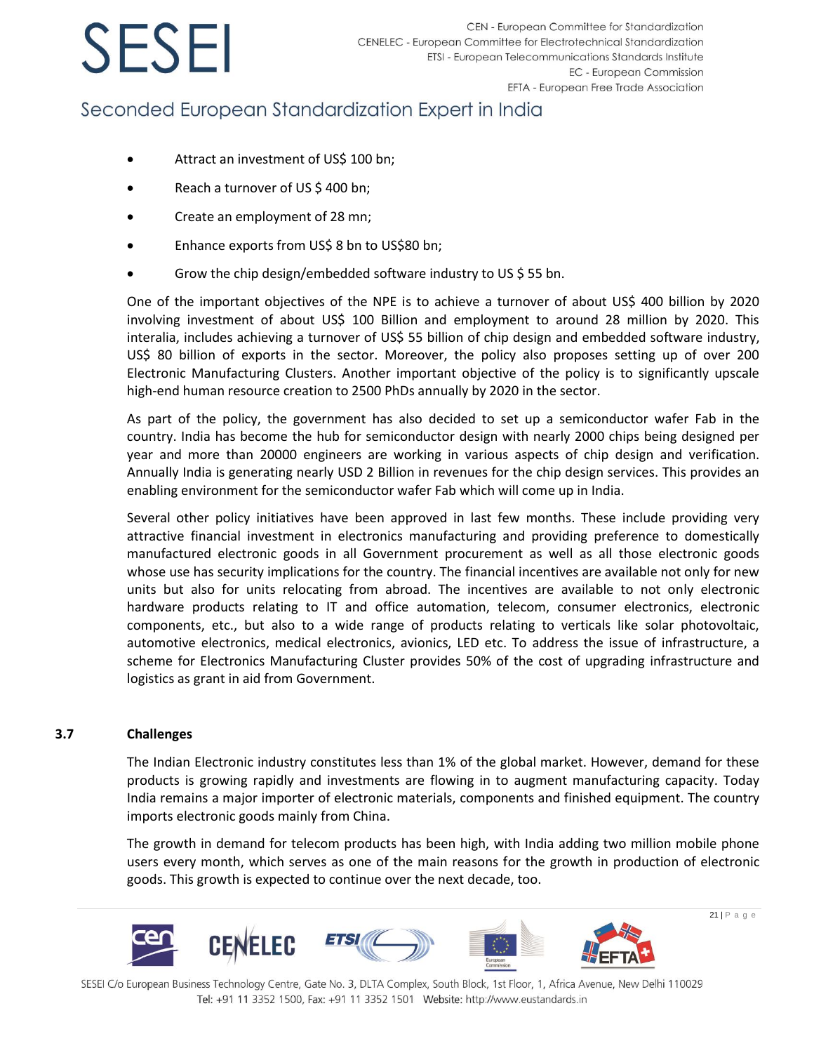## Seconded European Standardization Expert in India

- Attract an investment of US\$ 100 bn;
- Reach a turnover of US \$400 bn;
- Create an employment of 28 mn;
- Enhance exports from US\$ 8 bn to US\$80 bn;
- Grow the chip design/embedded software industry to US \$ 55 bn.

One of the important objectives of the NPE is to achieve a turnover of about US\$ 400 billion by 2020 involving investment of about US\$ 100 Billion and employment to around 28 million by 2020. This interalia, includes achieving a turnover of US\$ 55 billion of chip design and embedded software industry, US\$ 80 billion of exports in the sector. Moreover, the policy also proposes setting up of over 200 Electronic Manufacturing Clusters. Another important objective of the policy is to significantly upscale high-end human resource creation to 2500 PhDs annually by 2020 in the sector.

As part of the policy, the government has also decided to set up a semiconductor wafer Fab in the country. India has become the hub for semiconductor design with nearly 2000 chips being designed per year and more than 20000 engineers are working in various aspects of chip design and verification. Annually India is generating nearly USD 2 Billion in revenues for the chip design services. This provides an enabling environment for the semiconductor wafer Fab which will come up in India.

Several other policy initiatives have been approved in last few months. These include providing very attractive financial investment in electronics manufacturing and providing preference to domestically manufactured electronic goods in all Government procurement as well as all those electronic goods whose use has security implications for the country. The financial incentives are available not only for new units but also for units relocating from abroad. The incentives are available to not only electronic hardware products relating to IT and office automation, telecom, consumer electronics, electronic components, etc., but also to a wide range of products relating to verticals like solar photovoltaic, automotive electronics, medical electronics, avionics, LED etc. To address the issue of infrastructure, a scheme for Electronics Manufacturing Cluster provides 50% of the cost of upgrading infrastructure and logistics as grant in aid from Government.

### **3.7 Challenges**

The Indian Electronic industry constitutes less than 1% of the global market. However, demand for these products is growing rapidly and investments are flowing in to augment manufacturing capacity. Today India remains a major importer of electronic materials, components and finished equipment. The country imports electronic goods mainly from China.

The growth in demand for telecom products has been high, with India adding two million mobile phone users every month, which serves as one of the main reasons for the growth in production of electronic goods. This growth is expected to continue over the next decade, too.



SESEI C/o European Business Technology Centre, Gate No. 3, DLTA Complex, South Block, 1st Floor, 1, Africa Avenue, New Delhi 110029 Tel: +91 11 3352 1500, Fax: +91 11 3352 1501 Website: http://www.eustandards.in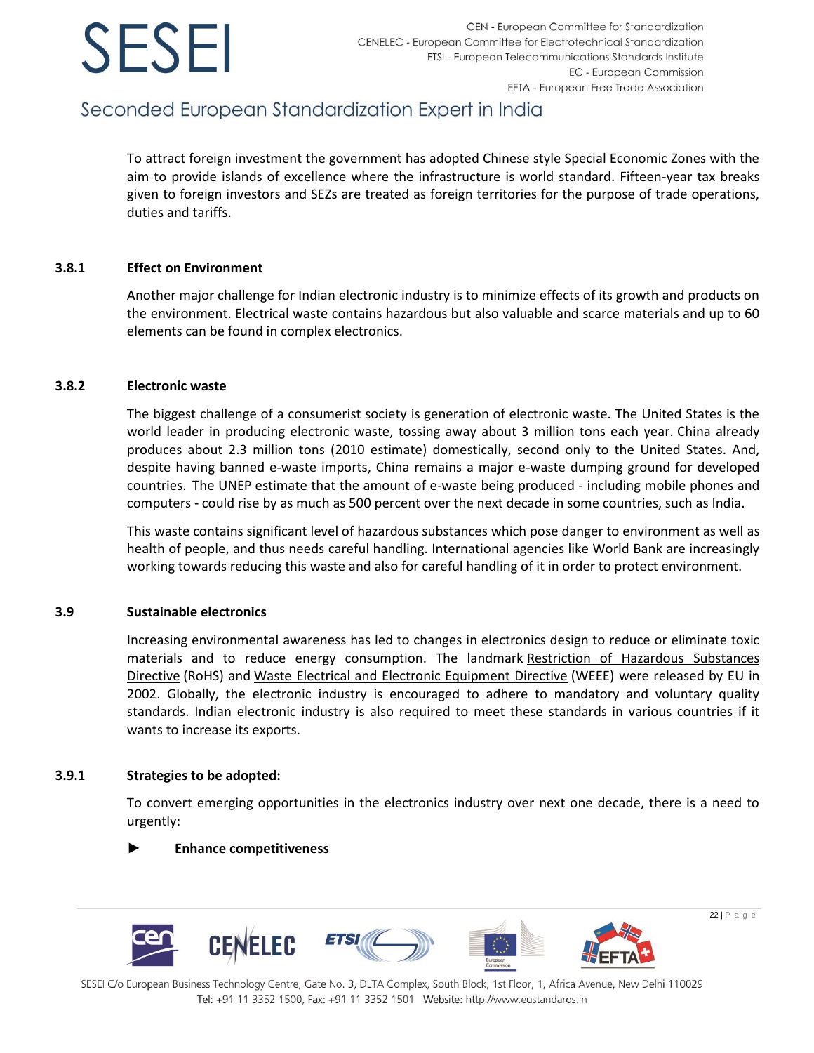## Seconded European Standardization Expert in India

To attract foreign investment the government has adopted Chinese style Special Economic Zones with the aim to provide islands of excellence where the infrastructure is world standard. Fifteen-year tax breaks given to foreign investors and SEZs are treated as foreign territories for the purpose of trade operations, duties and tariffs.

### **3.8.1 Effect on Environment**

Another major challenge for Indian electronic industry is to minimize effects of its growth and products on the environment. Electrical waste contains hazardous but also valuable and scarce materials and up to 60 elements can be found in complex electronics.

### **3.8.2 Electronic waste**

The biggest challenge of a consumerist society is generation of electronic waste. The United States is the world leader in producing electronic waste, tossing away about 3 million tons each year. China already produces about 2.3 million tons (2010 estimate) domestically, second only to the United States. And, despite having banned e-waste imports, China remains a major e-waste dumping ground for developed countries. The UNEP estimate that the amount of e-waste being produced - including mobile phones and computers - could rise by as much as 500 percent over the next decade in some countries, such as India.

This waste contains significant level of hazardous substances which pose danger to environment as well as health of people, and thus needs careful handling. International agencies like World Bank are increasingly working towards reducing this waste and also for careful handling of it in order to protect environment.

### **3.9 Sustainable electronics**

Increasing environmental awareness has led to changes in electronics design to reduce or eliminate toxic materials and to reduce energy consumption. The landmark Restriction of Hazardous Substances [Directive](http://en.wikipedia.org/wiki/Restriction_of_Hazardous_Substances_Directive) (RoHS) and [Waste Electrical and Electronic Equipment Directive](http://en.wikipedia.org/wiki/Waste_Electrical_and_Electronic_Equipment_Directive) (WEEE) were released by EU in 2002. Globally, the electronic industry is encouraged to adhere to mandatory and voluntary quality standards. Indian electronic industry is also required to meet these standards in various countries if it wants to increase its exports.

### **3.9.1 Strategies to be adopted:**

To convert emerging opportunities in the electronics industry over next one decade, there is a need to urgently:

### ► **Enhance competitiveness**

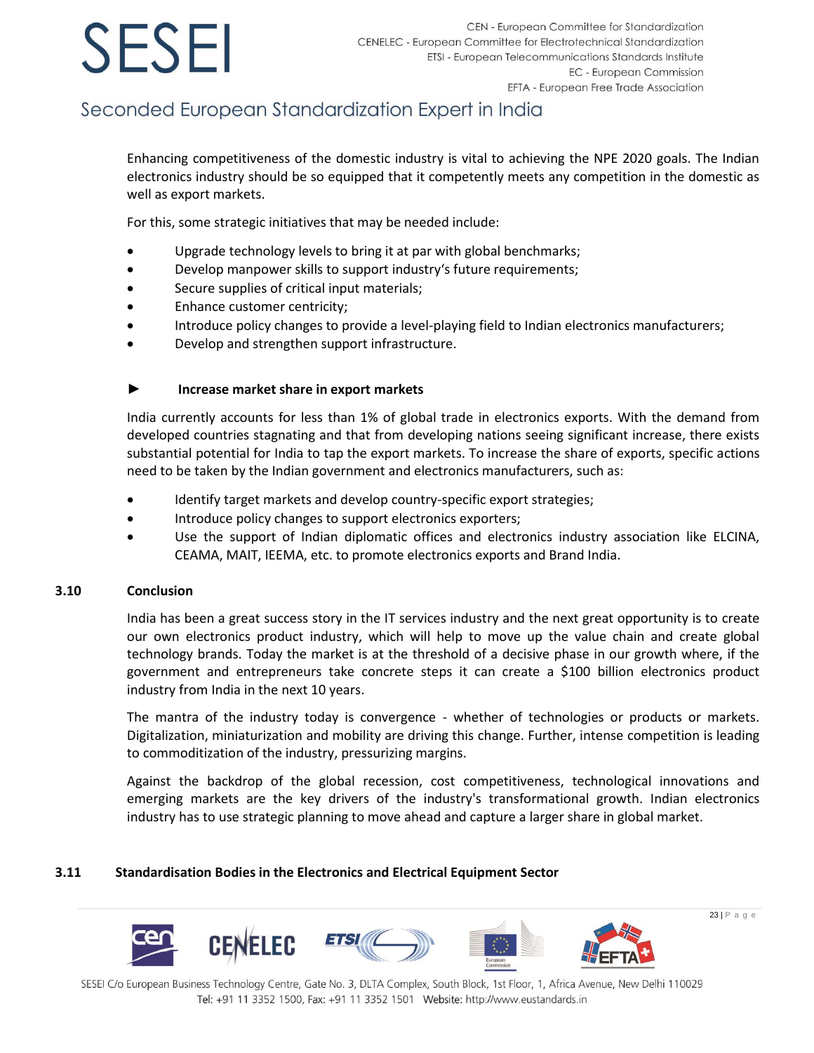## Seconded European Standardization Expert in India

Enhancing competitiveness of the domestic industry is vital to achieving the NPE 2020 goals. The Indian electronics industry should be so equipped that it competently meets any competition in the domestic as well as export markets.

For this, some strategic initiatives that may be needed include:

- Upgrade technology levels to bring it at par with global benchmarks;
- Develop manpower skills to support industry's future requirements;
- Secure supplies of critical input materials;
- Enhance customer centricity;
- Introduce policy changes to provide a level-playing field to Indian electronics manufacturers;
- Develop and strengthen support infrastructure.

### ► **Increase market share in export markets**

India currently accounts for less than 1% of global trade in electronics exports. With the demand from developed countries stagnating and that from developing nations seeing significant increase, there exists substantial potential for India to tap the export markets. To increase the share of exports, specific actions need to be taken by the Indian government and electronics manufacturers, such as:

- Identify target markets and develop country-specific export strategies;
- Introduce policy changes to support electronics exporters;
- Use the support of Indian diplomatic offices and electronics industry association like ELCINA, CEAMA, MAIT, IEEMA, etc. to promote electronics exports and Brand India.

### **3.10 Conclusion**

India has been a great success story in the IT services industry and the next great opportunity is to create our own electronics product industry, which will help to move up the value chain and create global technology brands. Today the market is at the threshold of a decisive phase in our growth where, if the government and entrepreneurs take concrete steps it can create a \$100 billion electronics product industry from India in the next 10 years.

The mantra of the industry today is convergence - whether of technologies or products or markets. Digitalization, miniaturization and mobility are driving this change. Further, intense competition is leading to commoditization of the industry, pressurizing margins.

Against the backdrop of the global recession, cost competitiveness, technological innovations and emerging markets are the key drivers of the industry's transformational growth. Indian electronics industry has to use strategic planning to move ahead and capture a larger share in global market.

### **3.11 Standardisation Bodies in the Electronics and Electrical Equipment Sector**

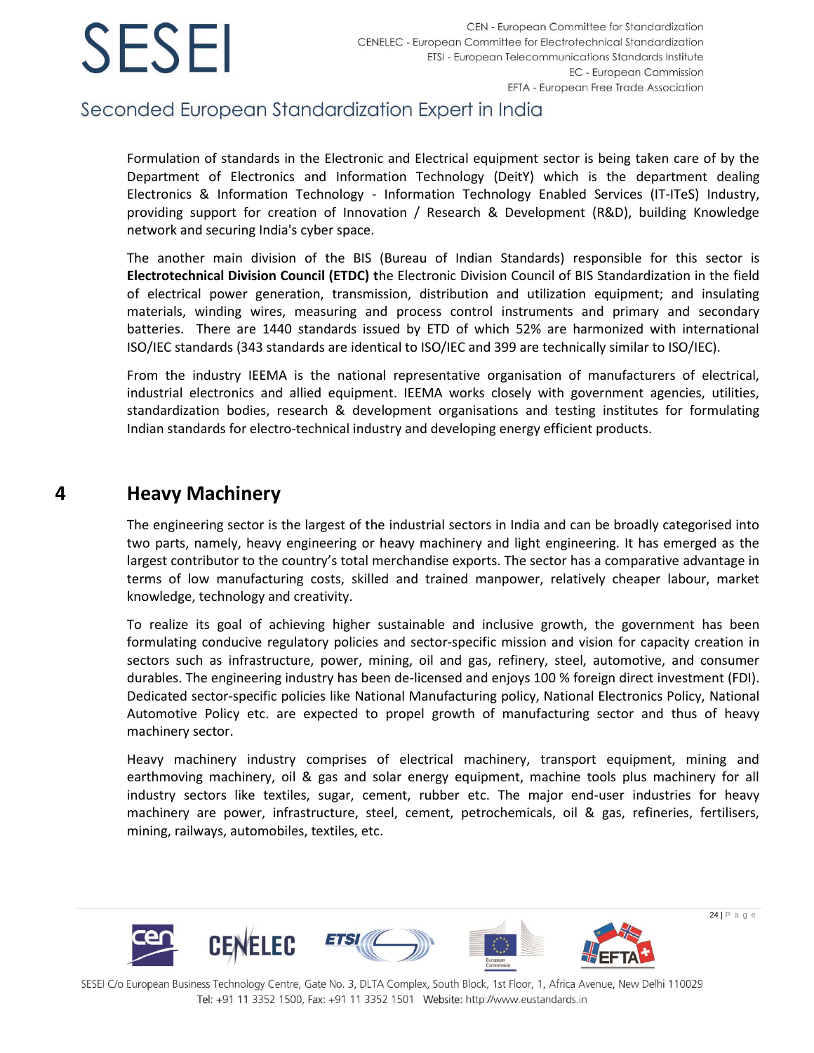

### Seconded European Standardization Expert in India

Formulation of standards in the Electronic and Electrical equipment sector is being taken care of by the Department of Electronics and Information Technology (DeitY) which is the department dealing Electronics & Information Technology - Information Technology Enabled Services (IT-ITeS) Industry, providing support for creation of Innovation / Research & Development (R&D), building Knowledge network and securing India's cyber space.

The another main division of the BIS (Bureau of Indian Standards) responsible for this sector is **Electrotechnical Division Council (ETDC) t**he Electronic Division Council of BIS Standardization in the field of electrical power generation, transmission, distribution and utilization equipment; and insulating materials, winding wires, measuring and process control instruments and primary and secondary batteries. There are 1440 standards issued by ETD of which 52% are harmonized with international ISO/IEC standards (343 standards are identical to ISO/IEC and 399 are technically similar to ISO/IEC).

From the industry IEEMA is the national representative organisation of manufacturers of electrical, industrial electronics and allied equipment. IEEMA works closely with government agencies, utilities, standardization bodies, research & development organisations and testing institutes for formulating Indian standards for electro-technical industry and developing energy efficient products.

### <span id="page-24-0"></span>**4 Heavy Machinery**

The engineering sector is the largest of the industrial sectors in India and can be broadly categorised into two parts, namely, heavy engineering or heavy machinery and light engineering. It has emerged as the largest contributor to the country's total merchandise exports. The sector has a comparative advantage in terms of low manufacturing costs, skilled and trained manpower, relatively cheaper labour, market knowledge, technology and creativity.

To realize its goal of achieving higher sustainable and inclusive growth, the government has been formulating conducive regulatory policies and sector-specific mission and vision for capacity creation in sectors such as infrastructure, power, mining, oil and gas, refinery, steel, automotive, and consumer durables. The engineering industry has been de-licensed and enjoys 100 % foreign direct investment (FDI). Dedicated sector-specific policies like National Manufacturing policy, National Electronics Policy, National Automotive Policy etc. are expected to propel growth of manufacturing sector and thus of heavy machinery sector.

Heavy machinery industry comprises of electrical machinery, transport equipment, mining and earthmoving machinery, oil & gas and solar energy equipment, machine tools plus machinery for all industry sectors like textiles, sugar, cement, rubber etc. The major end-user industries for heavy machinery are power, infrastructure, steel, cement, petrochemicals, oil & gas, refineries, fertilisers, mining, railways, automobiles, textiles, etc.

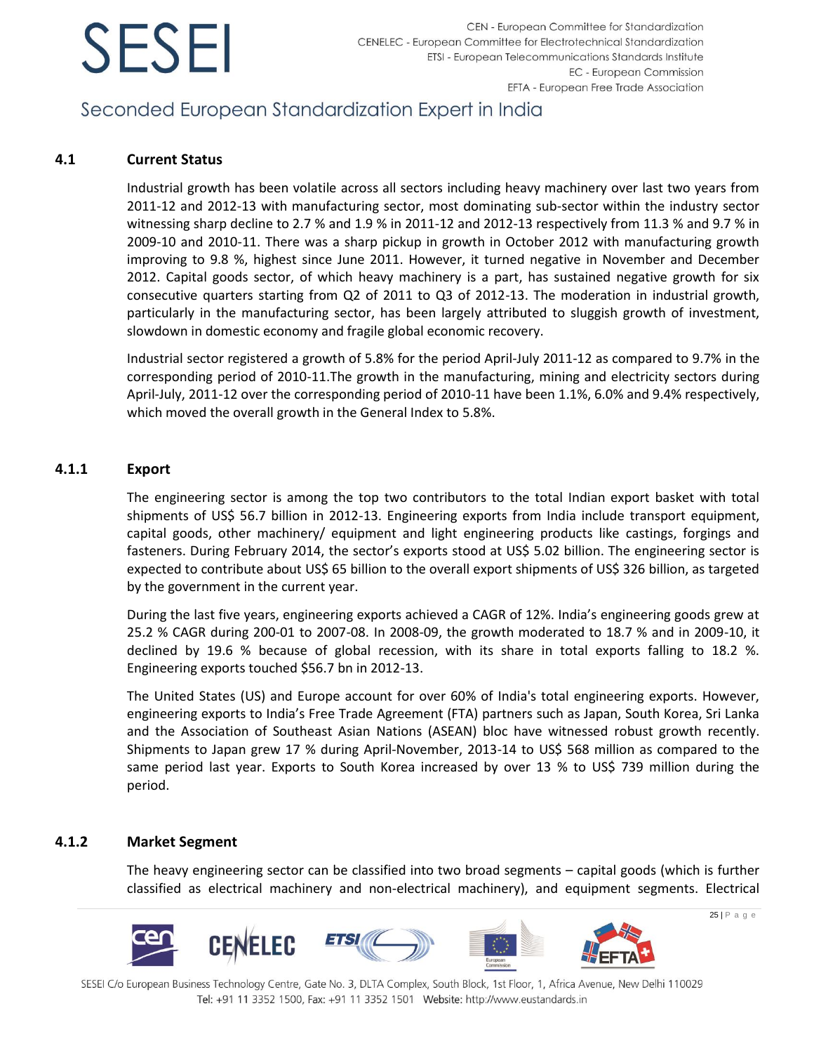## Seconded European Standardization Expert in India

### **4.1 Current Status**

Industrial growth has been volatile across all sectors including heavy machinery over last two years from 2011-12 and 2012-13 with manufacturing sector, most dominating sub-sector within the industry sector witnessing sharp decline to 2.7 % and 1.9 % in 2011-12 and 2012-13 respectively from 11.3 % and 9.7 % in 2009-10 and 2010-11. There was a sharp pickup in growth in October 2012 with manufacturing growth improving to 9.8 %, highest since June 2011. However, it turned negative in November and December 2012. Capital goods sector, of which heavy machinery is a part, has sustained negative growth for six consecutive quarters starting from Q2 of 2011 to Q3 of 2012-13. The moderation in industrial growth, particularly in the manufacturing sector, has been largely attributed to sluggish growth of investment, slowdown in domestic economy and fragile global economic recovery.

Industrial sector registered a growth of 5.8% for the period April-July 2011-12 as compared to 9.7% in the corresponding period of 2010-11.The growth in the manufacturing, mining and electricity sectors during April-July, 2011-12 over the corresponding period of 2010-11 have been 1.1%, 6.0% and 9.4% respectively, which moved the overall growth in the General Index to 5.8%.

### **4.1.1 Export**

The engineering sector is among the top two contributors to the total Indian export basket with total shipments of US\$ 56.7 billion in 2012-13. Engineering exports from India include transport equipment, capital goods, other machinery/ equipment and light engineering products like castings, forgings and fasteners. During February 2014, the sector's exports stood at US\$ 5.02 billion. The engineering sector is expected to contribute about US\$ 65 billion to the overall export shipments of US\$ 326 billion, as targeted by the government in the current year.

During the last five years, engineering exports achieved a CAGR of 12%. India's engineering goods grew at 25.2 % CAGR during 200-01 to 2007-08. In 2008-09, the growth moderated to 18.7 % and in 2009-10, it declined by 19.6 % because of global recession, with its share in total exports falling to 18.2 %. Engineering exports touched \$56.7 bn in 2012-13.

The United States (US) and Europe account for over 60% of India's total engineering exports. However, engineering exports to India's Free Trade Agreement (FTA) partners such as Japan, South Korea, Sri Lanka and the Association of Southeast Asian Nations (ASEAN) bloc have witnessed robust growth recently. Shipments to Japan grew 17 % during April-November, 2013-14 to US\$ 568 million as compared to the same period last year. Exports to South Korea increased by over 13 % to US\$ 739 million during the period.

### **4.1.2 Market Segment**

The heavy engineering sector can be classified into two broad segments – capital goods (which is further classified as electrical machinery and non-electrical machinery), and equipment segments. Electrical

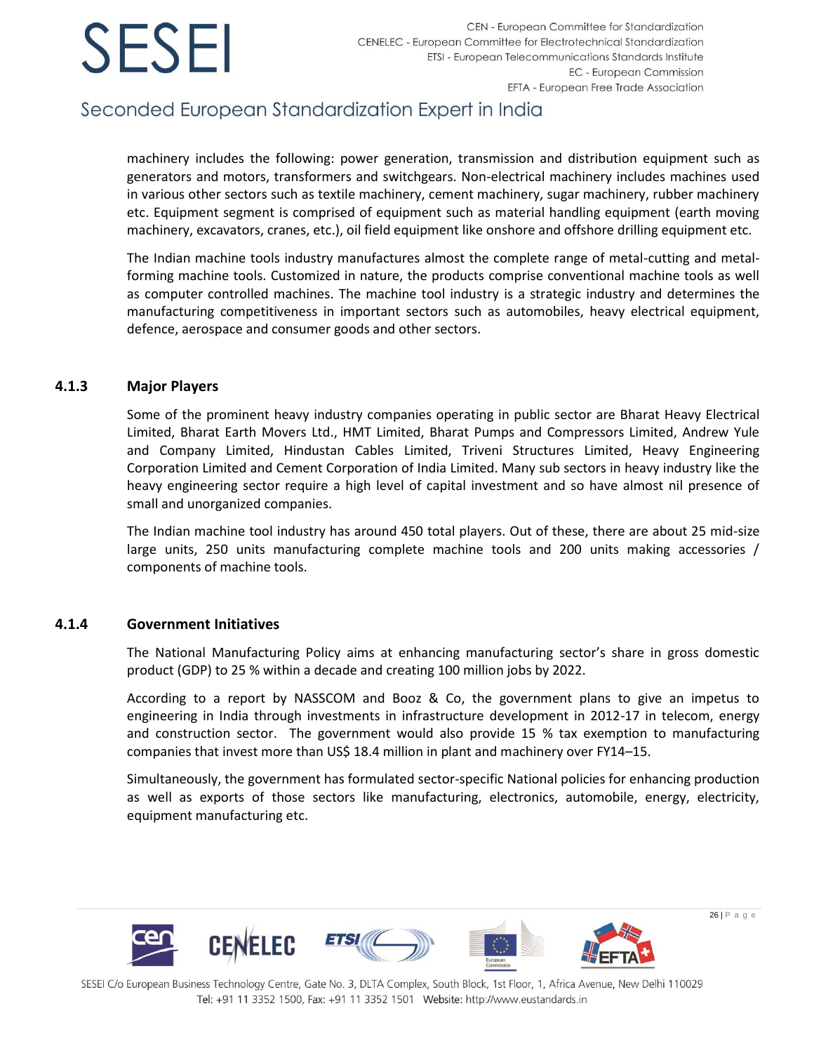## Seconded European Standardization Expert in India

machinery includes the following: power generation, transmission and distribution equipment such as generators and motors, transformers and switchgears. Non-electrical machinery includes machines used in various other sectors such as textile machinery, cement machinery, sugar machinery, rubber machinery etc. Equipment segment is comprised of equipment such as material handling equipment (earth moving machinery, excavators, cranes, etc.), oil field equipment like onshore and offshore drilling equipment etc.

The Indian machine tools industry manufactures almost the complete range of metal-cutting and metalforming machine tools. Customized in nature, the products comprise conventional machine tools as well as computer controlled machines. The machine tool industry is a strategic industry and determines the manufacturing competitiveness in important sectors such as automobiles, heavy electrical equipment, defence, aerospace and consumer goods and other sectors.

### **4.1.3 Major Players**

Some of the prominent heavy industry companies operating in public sector are Bharat Heavy Electrical Limited, Bharat Earth Movers Ltd., HMT Limited, Bharat Pumps and Compressors Limited, Andrew Yule and Company Limited, Hindustan Cables Limited, Triveni Structures Limited, Heavy Engineering Corporation Limited and Cement Corporation of India Limited. Many sub sectors in heavy industry like the heavy engineering sector require a high level of capital investment and so have almost nil presence of small and unorganized companies.

The Indian machine tool industry has around 450 total players. Out of these, there are about 25 mid-size large units, 250 units manufacturing complete machine tools and 200 units making accessories / components of machine tools.

### **4.1.4 Government Initiatives**

The National Manufacturing Policy aims at enhancing manufacturing sector's share in gross domestic product (GDP) to 25 % within a decade and creating 100 million jobs by 2022.

According to a report by NASSCOM and Booz & Co, the government plans to give an impetus to engineering in India through investments in infrastructure development in 2012-17 in telecom, energy and construction sector. The government would also provide 15 % tax exemption to manufacturing companies that invest more than US\$ 18.4 million in plant and machinery over FY14–15.

Simultaneously, the government has formulated sector-specific National policies for enhancing production as well as exports of those sectors like manufacturing, electronics, automobile, energy, electricity, equipment manufacturing etc.

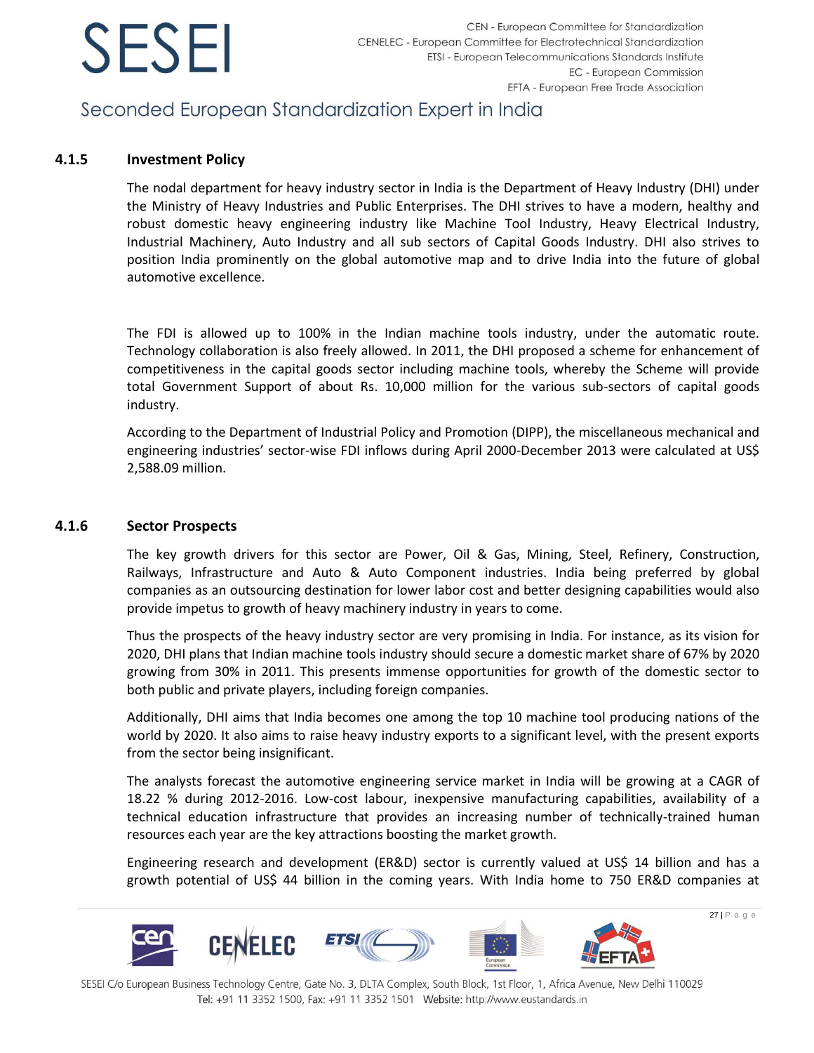

## Seconded European Standardization Expert in India

### **4.1.5 Investment Policy**

The nodal department for heavy industry sector in India is the Department of Heavy Industry (DHI) under the Ministry of Heavy Industries and Public Enterprises. The DHI strives to have a modern, healthy and robust domestic heavy engineering industry like Machine Tool Industry, Heavy Electrical Industry, Industrial Machinery, Auto Industry and all sub sectors of Capital Goods Industry. DHI also strives to position India prominently on the global automotive map and to drive India into the future of global automotive excellence.

The FDI is allowed up to 100% in the Indian machine tools industry, under the automatic route. Technology collaboration is also freely allowed. In 2011, the DHI proposed a scheme for enhancement of competitiveness in the capital goods sector including machine tools, whereby the Scheme will provide total Government Support of about Rs. 10,000 million for the various sub-sectors of capital goods industry.

According to the Department of Industrial Policy and Promotion (DIPP), the miscellaneous mechanical and engineering industries' sector-wise FDI inflows during April 2000-December 2013 were calculated at US\$ 2,588.09 million.

### **4.1.6 Sector Prospects**

The key growth drivers for this sector are Power, Oil & Gas, Mining, Steel, Refinery, Construction, Railways, Infrastructure and Auto & Auto Component industries. India being preferred by global companies as an outsourcing destination for lower labor cost and better designing capabilities would also provide impetus to growth of heavy machinery industry in years to come.

Thus the prospects of the heavy industry sector are very promising in India. For instance, as its vision for 2020, DHI plans that Indian machine tools industry should secure a domestic market share of 67% by 2020 growing from 30% in 2011. This presents immense opportunities for growth of the domestic sector to both public and private players, including foreign companies.

Additionally, DHI aims that India becomes one among the top 10 machine tool producing nations of the world by 2020. It also aims to raise heavy industry exports to a significant level, with the present exports from the sector being insignificant.

The analysts forecast the automotive engineering service market in India will be growing at a CAGR of 18.22 % during 2012-2016. Low-cost labour, inexpensive manufacturing capabilities, availability of a technical education infrastructure that provides an increasing number of technically-trained human resources each year are the key attractions boosting the market growth.

Engineering research and development (ER&D) sector is currently valued at US\$ 14 billion and has a growth potential of US\$ 44 billion in the coming years. With India home to 750 ER&D companies at

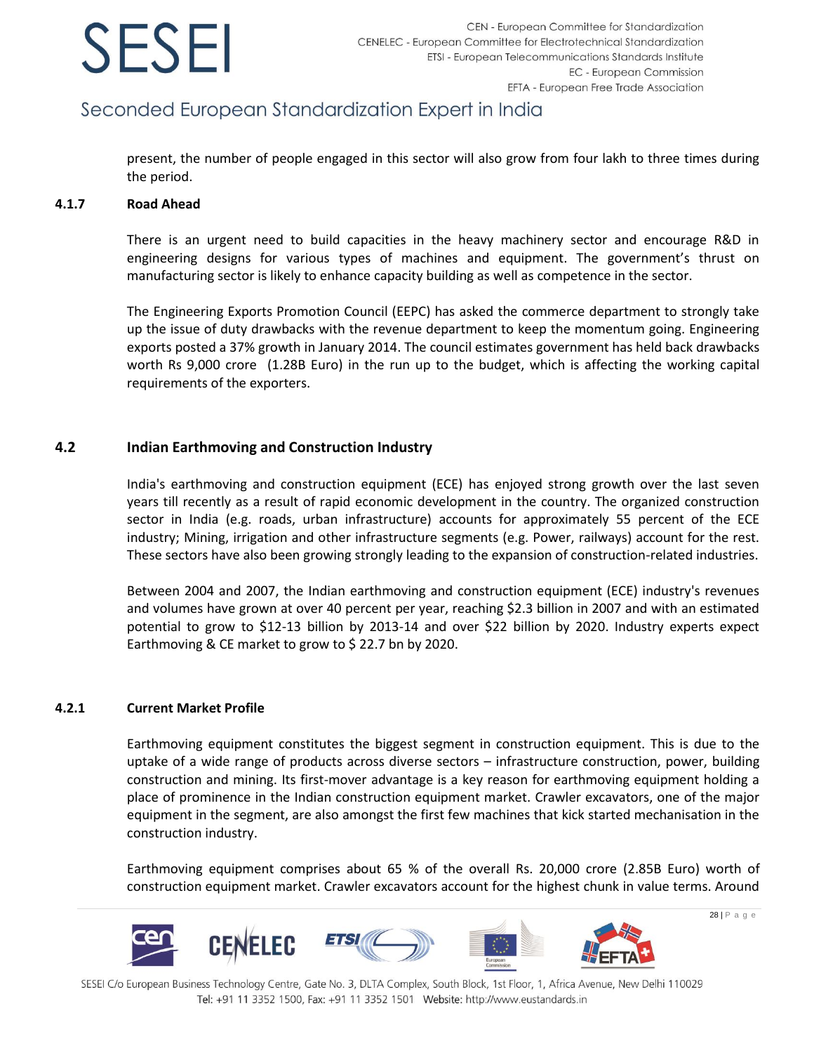## Seconded European Standardization Expert in India

present, the number of people engaged in this sector will also grow from four lakh to three times during the period.

#### **4.1.7 Road Ahead**

There is an urgent need to build capacities in the heavy machinery sector and encourage R&D in engineering designs for various types of machines and equipment. The government's thrust on manufacturing sector is likely to enhance capacity building as well as competence in the sector.

The Engineering Exports Promotion Council (EEPC) has asked the commerce department to strongly take up the issue of duty drawbacks with the revenue department to keep the momentum going. Engineering exports posted a 37% growth in January 2014. The council estimates government has held back drawbacks worth Rs 9,000 crore (1.28B Euro) in the run up to the budget, which is affecting the working capital requirements of the exporters.

### **4.2 Indian Earthmoving and Construction Industry**

India's earthmoving and construction equipment (ECE) has enjoyed strong growth over the last seven years till recently as a result of rapid economic development in the country. The organized construction sector in India (e.g. roads, urban infrastructure) accounts for approximately 55 percent of the ECE industry; Mining, irrigation and other infrastructure segments (e.g. Power, railways) account for the rest. These sectors have also been growing strongly leading to the expansion of construction-related industries.

Between 2004 and 2007, the Indian earthmoving and construction equipment (ECE) industry's revenues and volumes have grown at over 40 percent per year, reaching \$2.3 billion in 2007 and with an estimated potential to grow to \$12-13 billion by 2013-14 and over \$22 billion by 2020. Industry experts expect Earthmoving & CE market to grow to \$ 22.7 bn by 2020.

### **4.2.1 Current Market Profile**

Earthmoving equipment constitutes the biggest segment in construction equipment. This is due to the uptake of a wide range of products across diverse sectors – infrastructure construction, power, building construction and mining. Its first-mover advantage is a key reason for earthmoving equipment holding a place of prominence in the Indian construction equipment market. Crawler excavators, one of the major equipment in the segment, are also amongst the first few machines that kick started mechanisation in the construction industry.

Earthmoving equipment comprises about 65 % of the overall Rs. 20,000 crore (2.85B Euro) worth of construction equipment market. Crawler excavators account for the highest chunk in value terms. Around

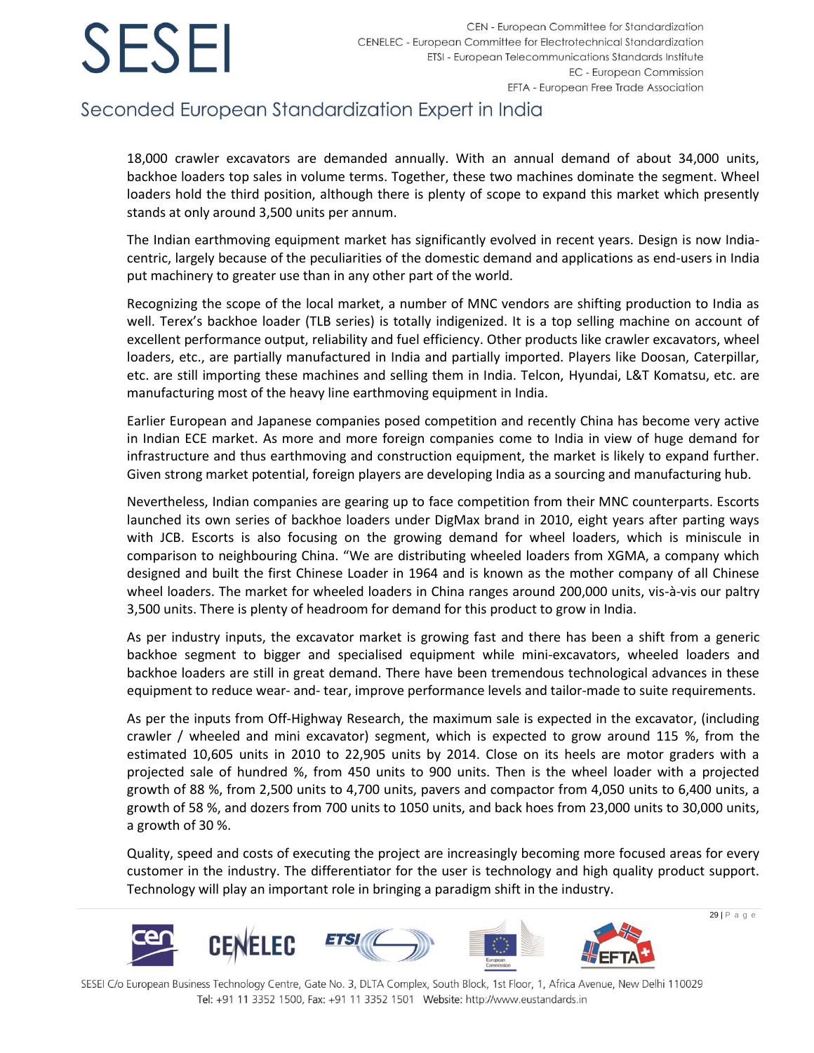## Seconded European Standardization Expert in India

18,000 crawler excavators are demanded annually. With an annual demand of about 34,000 units, backhoe loaders top sales in volume terms. Together, these two machines dominate the segment. Wheel loaders hold the third position, although there is plenty of scope to expand this market which presently stands at only around 3,500 units per annum.

The Indian earthmoving equipment market has significantly evolved in recent years. Design is now Indiacentric, largely because of the peculiarities of the domestic demand and applications as end-users in India put machinery to greater use than in any other part of the world.

Recognizing the scope of the local market, a number of MNC vendors are shifting production to India as well. Terex's backhoe loader (TLB series) is totally indigenized. It is a top selling machine on account of excellent performance output, reliability and fuel efficiency. Other products like crawler excavators, wheel loaders, etc., are partially manufactured in India and partially imported. Players like Doosan, Caterpillar, etc. are still importing these machines and selling them in India. Telcon, Hyundai, L&T Komatsu, etc. are manufacturing most of the heavy line earthmoving equipment in India.

Earlier European and Japanese companies posed competition and recently China has become very active in Indian ECE market. As more and more foreign companies come to India in view of huge demand for infrastructure and thus earthmoving and construction equipment, the market is likely to expand further. Given strong market potential, foreign players are developing India as a sourcing and manufacturing hub.

Nevertheless, Indian companies are gearing up to face competition from their MNC counterparts. Escorts launched its own series of backhoe loaders under DigMax brand in 2010, eight years after parting ways with JCB. Escorts is also focusing on the growing demand for wheel loaders, which is miniscule in comparison to neighbouring China. "We are distributing wheeled loaders from XGMA, a company which designed and built the first Chinese Loader in 1964 and is known as the mother company of all Chinese wheel loaders. The market for wheeled loaders in China ranges around 200,000 units, vis-à-vis our paltry 3,500 units. There is plenty of headroom for demand for this product to grow in India.

As per industry inputs, the excavator market is growing fast and there has been a shift from a generic backhoe segment to bigger and specialised equipment while mini-excavators, wheeled loaders and backhoe loaders are still in great demand. There have been tremendous technological advances in these equipment to reduce wear- and- tear, improve performance levels and tailor-made to suite requirements.

As per the inputs from Off-Highway Research, the maximum sale is expected in the excavator, (including crawler / wheeled and mini excavator) segment, which is expected to grow around 115 %, from the estimated 10,605 units in 2010 to 22,905 units by 2014. Close on its heels are motor graders with a projected sale of hundred %, from 450 units to 900 units. Then is the wheel loader with a projected growth of 88 %, from 2,500 units to 4,700 units, pavers and compactor from 4,050 units to 6,400 units, a growth of 58 %, and dozers from 700 units to 1050 units, and back hoes from 23,000 units to 30,000 units, a growth of 30 %.

Quality, speed and costs of executing the project are increasingly becoming more focused areas for every customer in the industry. The differentiator for the user is technology and high quality product support. Technology will play an important role in bringing a paradigm shift in the industry.

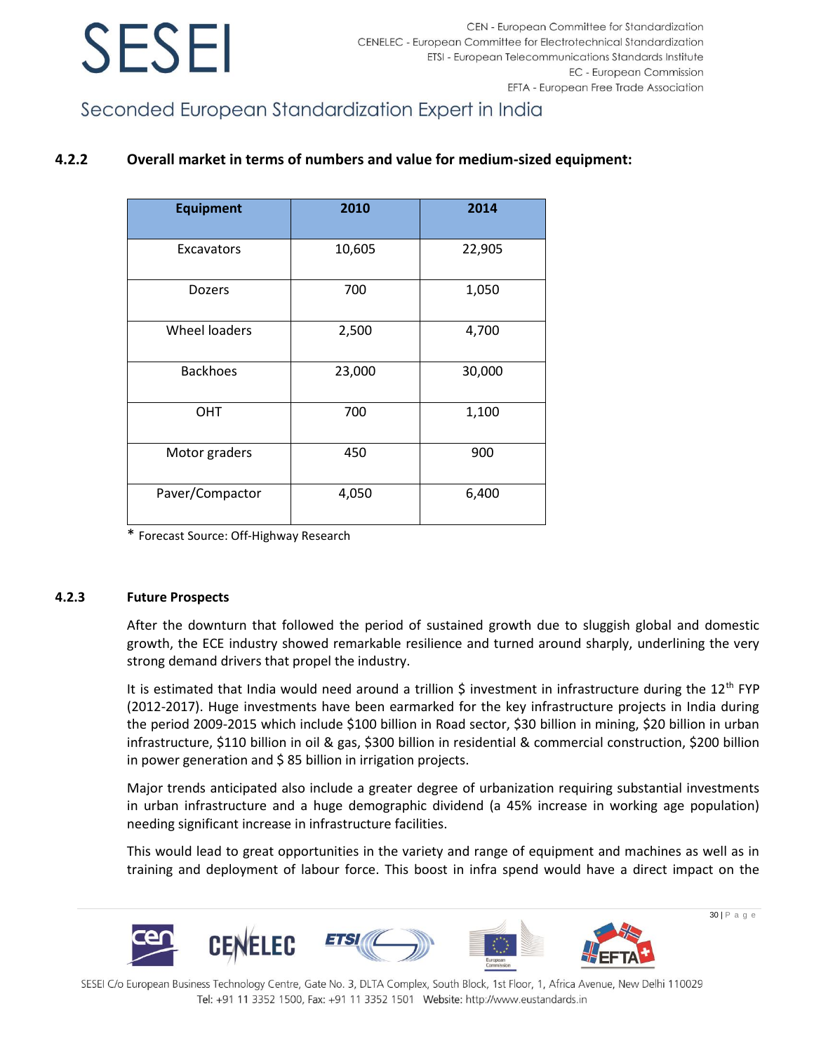Seconded European Standardization Expert in India

### **4.2.2 Overall market in terms of numbers and value for medium-sized equipment:**

| <b>Equipment</b>     | 2010   | 2014   |
|----------------------|--------|--------|
| Excavators           | 10,605 | 22,905 |
| <b>Dozers</b>        | 700    | 1,050  |
| <b>Wheel loaders</b> | 2,500  | 4,700  |
| <b>Backhoes</b>      | 23,000 | 30,000 |
| OHT                  | 700    | 1,100  |
| Motor graders        | 450    | 900    |
| Paver/Compactor      | 4,050  | 6,400  |

\* Forecast Source: Off-Highway Research

### **4.2.3 Future Prospects**

After the downturn that followed the period of sustained growth due to sluggish global and domestic growth, the ECE industry showed remarkable resilience and turned around sharply, underlining the very strong demand drivers that propel the industry.

It is estimated that India would need around a trillion  $\hat{S}$  investment in infrastructure during the 12<sup>th</sup> FYP (2012-2017). Huge investments have been earmarked for the key infrastructure projects in India during the period 2009-2015 which include \$100 billion in Road sector, \$30 billion in mining, \$20 billion in urban infrastructure, \$110 billion in oil & gas, \$300 billion in residential & commercial construction, \$200 billion in power generation and \$ 85 billion in irrigation projects.

Major trends anticipated also include a greater degree of urbanization requiring substantial investments in urban infrastructure and a huge demographic dividend (a 45% increase in working age population) needing significant increase in infrastructure facilities.

This would lead to great opportunities in the variety and range of equipment and machines as well as in training and deployment of labour force. This boost in infra spend would have a direct impact on the

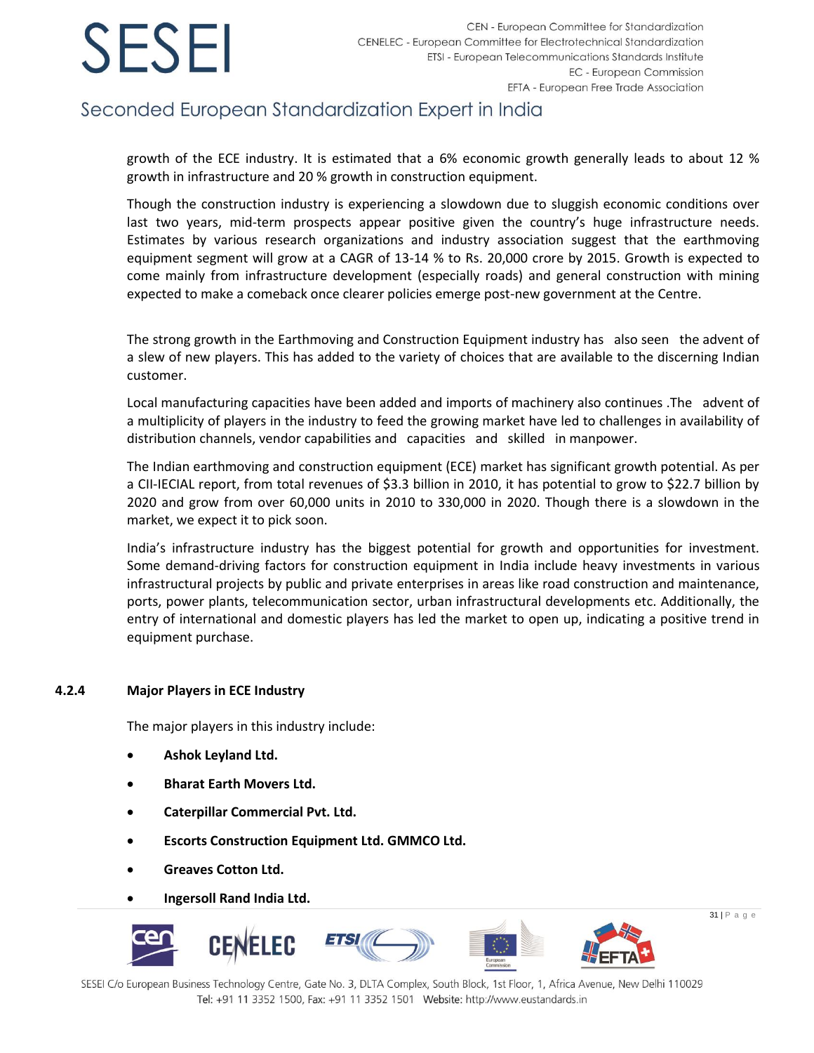## Seconded European Standardization Expert in India

growth of the ECE industry. It is estimated that a 6% economic growth generally leads to about 12 % growth in infrastructure and 20 % growth in construction equipment.

Though the construction industry is experiencing a slowdown due to sluggish economic conditions over last two years, mid-term prospects appear positive given the country's huge infrastructure needs. Estimates by various research organizations and industry association suggest that the earthmoving equipment segment will grow at a CAGR of 13-14 % to Rs. 20,000 crore by 2015. Growth is expected to come mainly from infrastructure development (especially roads) and general construction with mining expected to make a comeback once clearer policies emerge post-new government at the Centre.

The strong growth in the Earthmoving and Construction Equipment industry has also seen the advent of a slew of new players. This has added to the variety of choices that are available to the discerning Indian customer.

Local manufacturing capacities have been added and imports of machinery also continues .The advent of a multiplicity of players in the industry to feed the growing market have led to challenges in availability of distribution channels, vendor capabilities and capacities and skilled in manpower.

The Indian earthmoving and construction equipment (ECE) market has significant growth potential. As per a CII-IECIAL report, from total revenues of \$3.3 billion in 2010, it has potential to grow to \$22.7 billion by 2020 and grow from over 60,000 units in 2010 to 330,000 in 2020. Though there is a slowdown in the market, we expect it to pick soon.

India's infrastructure industry has the biggest potential for growth and opportunities for investment. Some demand-driving factors for construction equipment in India include heavy investments in various infrastructural projects by public and private enterprises in areas like road construction and maintenance, ports, power plants, telecommunication sector, urban infrastructural developments etc. Additionally, the entry of international and domestic players has led the market to open up, indicating a positive trend in equipment purchase.

### **4.2.4 Major Players in ECE Industry**

The major players in this industry include:

- **Ashok Leyland Ltd.**
- **Bharat Earth Movers Ltd.**
- **Caterpillar Commercial Pvt. Ltd.**
- **Escorts Construction Equipment Ltd. GMMCO Ltd.**
- **Greaves Cotton Ltd.**
- **Ingersoll Rand India Ltd.**

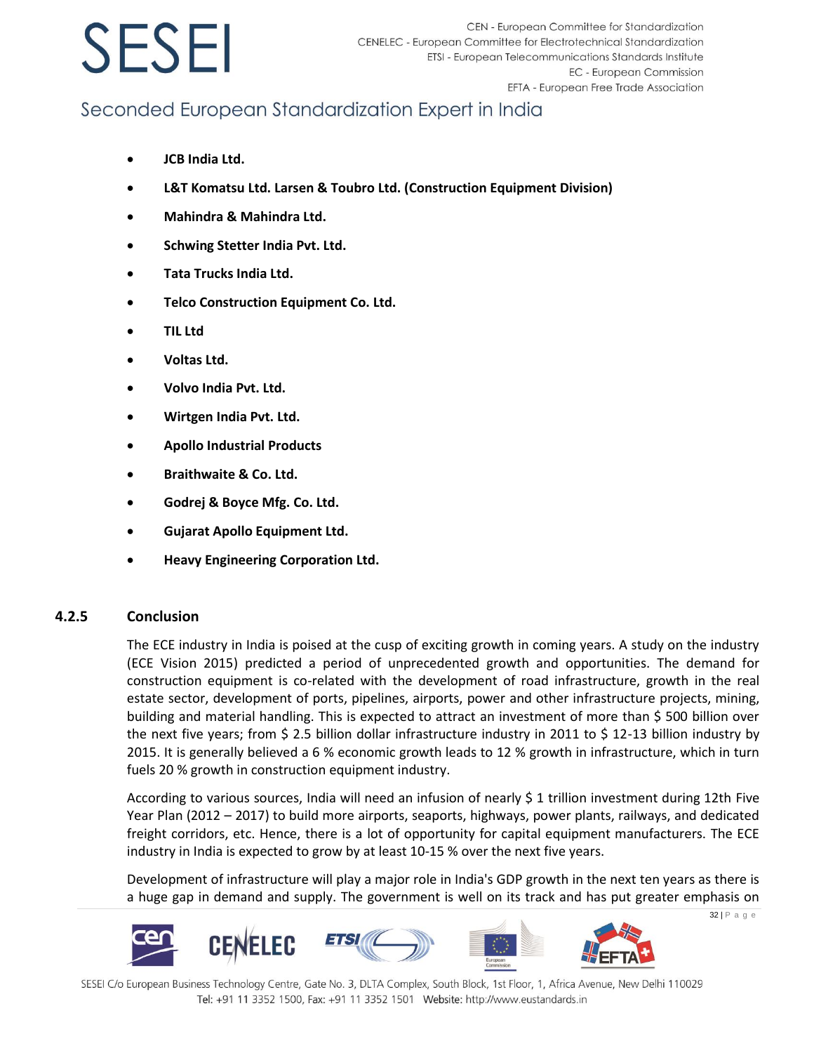## Seconded European Standardization Expert in India

- **JCB India Ltd.**
- **L&T Komatsu Ltd. Larsen & Toubro Ltd. (Construction Equipment Division)**
- **Mahindra & Mahindra Ltd.**
- **Schwing Stetter India Pvt. Ltd.**
- **Tata Trucks India Ltd.**
- **Telco Construction Equipment Co. Ltd.**
- **TIL Ltd**
- **Voltas Ltd.**
- **Volvo India Pvt. Ltd.**
- **Wirtgen India Pvt. Ltd.**
- **Apollo Industrial Products**
- **Braithwaite & Co. Ltd.**
- **Godrej & Boyce Mfg. Co. Ltd.**
- **Gujarat Apollo Equipment Ltd.**
- **Heavy Engineering Corporation Ltd.**

### **4.2.5 Conclusion**

The ECE industry in India is poised at the cusp of exciting growth in coming years. A study on the industry (ECE Vision 2015) predicted a period of unprecedented growth and opportunities. The demand for construction equipment is co-related with the development of road infrastructure, growth in the real estate sector, development of ports, pipelines, airports, power and other infrastructure projects, mining, building and material handling. This is expected to attract an investment of more than \$ 500 billion over the next five years; from \$ 2.5 billion dollar infrastructure industry in 2011 to \$ 12-13 billion industry by 2015. It is generally believed a 6 % economic growth leads to 12 % growth in infrastructure, which in turn fuels 20 % growth in construction equipment industry.

According to various sources, India will need an infusion of nearly \$ 1 trillion investment during 12th Five Year Plan (2012 – 2017) to build more airports, seaports, highways, power plants, railways, and dedicated freight corridors, etc. Hence, there is a lot of opportunity for capital equipment manufacturers. The ECE industry in India is expected to grow by at least 10-15 % over the next five years.

Development of infrastructure will play a major role in India's GDP growth in the next ten years as there is a huge gap in demand and supply. The government is well on its track and has put greater emphasis on

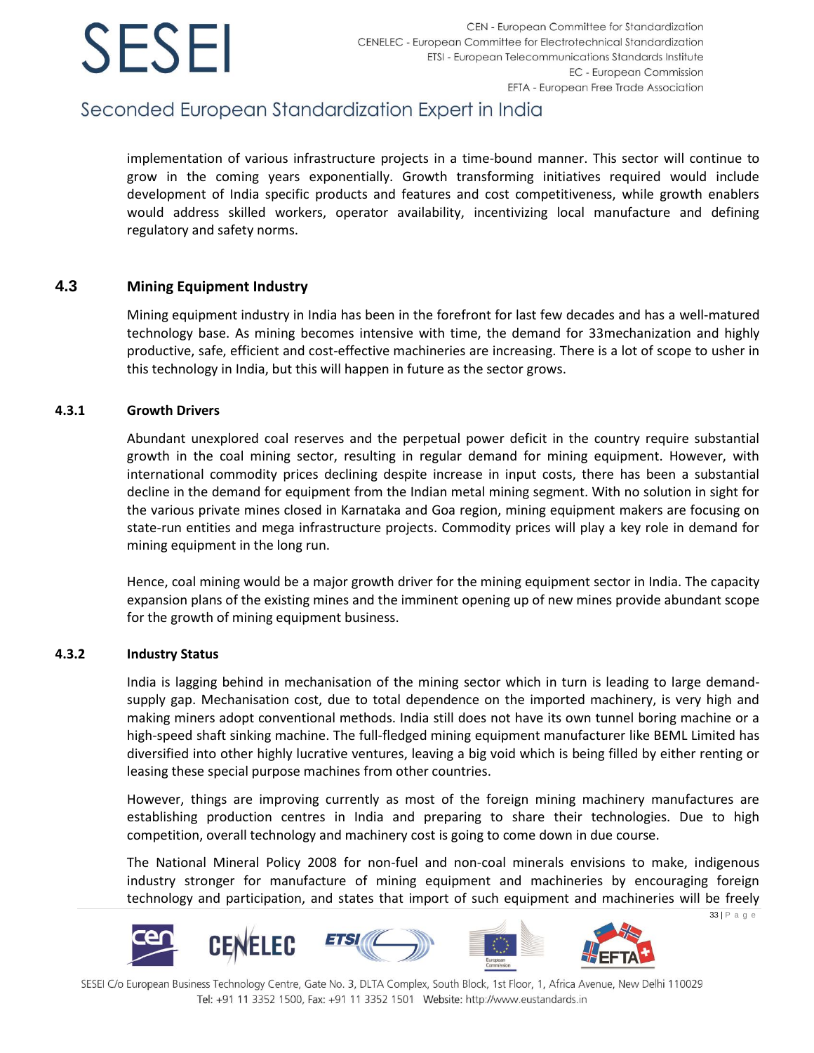## Seconded European Standardization Expert in India

implementation of various infrastructure projects in a time-bound manner. This sector will continue to grow in the coming years exponentially. Growth transforming initiatives required would include development of India specific products and features and cost competitiveness, while growth enablers would address skilled workers, operator availability, incentivizing local manufacture and defining regulatory and safety norms.

### **4.3 Mining Equipment Industry**

Mining equipment industry in India has been in the forefront for last few decades and has a well-matured technology base. As mining becomes intensive with time, the demand for 33mechanization and highly productive, safe, efficient and cost-effective machineries are increasing. There is a lot of scope to usher in this technology in India, but this will happen in future as the sector grows.

### **4.3.1 Growth Drivers**

Abundant unexplored coal reserves and the perpetual power deficit in the country require substantial growth in the coal mining sector, resulting in regular demand for mining equipment. However, with international commodity prices declining despite increase in input costs, there has been a substantial decline in the demand for equipment from the Indian metal mining segment. With no solution in sight for the various private mines closed in Karnataka and Goa region, mining equipment makers are focusing on state-run entities and mega infrastructure projects. Commodity prices will play a key role in demand for mining equipment in the long run.

Hence, coal mining would be a major growth driver for the mining equipment sector in India. The capacity expansion plans of the existing mines and the imminent opening up of new mines provide abundant scope for the growth of mining equipment business.

### **4.3.2 Industry Status**

India is lagging behind in mechanisation of the mining sector which in turn is leading to large demandsupply gap. Mechanisation cost, due to total dependence on the imported machinery, is very high and making miners adopt conventional methods. India still does not have its own tunnel boring machine or a high-speed shaft sinking machine. The full-fledged mining equipment manufacturer like BEML Limited has diversified into other highly lucrative ventures, leaving a big void which is being filled by either renting or leasing these special purpose machines from other countries.

However, things are improving currently as most of the foreign mining machinery manufactures are establishing production centres in India and preparing to share their technologies. Due to high competition, overall technology and machinery cost is going to come down in due course.

The National Mineral Policy 2008 for non-fuel and non-coal minerals envisions to make, indigenous industry stronger for manufacture of mining equipment and machineries by encouraging foreign technology and participation, and states that import of such equipment and machineries will be freely

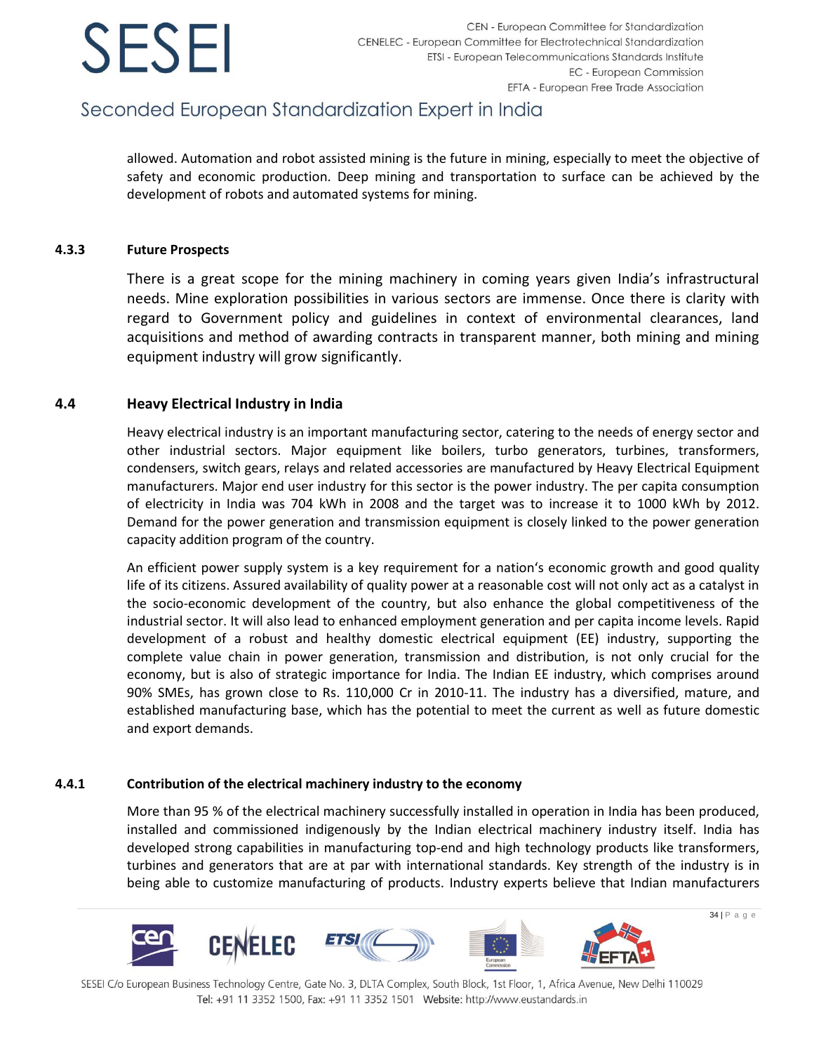## Seconded European Standardization Expert in India

allowed. Automation and robot assisted mining is the future in mining, especially to meet the objective of safety and economic production. Deep mining and transportation to surface can be achieved by the development of robots and automated systems for mining.

### **4.3.3 Future Prospects**

There is a great scope for the mining machinery in coming years given India's infrastructural needs. Mine exploration possibilities in various sectors are immense. Once there is clarity with regard to Government policy and guidelines in context of environmental clearances, land acquisitions and method of awarding contracts in transparent manner, both mining and mining equipment industry will grow significantly.

### **4.4 Heavy Electrical Industry in India**

Heavy electrical industry is an important manufacturing sector, catering to the needs of energy sector and other industrial sectors. Major equipment like boilers, turbo generators, turbines, transformers, condensers, switch gears, relays and related accessories are manufactured by Heavy Electrical Equipment manufacturers. Major end user industry for this sector is the power industry. The per capita consumption of electricity in India was 704 kWh in 2008 and the target was to increase it to 1000 kWh by 2012. Demand for the power generation and transmission equipment is closely linked to the power generation capacity addition program of the country.

An efficient power supply system is a key requirement for a nation's economic growth and good quality life of its citizens. Assured availability of quality power at a reasonable cost will not only act as a catalyst in the socio-economic development of the country, but also enhance the global competitiveness of the industrial sector. It will also lead to enhanced employment generation and per capita income levels. Rapid development of a robust and healthy domestic electrical equipment (EE) industry, supporting the complete value chain in power generation, transmission and distribution, is not only crucial for the economy, but is also of strategic importance for India. The Indian EE industry, which comprises around 90% SMEs, has grown close to Rs. 110,000 Cr in 2010-11. The industry has a diversified, mature, and established manufacturing base, which has the potential to meet the current as well as future domestic and export demands.

### **4.4.1 Contribution of the electrical machinery industry to the economy**

More than 95 % of the electrical machinery successfully installed in operation in India has been produced, installed and commissioned indigenously by the Indian electrical machinery industry itself. India has developed strong capabilities in manufacturing top-end and high technology products like transformers, turbines and generators that are at par with international standards. Key strength of the industry is in being able to customize manufacturing of products. Industry experts believe that Indian manufacturers

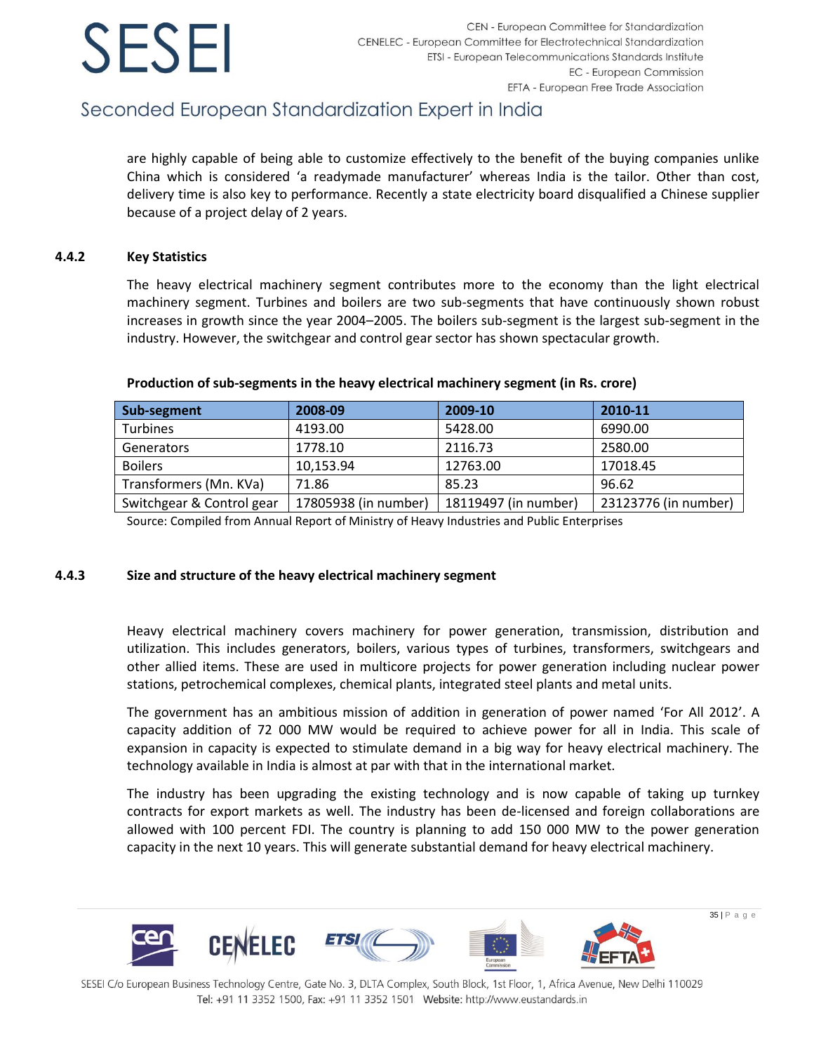

## Seconded European Standardization Expert in India

are highly capable of being able to customize effectively to the benefit of the buying companies unlike China which is considered 'a readymade manufacturer' whereas India is the tailor. Other than cost, delivery time is also key to performance. Recently a state electricity board disqualified a Chinese supplier because of a project delay of 2 years.

### **4.4.2 Key Statistics**

The heavy electrical machinery segment contributes more to the economy than the light electrical machinery segment. Turbines and boilers are two sub-segments that have continuously shown robust increases in growth since the year 2004–2005. The boilers sub-segment is the largest sub-segment in the industry. However, the switchgear and control gear sector has shown spectacular growth.

| Sub-segment               | 2008-09              | 2009-10              | 2010-11              |
|---------------------------|----------------------|----------------------|----------------------|
| <b>Turbines</b>           | 4193.00              | 5428.00              | 6990.00              |
| <b>Generators</b>         | 1778.10              | 2116.73              | 2580.00              |
| <b>Boilers</b>            | 10,153.94            | 12763.00             | 17018.45             |
| Transformers (Mn. KVa)    | 71.86                | 85.23                | 96.62                |
| Switchgear & Control gear | 17805938 (in number) | 18119497 (in number) | 23123776 (in number) |

#### **Production of sub-segments in the heavy electrical machinery segment (in Rs. crore)**

Source: Compiled from Annual Report of Ministry of Heavy Industries and Public Enterprises

### **4.4.3 Size and structure of the heavy electrical machinery segment**

Heavy electrical machinery covers machinery for power generation, transmission, distribution and utilization. This includes generators, boilers, various types of turbines, transformers, switchgears and other allied items. These are used in multicore projects for power generation including nuclear power stations, petrochemical complexes, chemical plants, integrated steel plants and metal units.

The government has an ambitious mission of addition in generation of power named 'For All 2012'. A capacity addition of 72 000 MW would be required to achieve power for all in India. This scale of expansion in capacity is expected to stimulate demand in a big way for heavy electrical machinery. The technology available in India is almost at par with that in the international market.

The industry has been upgrading the existing technology and is now capable of taking up turnkey contracts for export markets as well. The industry has been de-licensed and foreign collaborations are allowed with 100 percent FDI. The country is planning to add 150 000 MW to the power generation capacity in the next 10 years. This will generate substantial demand for heavy electrical machinery.

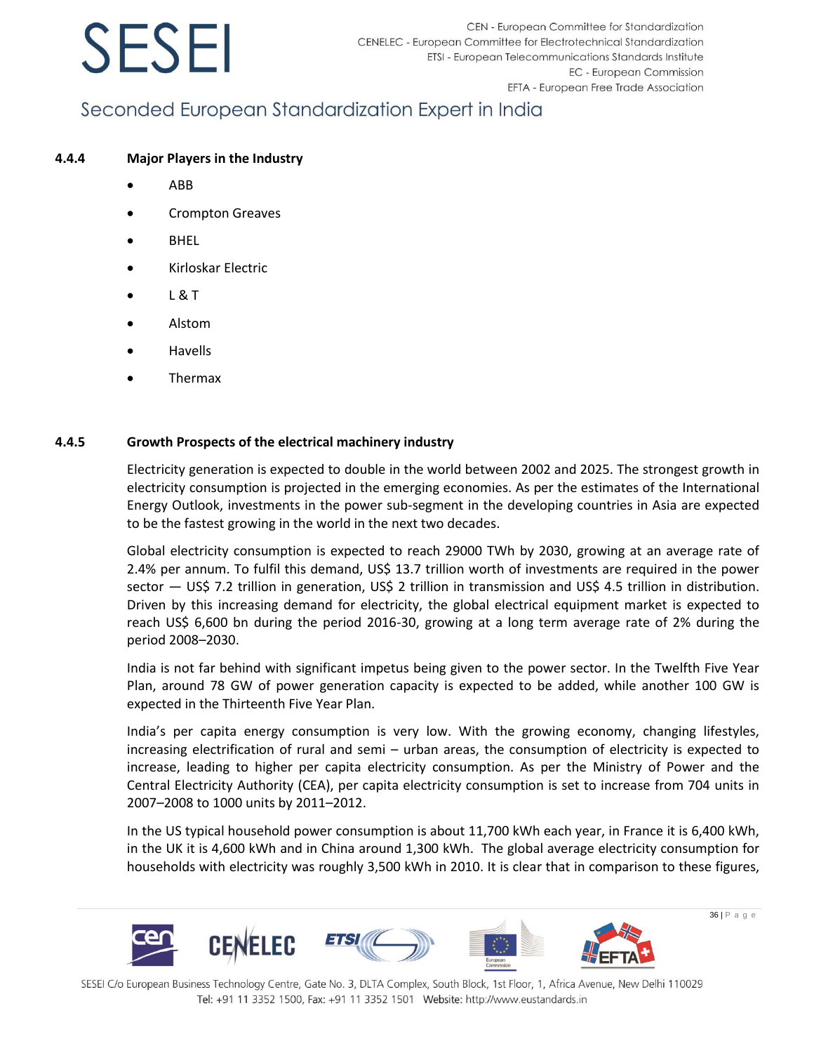## Seconded European Standardization Expert in India

### **4.4.4 Major Players in the Industry**

- ABB
- Crompton Greaves
- **BHEL**
- Kirloskar Electric
- L & T
- Alstom
- **Havells**
- Thermax

### **4.4.5 Growth Prospects of the electrical machinery industry**

Electricity generation is expected to double in the world between 2002 and 2025. The strongest growth in electricity consumption is projected in the emerging economies. As per the estimates of the International Energy Outlook, investments in the power sub-segment in the developing countries in Asia are expected to be the fastest growing in the world in the next two decades.

Global electricity consumption is expected to reach 29000 TWh by 2030, growing at an average rate of 2.4% per annum. To fulfil this demand, US\$ 13.7 trillion worth of investments are required in the power sector — US\$ 7.2 trillion in generation, US\$ 2 trillion in transmission and US\$ 4.5 trillion in distribution. Driven by this increasing demand for electricity, the global electrical equipment market is expected to reach US\$ 6,600 bn during the period 2016-30, growing at a long term average rate of 2% during the period 2008–2030.

India is not far behind with significant impetus being given to the power sector. In the Twelfth Five Year Plan, around 78 GW of power generation capacity is expected to be added, while another 100 GW is expected in the Thirteenth Five Year Plan.

India's per capita energy consumption is very low. With the growing economy, changing lifestyles, increasing electrification of rural and semi – urban areas, the consumption of electricity is expected to increase, leading to higher per capita electricity consumption. As per the Ministry of Power and the Central Electricity Authority (CEA), per capita electricity consumption is set to increase from 704 units in 2007–2008 to 1000 units by 2011–2012.

In the US typical household power consumption is about 11,700 kWh each year, in France it is 6,400 kWh, in the UK it is 4,600 kWh and in China around 1,300 kWh. The global average electricity consumption for households with electricity was roughly 3,500 kWh in 2010. It is clear that in comparison to these figures,

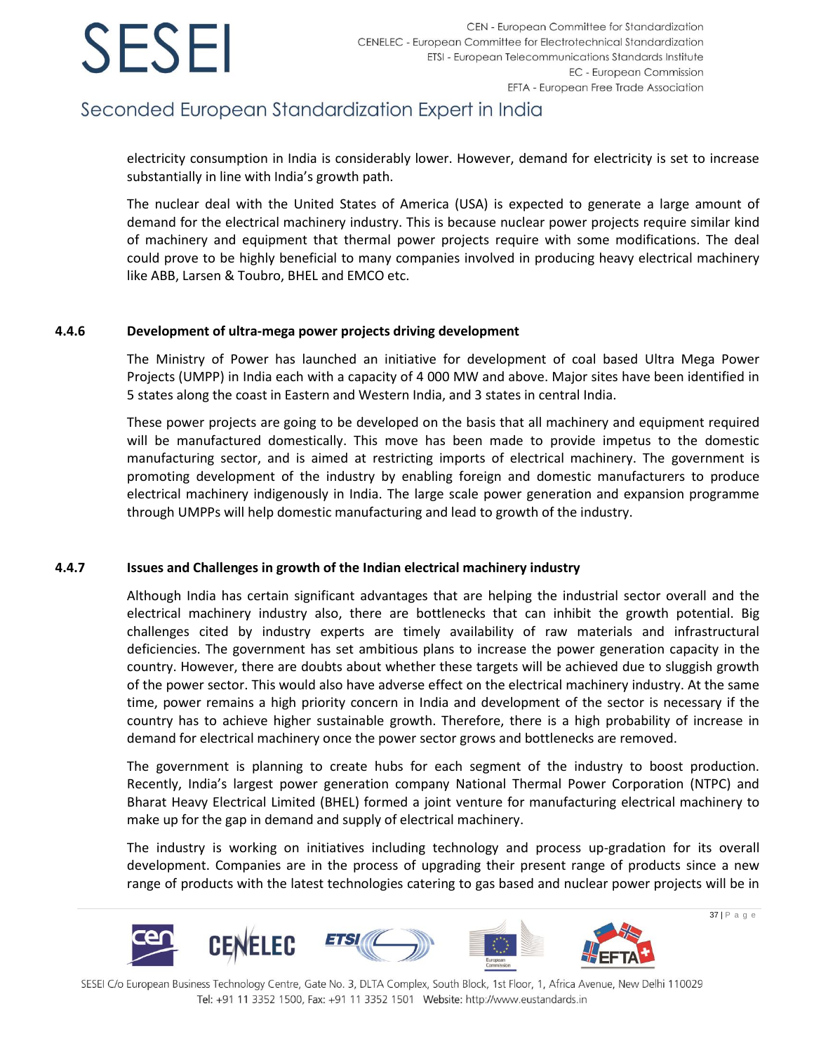## Seconded European Standardization Expert in India

electricity consumption in India is considerably lower. However, demand for electricity is set to increase substantially in line with India's growth path.

The nuclear deal with the United States of America (USA) is expected to generate a large amount of demand for the electrical machinery industry. This is because nuclear power projects require similar kind of machinery and equipment that thermal power projects require with some modifications. The deal could prove to be highly beneficial to many companies involved in producing heavy electrical machinery like ABB, Larsen & Toubro, BHEL and EMCO etc.

### **4.4.6 Development of ultra-mega power projects driving development**

The Ministry of Power has launched an initiative for development of coal based Ultra Mega Power Projects (UMPP) in India each with a capacity of 4 000 MW and above. Major sites have been identified in 5 states along the coast in Eastern and Western India, and 3 states in central India.

These power projects are going to be developed on the basis that all machinery and equipment required will be manufactured domestically. This move has been made to provide impetus to the domestic manufacturing sector, and is aimed at restricting imports of electrical machinery. The government is promoting development of the industry by enabling foreign and domestic manufacturers to produce electrical machinery indigenously in India. The large scale power generation and expansion programme through UMPPs will help domestic manufacturing and lead to growth of the industry.

### **4.4.7 Issues and Challenges in growth of the Indian electrical machinery industry**

Although India has certain significant advantages that are helping the industrial sector overall and the electrical machinery industry also, there are bottlenecks that can inhibit the growth potential. Big challenges cited by industry experts are timely availability of raw materials and infrastructural deficiencies. The government has set ambitious plans to increase the power generation capacity in the country. However, there are doubts about whether these targets will be achieved due to sluggish growth of the power sector. This would also have adverse effect on the electrical machinery industry. At the same time, power remains a high priority concern in India and development of the sector is necessary if the country has to achieve higher sustainable growth. Therefore, there is a high probability of increase in demand for electrical machinery once the power sector grows and bottlenecks are removed.

The government is planning to create hubs for each segment of the industry to boost production. Recently, India's largest power generation company National Thermal Power Corporation (NTPC) and Bharat Heavy Electrical Limited (BHEL) formed a joint venture for manufacturing electrical machinery to make up for the gap in demand and supply of electrical machinery.

The industry is working on initiatives including technology and process up-gradation for its overall development. Companies are in the process of upgrading their present range of products since a new range of products with the latest technologies catering to gas based and nuclear power projects will be in



SESEI C/o European Business Technology Centre, Gate No. 3, DLTA Complex, South Block, 1st Floor, 1, Africa Avenue, New Delhi 110029 Tel: +91 11 3352 1500, Fax: +91 11 3352 1501 Website: http://www.eustandards.in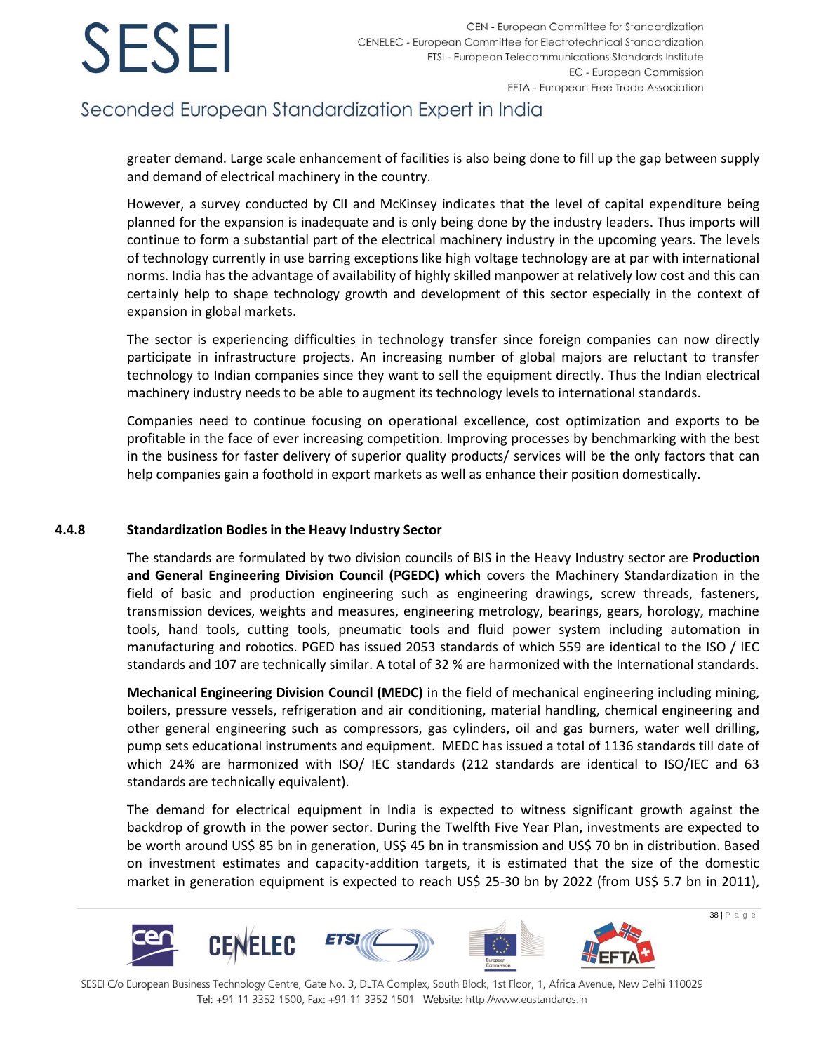## Seconded European Standardization Expert in India

greater demand. Large scale enhancement of facilities is also being done to fill up the gap between supply and demand of electrical machinery in the country.

However, a survey conducted by CII and McKinsey indicates that the level of capital expenditure being planned for the expansion is inadequate and is only being done by the industry leaders. Thus imports will continue to form a substantial part of the electrical machinery industry in the upcoming years. The levels of technology currently in use barring exceptions like high voltage technology are at par with international norms. India has the advantage of availability of highly skilled manpower at relatively low cost and this can certainly help to shape technology growth and development of this sector especially in the context of expansion in global markets.

The sector is experiencing difficulties in technology transfer since foreign companies can now directly participate in infrastructure projects. An increasing number of global majors are reluctant to transfer technology to Indian companies since they want to sell the equipment directly. Thus the Indian electrical machinery industry needs to be able to augment its technology levels to international standards.

Companies need to continue focusing on operational excellence, cost optimization and exports to be profitable in the face of ever increasing competition. Improving processes by benchmarking with the best in the business for faster delivery of superior quality products/ services will be the only factors that can help companies gain a foothold in export markets as well as enhance their position domestically.

### **4.4.8 Standardization Bodies in the Heavy Industry Sector**

The standards are formulated by two division councils of BIS in the Heavy Industry sector are **Production and General Engineering Division Council (PGEDC) which** covers the Machinery Standardization in the field of basic and production engineering such as engineering drawings, screw threads, fasteners, transmission devices, weights and measures, engineering metrology, bearings, gears, horology, machine tools, hand tools, cutting tools, pneumatic tools and fluid power system including automation in manufacturing and robotics. PGED has issued 2053 standards of which 559 are identical to the ISO / IEC standards and 107 are technically similar. A total of 32 % are harmonized with the International standards.

**Mechanical Engineering Division Council (MEDC)** in the field of mechanical engineering including mining, boilers, pressure vessels, refrigeration and air conditioning, material handling, chemical engineering and other general engineering such as compressors, gas cylinders, oil and gas burners, water well drilling, pump sets educational instruments and equipment. MEDC has issued a total of 1136 standards till date of which 24% are harmonized with ISO/ IEC standards (212 standards are identical to ISO/IEC and 63 standards are technically equivalent).

The demand for electrical equipment in India is expected to witness significant growth against the backdrop of growth in the power sector. During the Twelfth Five Year Plan, investments are expected to be worth around US\$ 85 bn in generation, US\$ 45 bn in transmission and US\$ 70 bn in distribution. Based on investment estimates and capacity-addition targets, it is estimated that the size of the domestic market in generation equipment is expected to reach US\$ 25-30 bn by 2022 (from US\$ 5.7 bn in 2011),

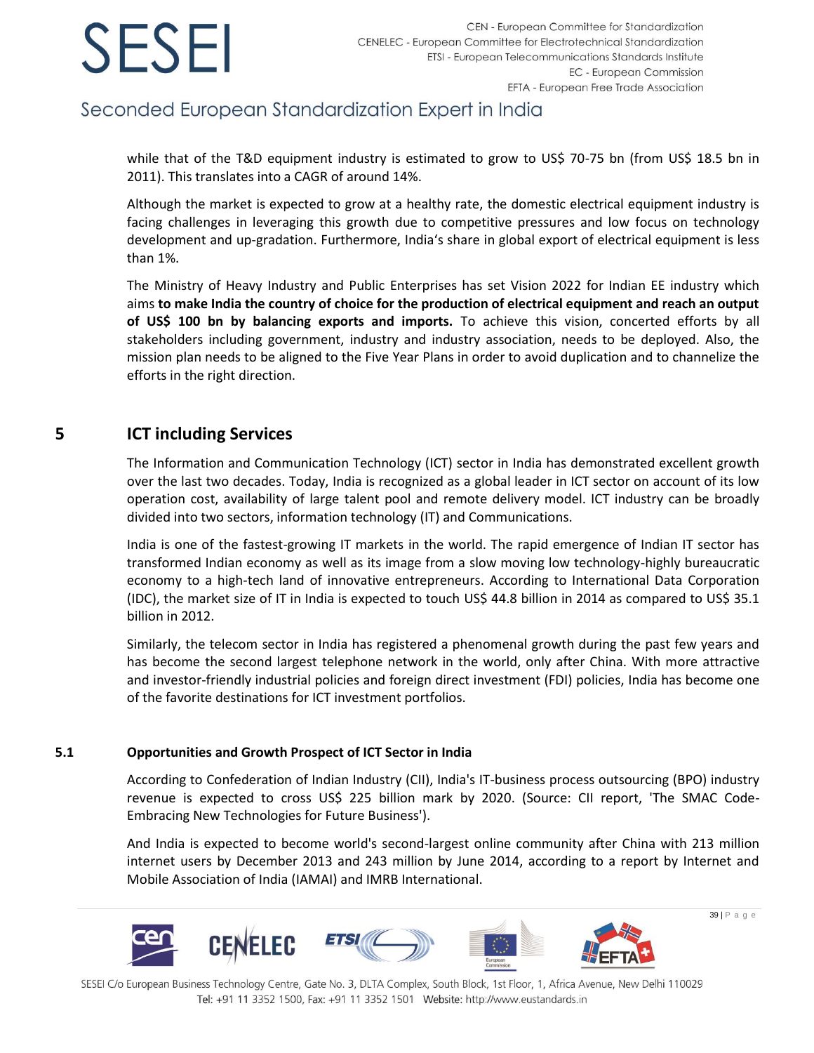### Seconded European Standardization Expert in India

while that of the T&D equipment industry is estimated to grow to US\$ 70-75 bn (from US\$ 18.5 bn in 2011). This translates into a CAGR of around 14%.

Although the market is expected to grow at a healthy rate, the domestic electrical equipment industry is facing challenges in leveraging this growth due to competitive pressures and low focus on technology development and up-gradation. Furthermore, India's share in global export of electrical equipment is less than 1%.

The Ministry of Heavy Industry and Public Enterprises has set Vision 2022 for Indian EE industry which aims **to make India the country of choice for the production of electrical equipment and reach an output of US\$ 100 bn by balancing exports and imports.** To achieve this vision, concerted efforts by all stakeholders including government, industry and industry association, needs to be deployed. Also, the mission plan needs to be aligned to the Five Year Plans in order to avoid duplication and to channelize the efforts in the right direction.

### <span id="page-39-0"></span>**5 ICT including Services**

The Information and Communication Technology (ICT) sector in India has demonstrated excellent growth over the last two decades. Today, India is recognized as a global leader in ICT sector on account of its low operation cost, availability of large talent pool and remote delivery model. ICT industry can be broadly divided into two sectors, information technology (IT) and Communications.

India is one of the fastest-growing IT markets in the world. The rapid emergence of Indian IT sector has transformed Indian economy as well as its image from a slow moving low technology-highly bureaucratic economy to a high-tech land of innovative entrepreneurs. According to International Data Corporation (IDC), the market size of IT in India is expected to touch US\$ 44.8 billion in 2014 as compared to US\$ 35.1 billion in 2012.

Similarly, the telecom sector in India has registered a phenomenal growth during the past few years and has become the second largest telephone network in the world, only after China. With more attractive and investor-friendly industrial policies and foreign direct investment (FDI) policies, India has become one of the favorite destinations for ICT investment portfolios.

### **5.1 Opportunities and Growth Prospect of ICT Sector in India**

According to Confederation of Indian Industry (CII), India's IT-business process outsourcing (BPO) industry revenue is expected to cross US\$ 225 billion mark by 2020. (Source: CII report, 'The SMAC Code-Embracing New Technologies for Future Business').

And India is expected to become world's second-largest online community after China with 213 million internet users by December 2013 and 243 million by June 2014, according to a report by Internet and Mobile Association of India (IAMAI) and IMRB International.

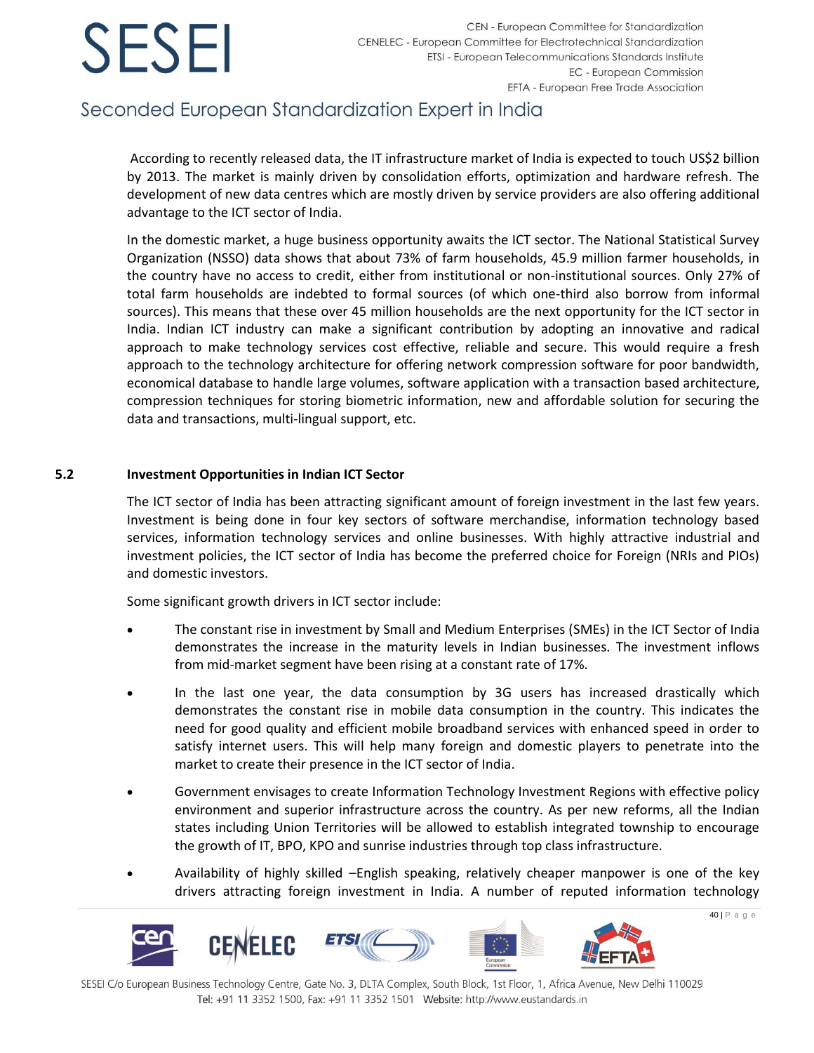## Seconded European Standardization Expert in India

According to recently released data, the IT infrastructure market of India is expected to touch US\$2 billion by 2013. The market is mainly driven by consolidation efforts, optimization and hardware refresh. The development of new data centres which are mostly driven by service providers are also offering additional advantage to the ICT sector of India.

In the domestic market, a huge business opportunity awaits the ICT sector. The National Statistical Survey Organization (NSSO) data shows that about 73% of farm households, 45.9 million farmer households, in the country have no access to credit, either from institutional or non-institutional sources. Only 27% of total farm households are indebted to formal sources (of which one-third also borrow from informal sources). This means that these over 45 million households are the next opportunity for the ICT sector in India. Indian ICT industry can make a significant contribution by adopting an innovative and radical approach to make technology services cost effective, reliable and secure. This would require a fresh approach to the technology architecture for offering network compression software for poor bandwidth, economical database to handle large volumes, software application with a transaction based architecture, compression techniques for storing biometric information, new and affordable solution for securing the data and transactions, multi-lingual support, etc.

### **5.2 Investment Opportunities in Indian ICT Sector**

The ICT sector of India has been attracting significant amount of foreign investment in the last few years. Investment is being done in four key sectors of software merchandise, information technology based services, information technology services and online businesses. With highly attractive industrial and investment policies, the ICT sector of India has become the preferred choice for Foreign (NRIs and PIOs) and domestic investors.

Some significant growth drivers in ICT sector include:

- The constant rise in investment by Small and Medium Enterprises (SMEs) in the ICT Sector of India demonstrates the increase in the maturity levels in Indian businesses. The investment inflows from mid-market segment have been rising at a constant rate of 17%.
- In the last one year, the data consumption by 3G users has increased drastically which demonstrates the constant rise in mobile data consumption in the country. This indicates the need for good quality and efficient mobile broadband services with enhanced speed in order to satisfy internet users. This will help many foreign and domestic players to penetrate into the market to create their presence in the ICT sector of India.
- Government envisages to create Information Technology Investment Regions with effective policy environment and superior infrastructure across the country. As per new reforms, all the Indian states including Union Territories will be allowed to establish integrated township to encourage the growth of IT, BPO, KPO and sunrise industries through top class infrastructure.
- Availability of highly skilled –English speaking, relatively cheaper manpower is one of the key drivers attracting foreign investment in India. A number of reputed information technology

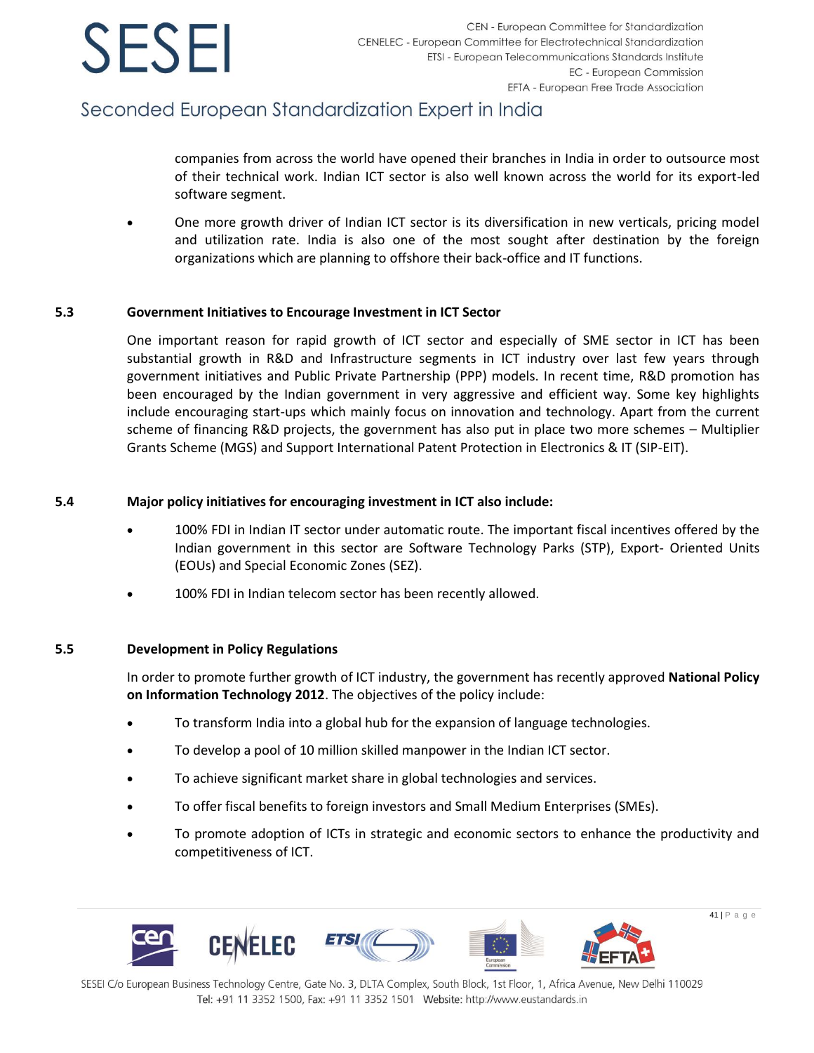## Seconded European Standardization Expert in India

companies from across the world have opened their branches in India in order to outsource most of their technical work. Indian ICT sector is also well known across the world for its export-led software segment.

• One more growth driver of Indian ICT sector is its diversification in new verticals, pricing model and utilization rate. India is also one of the most sought after destination by the foreign organizations which are planning to offshore their back-office and IT functions.

### **5.3 Government Initiatives to Encourage Investment in ICT Sector**

One important reason for rapid growth of ICT sector and especially of SME sector in ICT has been substantial growth in R&D and Infrastructure segments in ICT industry over last few years through government initiatives and Public Private Partnership (PPP) models. In recent time, R&D promotion has been encouraged by the Indian government in very aggressive and efficient way. Some key highlights include encouraging start-ups which mainly focus on innovation and technology. Apart from the current scheme of financing R&D projects, the government has also put in place two more schemes – Multiplier Grants Scheme (MGS) and Support International Patent Protection in Electronics & IT (SIP-EIT).

### **5.4 Major policy initiatives for encouraging investment in ICT also include:**

- 100% FDI in Indian IT sector under automatic route. The important fiscal incentives offered by the Indian government in this sector are Software Technology Parks (STP), Export- Oriented Units (EOUs) and Special Economic Zones (SEZ).
- 100% FDI in Indian telecom sector has been recently allowed.

### **5.5 Development in Policy Regulations**

In order to promote further growth of ICT industry, the government has recently approved **National Policy on Information Technology 2012**. The objectives of the policy include:

- To transform India into a global hub for the expansion of language technologies.
- To develop a pool of 10 million skilled manpower in the Indian ICT sector.
- To achieve significant market share in global technologies and services.
- To offer fiscal benefits to foreign investors and Small Medium Enterprises (SMEs).
- To promote adoption of ICTs in strategic and economic sectors to enhance the productivity and competitiveness of ICT.

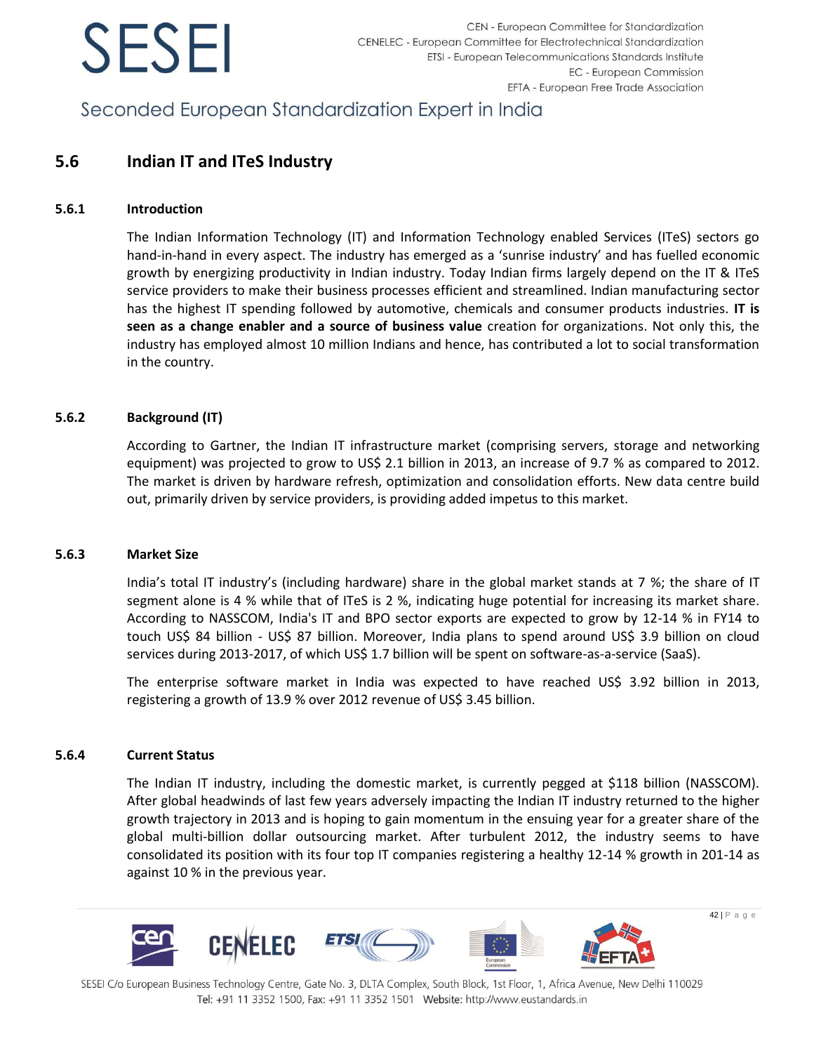Seconded European Standardization Expert in India

### **5.6 Indian IT and ITeS Industry**

### **5.6.1 Introduction**

The Indian Information Technology (IT) and Information Technology enabled Services (ITeS) sectors go hand-in-hand in every aspect. The industry has emerged as a 'sunrise industry' and has fuelled economic growth by energizing productivity in Indian industry. Today Indian firms largely depend on the IT & ITeS service providers to make their business processes efficient and streamlined. Indian manufacturing sector has the highest IT spending followed by automotive, chemicals and consumer products industries. **IT is seen as a change enabler and a source of business value** creation for organizations. Not only this, the industry has employed almost 10 million Indians and hence, has contributed a lot to social transformation in the country.

### **5.6.2 Background (IT)**

According to Gartner, the Indian IT infrastructure market (comprising servers, storage and networking equipment) was projected to grow to US\$ 2.1 billion in 2013, an increase of 9.7 % as compared to 2012. The market is driven by hardware refresh, optimization and consolidation efforts. New data centre build out, primarily driven by service providers, is providing added impetus to this market.

### **5.6.3 Market Size**

India's total IT industry's (including hardware) share in the global market stands at 7 %; the share of IT segment alone is 4 % while that of ITeS is 2 %, indicating huge potential for increasing its market share. According to NASSCOM, India's IT and BPO sector exports are expected to grow by 12-14 % in FY14 to touch US\$ 84 billion - US\$ 87 billion. Moreover, India plans to spend around US\$ 3.9 billion on cloud services during 2013-2017, of which US\$ 1.7 billion will be spent on software-as-a-service (SaaS).

The enterprise software market in India was expected to have reached US\$ 3.92 billion in 2013, registering a growth of 13.9 % over 2012 revenue of US\$ 3.45 billion.

### **5.6.4 Current Status**

The Indian IT industry, including the domestic market, is currently pegged at \$118 billion (NASSCOM). After global headwinds of last few years adversely impacting the Indian IT industry returned to the higher growth trajectory in 2013 and is hoping to gain momentum in the ensuing year for a greater share of the global multi-billion dollar outsourcing market. After turbulent 2012, the industry seems to have consolidated its position with its four top IT companies registering a healthy 12-14 % growth in 201-14 as against 10 % in the previous year.

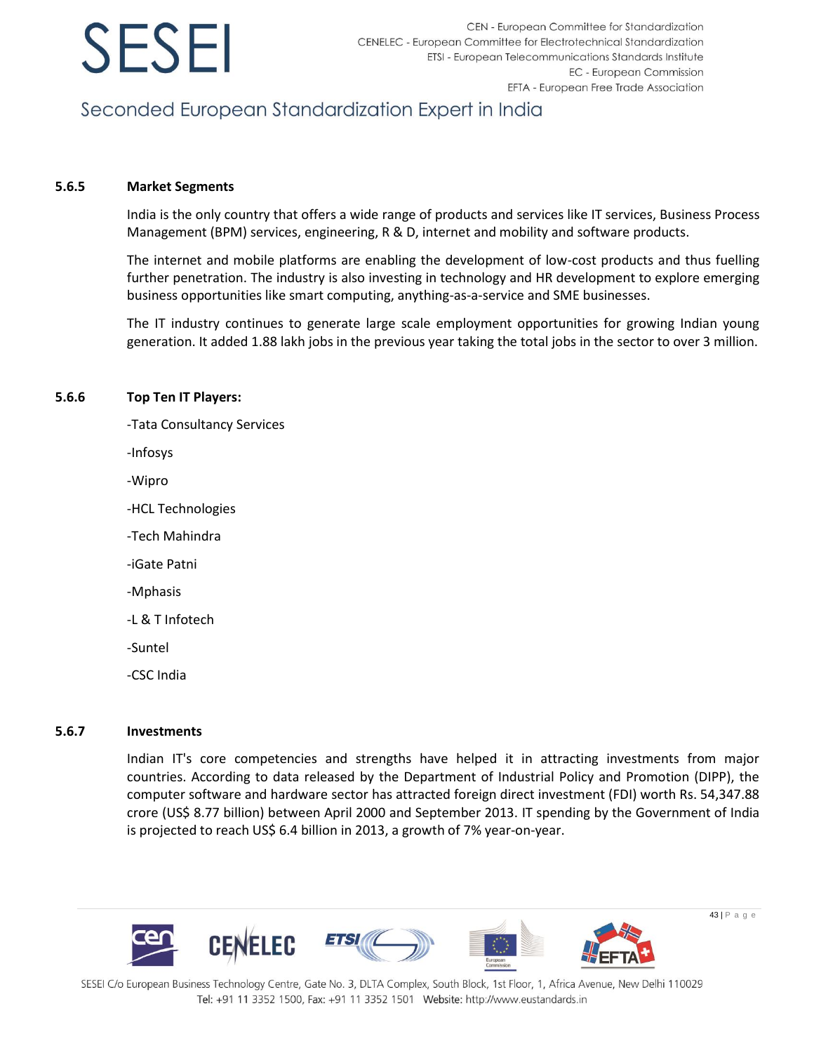

## Seconded European Standardization Expert in India

#### **5.6.5 Market Segments**

India is the only country that offers a wide range of products and services like IT services, Business Process Management (BPM) services, engineering, R & D, internet and mobility and software products.

The internet and mobile platforms are enabling the development of low-cost products and thus fuelling further penetration. The industry is also investing in technology and HR development to explore emerging business opportunities like smart computing, anything-as-a-service and SME businesses.

The IT industry continues to generate large scale employment opportunities for growing Indian young generation. It added 1.88 lakh jobs in the previous year taking the total jobs in the sector to over 3 million.

#### **5.6.6 Top Ten IT Players:**

- -Tata Consultancy Services
- -Infosys
- -Wipro
- -HCL Technologies
- -Tech Mahindra
- -iGate Patni
- -Mphasis
- -L & T Infotech
- -Suntel
- -CSC India

#### **5.6.7 Investments**

Indian IT's core competencies and strengths have helped it in attracting investments from major countries. According to data released by the Department of Industrial Policy and Promotion (DIPP), the computer software and hardware sector has attracted foreign direct investment (FDI) worth Rs. 54,347.88 crore (US\$ 8.77 billion) between April 2000 and September 2013. IT spending by the Government of India is projected to reach US\$ 6.4 billion in 2013, a growth of 7% year-on-year.

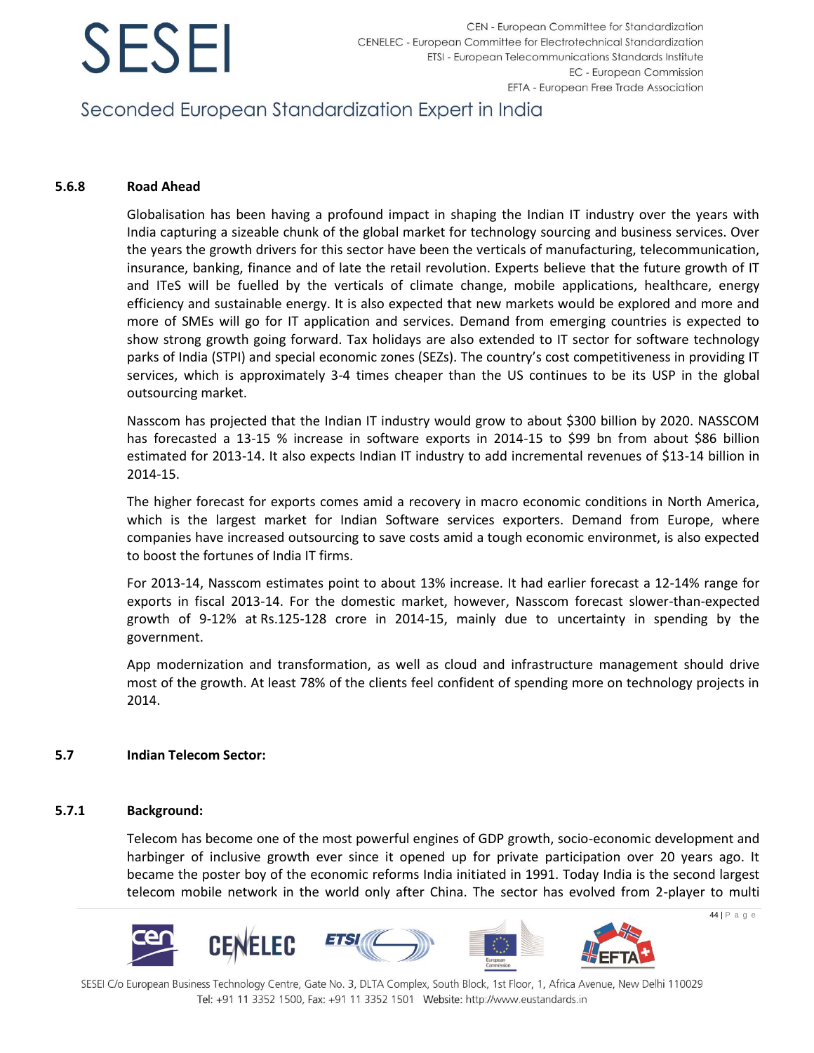## Seconded European Standardization Expert in India

### **5.6.8 Road Ahead**

Globalisation has been having a profound impact in shaping the Indian IT industry over the years with India capturing a sizeable chunk of the global market for technology sourcing and business services. Over the years the growth drivers for this sector have been the verticals of manufacturing, telecommunication, insurance, banking, finance and of late the retail revolution. Experts believe that the future growth of IT and ITeS will be fuelled by the verticals of climate change, mobile applications, healthcare, energy efficiency and sustainable energy. It is also expected that new markets would be explored and more and more of SMEs will go for IT application and services. Demand from emerging countries is expected to show strong growth going forward. Tax holidays are also extended to IT sector for software technology parks of India (STPI) and special economic zones (SEZs). The country's cost competitiveness in providing IT services, which is approximately 3-4 times cheaper than the US continues to be its USP in the global outsourcing market.

Nasscom has projected that the Indian IT industry would grow to about \$300 billion by 2020. NASSCOM has forecasted a 13-15 % increase in software exports in 2014-15 to \$99 bn from about \$86 billion estimated for 2013-14. It also expects Indian IT industry to add incremental revenues of \$13-14 billion in 2014-15.

The higher forecast for exports comes amid a recovery in macro economic conditions in North America, which is the largest market for Indian Software services exporters. Demand from Europe, where companies have increased outsourcing to save costs amid a tough economic environmet, is also expected to boost the fortunes of India IT firms.

For 2013-14, Nasscom estimates point to about 13% increase. It had earlier forecast a 12-14% range for exports in fiscal 2013-14. For the domestic market, however, Nasscom forecast slower-than-expected growth of 9-12% at Rs.125-128 crore in 2014-15, mainly due to uncertainty in spending by the government.

App modernization and transformation, as well as cloud and infrastructure management should drive most of the growth. At least 78% of the clients feel confident of spending more on technology projects in 2014.

### **5.7 Indian Telecom Sector:**

### **5.7.1 Background:**

Telecom has become one of the most powerful engines of GDP growth, socio-economic development and harbinger of inclusive growth ever since it opened up for private participation over 20 years ago. It became the poster boy of the economic reforms India initiated in 1991. Today India is the second largest telecom mobile network in the world only after China. The sector has evolved from 2-player to multi

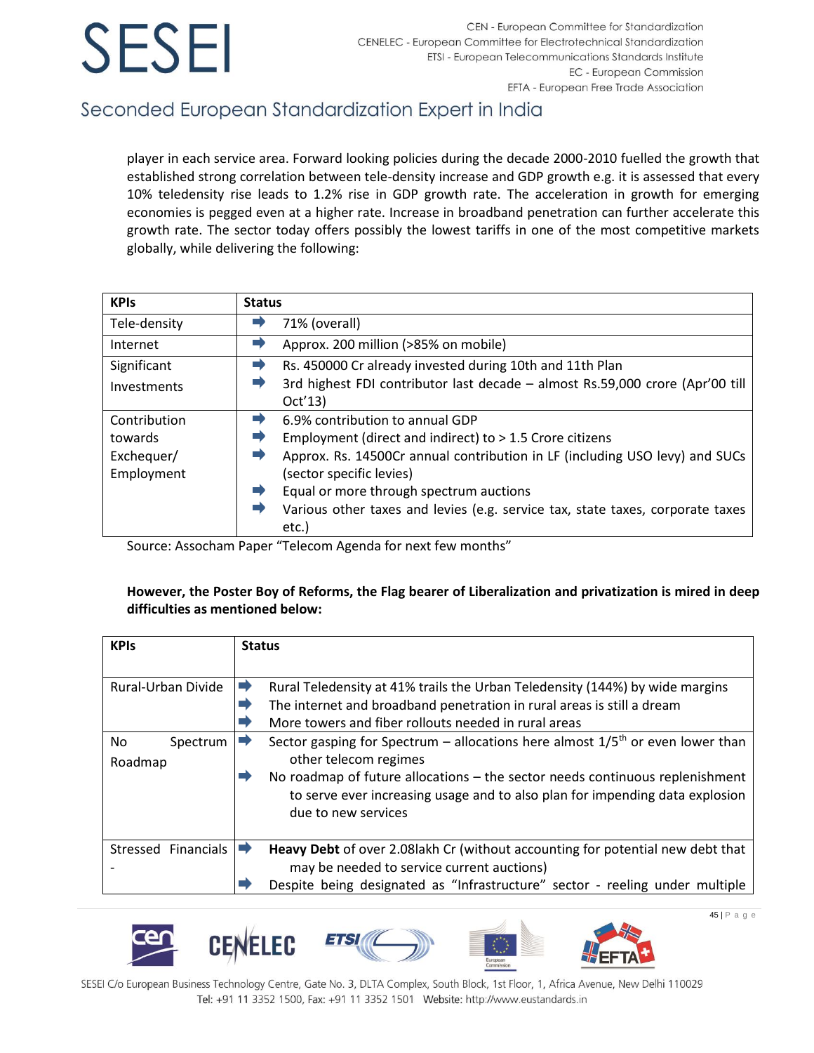## Seconded European Standardization Expert in India

player in each service area. Forward looking policies during the decade 2000-2010 fuelled the growth that established strong correlation between tele-density increase and GDP growth e.g. it is assessed that every 10% teledensity rise leads to 1.2% rise in GDP growth rate. The acceleration in growth for emerging economies is pegged even at a higher rate. Increase in broadband penetration can further accelerate this growth rate. The sector today offers possibly the lowest tariffs in one of the most competitive markets globally, while delivering the following:

| <b>KPIs</b>  | <b>Status</b>                                                                  |
|--------------|--------------------------------------------------------------------------------|
| Tele-density | 71% (overall)                                                                  |
| Internet     | Approx. 200 million (>85% on mobile)                                           |
| Significant  | Rs. 450000 Cr already invested during 10th and 11th Plan                       |
| Investments  | 3rd highest FDI contributor last decade - almost Rs.59,000 crore (Apr'00 till  |
|              | Oct'13)                                                                        |
| Contribution | 6.9% contribution to annual GDP                                                |
| towards      | Employment (direct and indirect) to > 1.5 Crore citizens                       |
| Exchequer/   | Approx. Rs. 14500Cr annual contribution in LF (including USO levy) and SUCs    |
| Employment   | (sector specific levies)                                                       |
|              | Equal or more through spectrum auctions                                        |
|              | Various other taxes and levies (e.g. service tax, state taxes, corporate taxes |
|              | etc.)                                                                          |

Source: Assocham Paper "Telecom Agenda for next few months"

### **However, the Poster Boy of Reforms, the Flag bearer of Liberalization and privatization is mired in deep difficulties as mentioned below:**

| <b>KPIs</b>         | <b>Status</b>                                                                                                                                                                       |  |
|---------------------|-------------------------------------------------------------------------------------------------------------------------------------------------------------------------------------|--|
|                     |                                                                                                                                                                                     |  |
| Rural-Urban Divide  | ➡<br>Rural Teledensity at 41% trails the Urban Teledensity (144%) by wide margins                                                                                                   |  |
|                     | The internet and broadband penetration in rural areas is still a dream                                                                                                              |  |
|                     | More towers and fiber rollouts needed in rural areas                                                                                                                                |  |
| No.<br>Spectrum     | Sector gasping for Spectrum - allocations here almost $1/5th$ or even lower than                                                                                                    |  |
| Roadmap             | other telecom regimes                                                                                                                                                               |  |
|                     | No roadmap of future allocations – the sector needs continuous replenishment<br>to serve ever increasing usage and to also plan for impending data explosion<br>due to new services |  |
| Stressed Financials | Heavy Debt of over 2.08 lakh Cr (without accounting for potential new debt that<br>➡                                                                                                |  |
|                     | may be needed to service current auctions)                                                                                                                                          |  |
|                     | Despite being designated as "Infrastructure" sector - reeling under multiple                                                                                                        |  |









SESEI C/o European Business Technology Centre, Gate No. 3, DLTA Complex, South Block, 1st Floor, 1, Africa Avenue, New Delhi 110029 Tel: +91 11 3352 1500, Fax: +91 11 3352 1501 Website: http://www.eustandards.in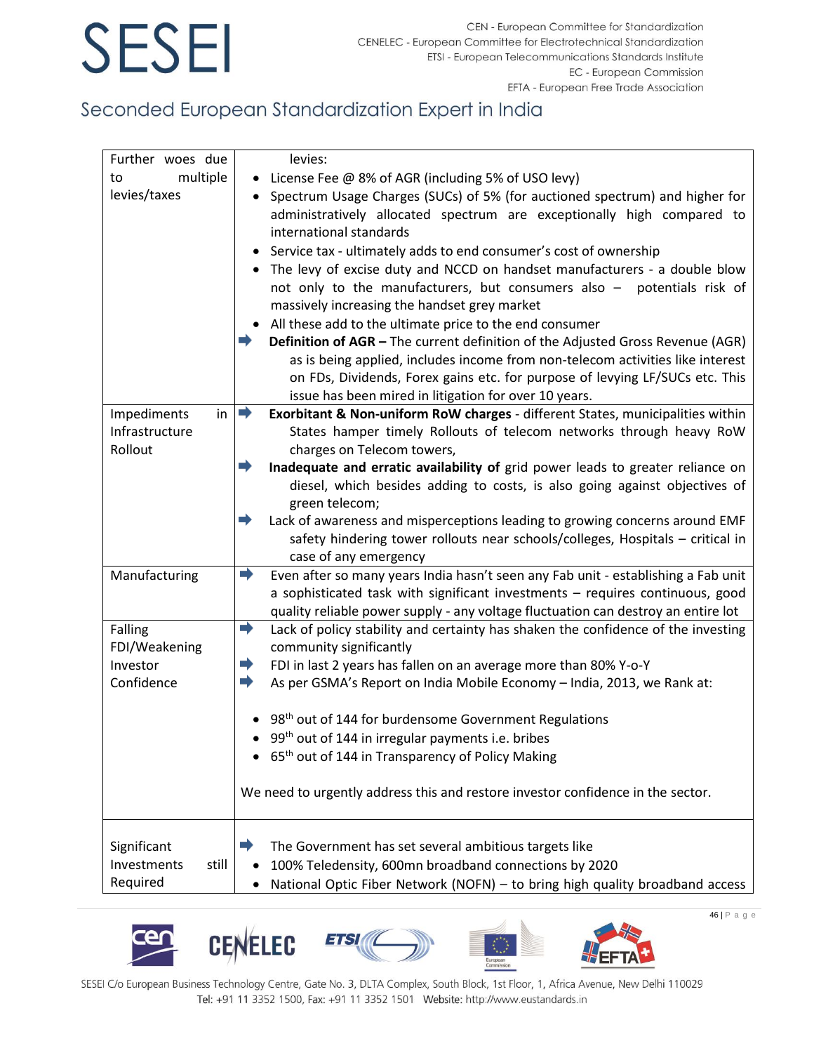## Seconded European Standardization Expert in India

| Further woes due     | levies:                                                                                                                                                                          |
|----------------------|----------------------------------------------------------------------------------------------------------------------------------------------------------------------------------|
| multiple<br>to       | License Fee @ 8% of AGR (including 5% of USO levy)                                                                                                                               |
| levies/taxes         | Spectrum Usage Charges (SUCs) of 5% (for auctioned spectrum) and higher for<br>administratively allocated spectrum are exceptionally high compared to<br>international standards |
|                      | Service tax - ultimately adds to end consumer's cost of ownership                                                                                                                |
|                      | The levy of excise duty and NCCD on handset manufacturers - a double blow                                                                                                        |
|                      | not only to the manufacturers, but consumers also - potentials risk of                                                                                                           |
|                      | massively increasing the handset grey market                                                                                                                                     |
|                      | All these add to the ultimate price to the end consumer                                                                                                                          |
|                      | Definition of AGR - The current definition of the Adjusted Gross Revenue (AGR)<br>as is being applied, includes income from non-telecom activities like interest                 |
|                      | on FDs, Dividends, Forex gains etc. for purpose of levying LF/SUCs etc. This                                                                                                     |
|                      | issue has been mired in litigation for over 10 years.                                                                                                                            |
| in<br>Impediments    | $\Rightarrow$<br>Exorbitant & Non-uniform RoW charges - different States, municipalities within                                                                                  |
| Infrastructure       | States hamper timely Rollouts of telecom networks through heavy RoW                                                                                                              |
| Rollout              | charges on Telecom towers,                                                                                                                                                       |
|                      | Inadequate and erratic availability of grid power leads to greater reliance on                                                                                                   |
|                      | diesel, which besides adding to costs, is also going against objectives of                                                                                                       |
|                      | green telecom;                                                                                                                                                                   |
|                      | Lack of awareness and misperceptions leading to growing concerns around EMF                                                                                                      |
|                      | safety hindering tower rollouts near schools/colleges, Hospitals - critical in                                                                                                   |
|                      | case of any emergency                                                                                                                                                            |
| Manufacturing        | Even after so many years India hasn't seen any Fab unit - establishing a Fab unit<br>➡                                                                                           |
|                      | a sophisticated task with significant investments - requires continuous, good                                                                                                    |
|                      | quality reliable power supply - any voltage fluctuation can destroy an entire lot                                                                                                |
| Falling              | ➡<br>Lack of policy stability and certainty has shaken the confidence of the investing                                                                                           |
| FDI/Weakening        | community significantly                                                                                                                                                          |
| Investor             | FDI in last 2 years has fallen on an average more than 80% Y-o-Y<br>➡                                                                                                            |
| Confidence           | As per GSMA's Report on India Mobile Economy - India, 2013, we Rank at:<br>➡                                                                                                     |
|                      |                                                                                                                                                                                  |
|                      | 98 <sup>th</sup> out of 144 for burdensome Government Regulations                                                                                                                |
|                      | 99 <sup>th</sup> out of 144 in irregular payments i.e. bribes                                                                                                                    |
|                      | 65 <sup>th</sup> out of 144 in Transparency of Policy Making                                                                                                                     |
|                      | We need to urgently address this and restore investor confidence in the sector.                                                                                                  |
|                      |                                                                                                                                                                                  |
| Significant          | The Government has set several ambitious targets like                                                                                                                            |
| Investments<br>still | 100% Teledensity, 600mn broadband connections by 2020                                                                                                                            |
| Required             | National Optic Fiber Network (NOFN) - to bring high quality broadband access                                                                                                     |











SESEI C/o European Business Technology Centre, Gate No. 3, DLTA Complex, South Block, 1st Floor, 1, Africa Avenue, New Delhi 110029 Tel: +91 11 3352 1500, Fax: +91 11 3352 1501 Website: http://www.eustandards.in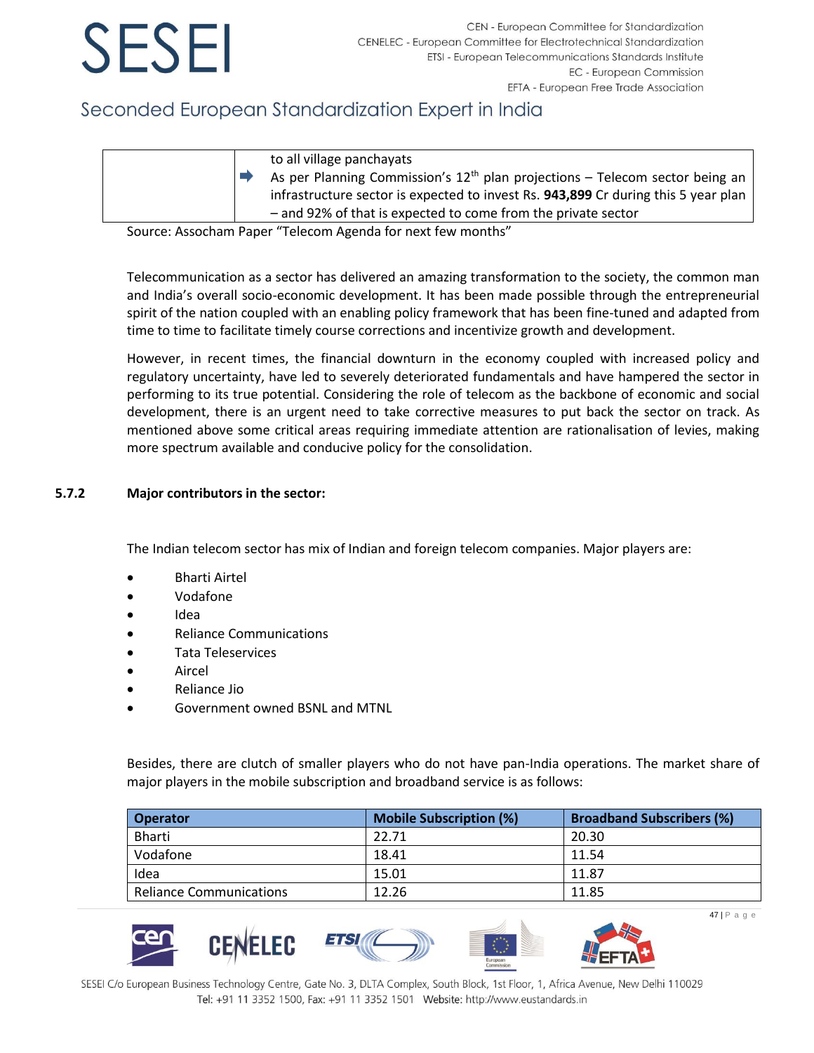## Seconded European Standardization Expert in India

| to all village panchayats<br>As per Planning Commission's $12th$ plan projections - Telecom sector being an<br>infrastructure sector is expected to invest Rs. 943,899 Cr during this 5 year plan<br>- and 92% of that is expected to come from the private sector |
|--------------------------------------------------------------------------------------------------------------------------------------------------------------------------------------------------------------------------------------------------------------------|
|                                                                                                                                                                                                                                                                    |

Source: Assocham Paper "Telecom Agenda for next few months"

Telecommunication as a sector has delivered an amazing transformation to the society, the common man and India's overall socio-economic development. It has been made possible through the entrepreneurial spirit of the nation coupled with an enabling policy framework that has been fine-tuned and adapted from time to time to facilitate timely course corrections and incentivize growth and development.

However, in recent times, the financial downturn in the economy coupled with increased policy and regulatory uncertainty, have led to severely deteriorated fundamentals and have hampered the sector in performing to its true potential. Considering the role of telecom as the backbone of economic and social development, there is an urgent need to take corrective measures to put back the sector on track. As mentioned above some critical areas requiring immediate attention are rationalisation of levies, making more spectrum available and conducive policy for the consolidation.

### **5.7.2 Major contributors in the sector:**

The Indian telecom sector has mix of Indian and foreign telecom companies. Major players are:

- Bharti Airtel
- Vodafone
- Idea
- Reliance Communications
- Tata Teleservices
- **Aircel**
- Reliance Jio
- Government owned BSNL and MTNL

CENELEC

Besides, there are clutch of smaller players who do not have pan-India operations. The market share of major players in the mobile subscription and broadband service is as follows:

| <b>Operator</b>                | <b>Mobile Subscription (%)</b> | <b>Broadband Subscribers (%)</b> |
|--------------------------------|--------------------------------|----------------------------------|
| Bharti                         | 22.71                          | 20.30                            |
| Vodafone                       | 18.41                          | 11.54                            |
| Idea                           | 15.01                          | 11.87                            |
| <b>Reliance Communications</b> | 12.26                          | 11.85                            |

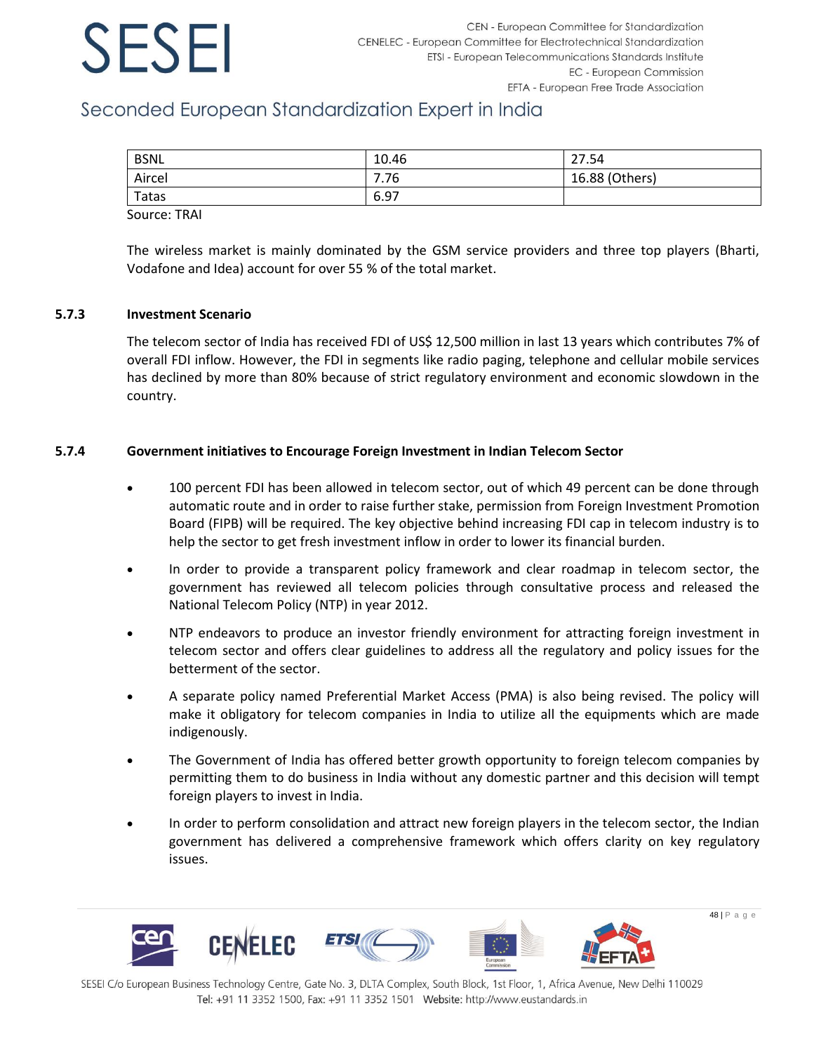## Seconded European Standardization Expert in India

| <b>BSNL</b> | 10.46 | 27.54          |
|-------------|-------|----------------|
| Aircel      | 7.76  | 16.88 (Others) |
| Tatas       | 6.97  |                |
|             |       |                |

Source: TRAI

The wireless market is mainly dominated by the GSM service providers and three top players (Bharti, Vodafone and Idea) account for over 55 % of the total market.

### **5.7.3 Investment Scenario**

The telecom sector of India has received FDI of US\$ 12,500 million in last 13 years which contributes 7% of overall FDI inflow. However, the FDI in segments like radio paging, telephone and cellular mobile services has declined by more than 80% because of strict regulatory environment and economic slowdown in the country.

### **5.7.4 Government initiatives to Encourage Foreign Investment in Indian Telecom Sector**

- 100 percent FDI has been allowed in telecom sector, out of which 49 percent can be done through automatic route and in order to raise further stake, permission from Foreign Investment Promotion Board (FIPB) will be required. The key objective behind increasing FDI cap in telecom industry is to help the sector to get fresh investment inflow in order to lower its financial burden.
- In order to provide a transparent policy framework and clear roadmap in telecom sector, the government has reviewed all telecom policies through consultative process and released the National Telecom Policy (NTP) in year 2012.
- NTP endeavors to produce an investor friendly environment for attracting foreign investment in telecom sector and offers clear guidelines to address all the regulatory and policy issues for the betterment of the sector.
- A separate policy named Preferential Market Access (PMA) is also being revised. The policy will make it obligatory for telecom companies in India to utilize all the equipments which are made indigenously.
- The Government of India has offered better growth opportunity to foreign telecom companies by permitting them to do business in India without any domestic partner and this decision will tempt foreign players to invest in India.
- In order to perform consolidation and attract new foreign players in the telecom sector, the Indian government has delivered a comprehensive framework which offers clarity on key regulatory issues.

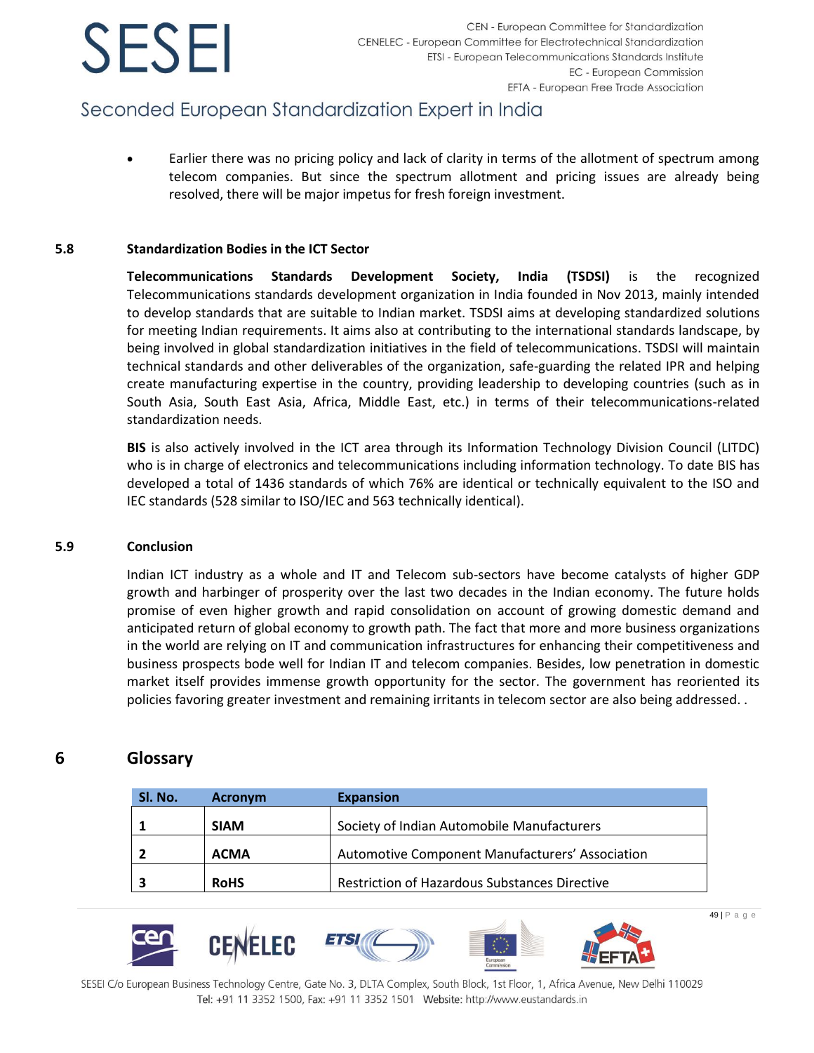## Seconded European Standardization Expert in India

• Earlier there was no pricing policy and lack of clarity in terms of the allotment of spectrum among telecom companies. But since the spectrum allotment and pricing issues are already being resolved, there will be major impetus for fresh foreign investment.

### **5.8 Standardization Bodies in the ICT Sector**

**Telecommunications Standards Development Society, India (TSDSI)** is the recognized Telecommunications standards development organization in India founded in Nov 2013, mainly intended to develop standards that are suitable to Indian market. TSDSI aims at developing standardized solutions for meeting Indian requirements. It aims also at contributing to the international standards landscape, by being involved in global standardization initiatives in the field of telecommunications. TSDSI will maintain technical standards and other deliverables of the organization, safe-guarding the related IPR and helping create manufacturing expertise in the country, providing leadership to developing countries (such as in South Asia, South East Asia, Africa, Middle East, etc.) in terms of their telecommunications-related standardization needs.

**BIS** is also actively involved in the ICT area through its Information Technology Division Council (LITDC) who is in charge of electronics and telecommunications including information technology. To date BIS has developed a total of 1436 standards of which 76% are identical or technically equivalent to the ISO and IEC standards (528 similar to ISO/IEC and 563 technically identical).

### **5.9 Conclusion**

Indian ICT industry as a whole and IT and Telecom sub-sectors have become catalysts of higher GDP growth and harbinger of prosperity over the last two decades in the Indian economy. The future holds promise of even higher growth and rapid consolidation on account of growing domestic demand and anticipated return of global economy to growth path. The fact that more and more business organizations in the world are relying on IT and communication infrastructures for enhancing their competitiveness and business prospects bode well for Indian IT and telecom companies. Besides, low penetration in domestic market itself provides immense growth opportunity for the sector. The government has reoriented its policies favoring greater investment and remaining irritants in telecom sector are also being addressed. .

### <span id="page-49-0"></span>**6 Glossary**

| Sl. No. | <b>Acronym</b> | <b>Expansion</b>                                     |
|---------|----------------|------------------------------------------------------|
|         | <b>SIAM</b>    | Society of Indian Automobile Manufacturers           |
|         | <b>ACMA</b>    | Automotive Component Manufacturers' Association      |
|         | <b>RoHS</b>    | <b>Restriction of Hazardous Substances Directive</b> |

49 | P a g e

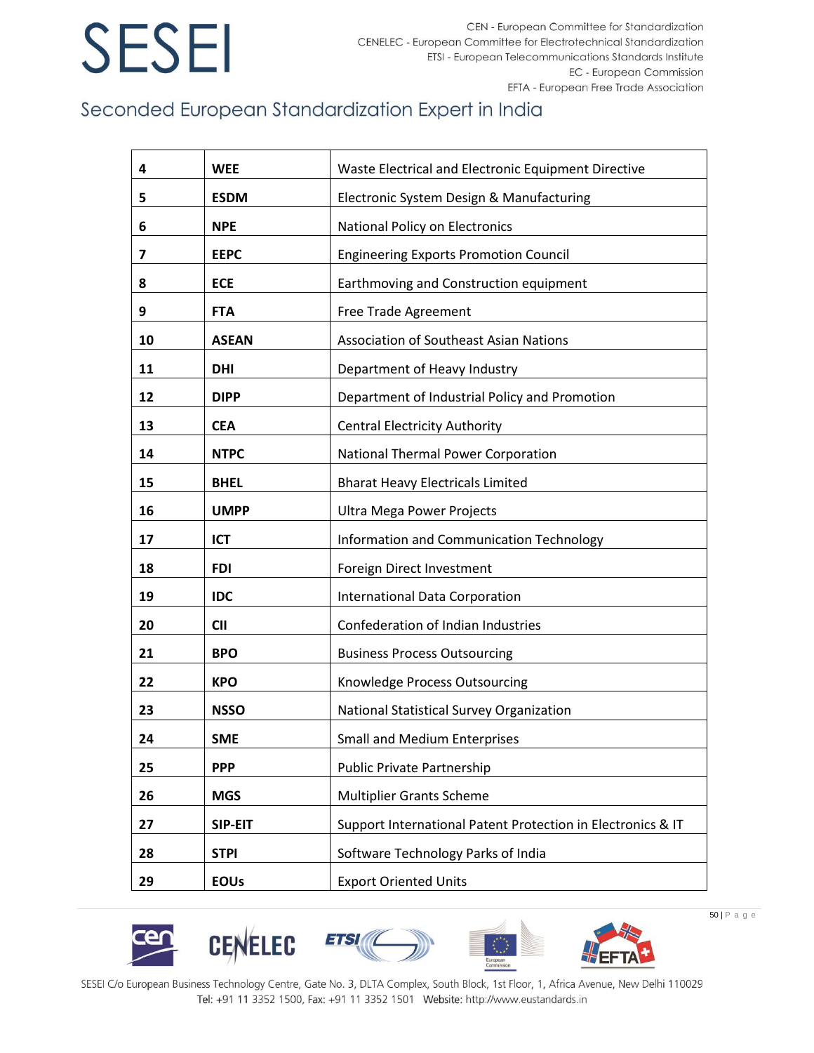CEN - European Committee for Standardization CENELEC - European Committee for Electrotechnical Standardization ETSI - European Telecommunications Standards Institute EC - European Commission EFTA - European Free Trade Association

## Seconded European Standardization Expert in India

| 4  | <b>WEE</b>   | Waste Electrical and Electronic Equipment Directive         |
|----|--------------|-------------------------------------------------------------|
| 5  | <b>ESDM</b>  | Electronic System Design & Manufacturing                    |
| 6  | <b>NPE</b>   | National Policy on Electronics                              |
| 7  | <b>EEPC</b>  | <b>Engineering Exports Promotion Council</b>                |
| 8  | <b>ECE</b>   | Earthmoving and Construction equipment                      |
| 9  | <b>FTA</b>   | Free Trade Agreement                                        |
| 10 | <b>ASEAN</b> | <b>Association of Southeast Asian Nations</b>               |
| 11 | <b>DHI</b>   | Department of Heavy Industry                                |
| 12 | <b>DIPP</b>  | Department of Industrial Policy and Promotion               |
| 13 | <b>CEA</b>   | <b>Central Electricity Authority</b>                        |
| 14 | <b>NTPC</b>  | National Thermal Power Corporation                          |
| 15 | <b>BHEL</b>  | <b>Bharat Heavy Electricals Limited</b>                     |
| 16 | <b>UMPP</b>  | Ultra Mega Power Projects                                   |
| 17 | <b>ICT</b>   | Information and Communication Technology                    |
| 18 | <b>FDI</b>   | Foreign Direct Investment                                   |
| 19 | <b>IDC</b>   | <b>International Data Corporation</b>                       |
| 20 | <b>CII</b>   | Confederation of Indian Industries                          |
| 21 | <b>BPO</b>   | <b>Business Process Outsourcing</b>                         |
| 22 | <b>KPO</b>   | Knowledge Process Outsourcing                               |
| 23 | <b>NSSO</b>  | National Statistical Survey Organization                    |
| 24 | <b>SME</b>   | <b>Small and Medium Enterprises</b>                         |
| 25 | <b>PPP</b>   | Public Private Partnership                                  |
| 26 | <b>MGS</b>   | <b>Multiplier Grants Scheme</b>                             |
| 27 | SIP-EIT      | Support International Patent Protection in Electronics & IT |
| 28 | <b>STPI</b>  | Software Technology Parks of India                          |
| 29 | <b>EOUs</b>  | <b>Export Oriented Units</b>                                |











SESEI C/o European Business Technology Centre, Gate No. 3, DLTA Complex, South Block, 1st Floor, 1, Africa Avenue, New Delhi 110029 Tel: +91 11 3352 1500, Fax: +91 11 3352 1501 Website: http://www.eustandards.in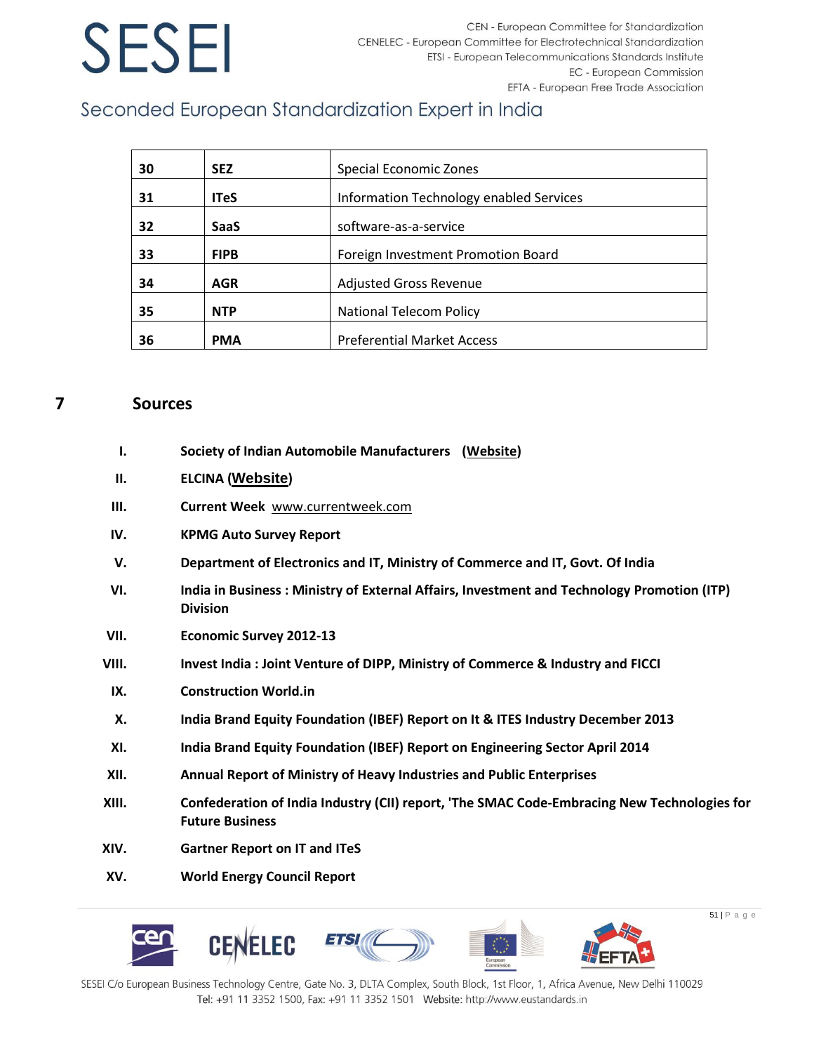CEN - European Committee for Standardization CENELEC - European Committee for Electrotechnical Standardization ETSI - European Telecommunications Standards Institute **EC** - European Commission EFTA - European Free Trade Association

## Seconded European Standardization Expert in India

| 30 | <b>SEZ</b>  | Special Economic Zones                  |
|----|-------------|-----------------------------------------|
| 31 | <b>ITeS</b> | Information Technology enabled Services |
| 32 | <b>SaaS</b> | software-as-a-service                   |
| 33 | <b>FIPB</b> | Foreign Investment Promotion Board      |
| 34 | <b>AGR</b>  | <b>Adjusted Gross Revenue</b>           |
| 35 | <b>NTP</b>  | National Telecom Policy                 |
| 36 | <b>PMA</b>  | <b>Preferential Market Access</b>       |

### <span id="page-51-0"></span>**7 Sources**

- **I. Society of Indian Automobile Manufacturers [\(Website\)](http://www.siamindia.com/)**
- **II. ELCINA ([Website](http://www.elcina.com/))**
- **III. Current Week** [www.currentweek.com](http://www.currentweek.com/)
- **IV. KPMG Auto Survey Report**
- **V. Department of Electronics and IT, Ministry of Commerce and IT, Govt. Of India**
- **VI. India in Business : Ministry of External Affairs, Investment and Technology Promotion (ITP) Division**
- **VII. Economic Survey 2012-13**
- **VIII. Invest India : Joint Venture of DIPP, Ministry of Commerce & Industry and FICCI**
- **IX. Construction World.in**
- **X. India Brand Equity Foundation (IBEF) Report on It & ITES Industry December 2013**
- **XI. India Brand Equity Foundation (IBEF) Report on Engineering Sector April 2014**
- **XII. Annual Report of Ministry of Heavy Industries and Public Enterprises**
- **XIII. Confederation of India Industry (CII) report, 'The SMAC Code-Embracing New Technologies for Future Business**
- **XIV. Gartner Report on IT and ITeS**
- **XV. World Energy Council Report**